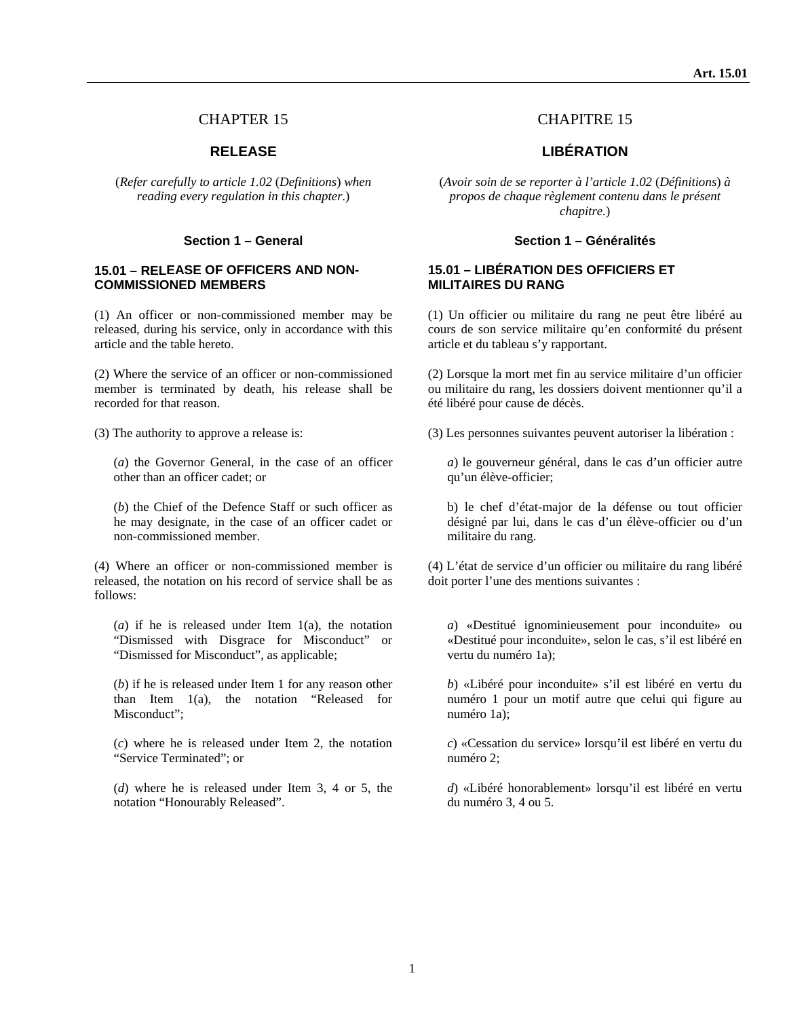(*Refer carefully to article 1.02* (*Definitions*) *when reading every regulation in this chapter.*)

#### **15.01 – RELEASE OF OFFICERS AND NON-COMMISSIONED MEMBERS**

(1) An officer or non-commissioned member may be released, during his service, only in accordance with this article and the table hereto.

(2) Where the service of an officer or non-commissioned member is terminated by death, his release shall be recorded for that reason.

(*a*) the Governor General, in the case of an officer other than an officer cadet; or

(*b*) the Chief of the Defence Staff or such officer as he may designate, in the case of an officer cadet or non-commissioned member.

(4) Where an officer or non-commissioned member is released, the notation on his record of service shall be as follows:

(*a*) if he is released under Item 1(a), the notation "Dismissed with Disgrace for Misconduct" or "Dismissed for Misconduct", as applicable;

(*b*) if he is released under Item 1 for any reason other than Item 1(a), the notation "Released for Misconduct";

(*c*) where he is released under Item 2, the notation "Service Terminated"; or

(*d*) where he is released under Item 3, 4 or 5, the notation "Honourably Released".

## CHAPTER 15 CHAPITRE 15

### **RELEASE LIBÉRATION**

(*Avoir soin de se reporter à l'article 1.02* (*Définitions*) *à propos de chaque règlement contenu dans le présent chapitre.*)

#### **Section 1 – General Section 1 – Généralités**

#### **15.01 – LIBÉRATION DES OFFICIERS ET MILITAIRES DU RANG**

(1) Un officier ou militaire du rang ne peut être libéré au cours de son service militaire qu'en conformité du présent article et du tableau s'y rapportant.

(2) Lorsque la mort met fin au service militaire d'un officier ou militaire du rang, les dossiers doivent mentionner qu'il a été libéré pour cause de décès.

(3) The authority to approve a release is: (3) Les personnes suivantes peuvent autoriser la libération :

*a*) le gouverneur général, dans le cas d'un officier autre qu'un élève-officier;

b) le chef d'état-major de la défense ou tout officier désigné par lui, dans le cas d'un élève-officier ou d'un militaire du rang.

(4) L'état de service d'un officier ou militaire du rang libéré doit porter l'une des mentions suivantes :

*a*) «Destitué ignominieusement pour inconduite» ou «Destitué pour inconduite», selon le cas, s'il est libéré en vertu du numéro 1a);

*b*) «Libéré pour inconduite» s'il est libéré en vertu du numéro 1 pour un motif autre que celui qui figure au numéro 1a);

*c*) «Cessation du service» lorsqu'il est libéré en vertu du numéro 2;

*d*) «Libéré honorablement» lorsqu'il est libéré en vertu du numéro 3, 4 ou 5.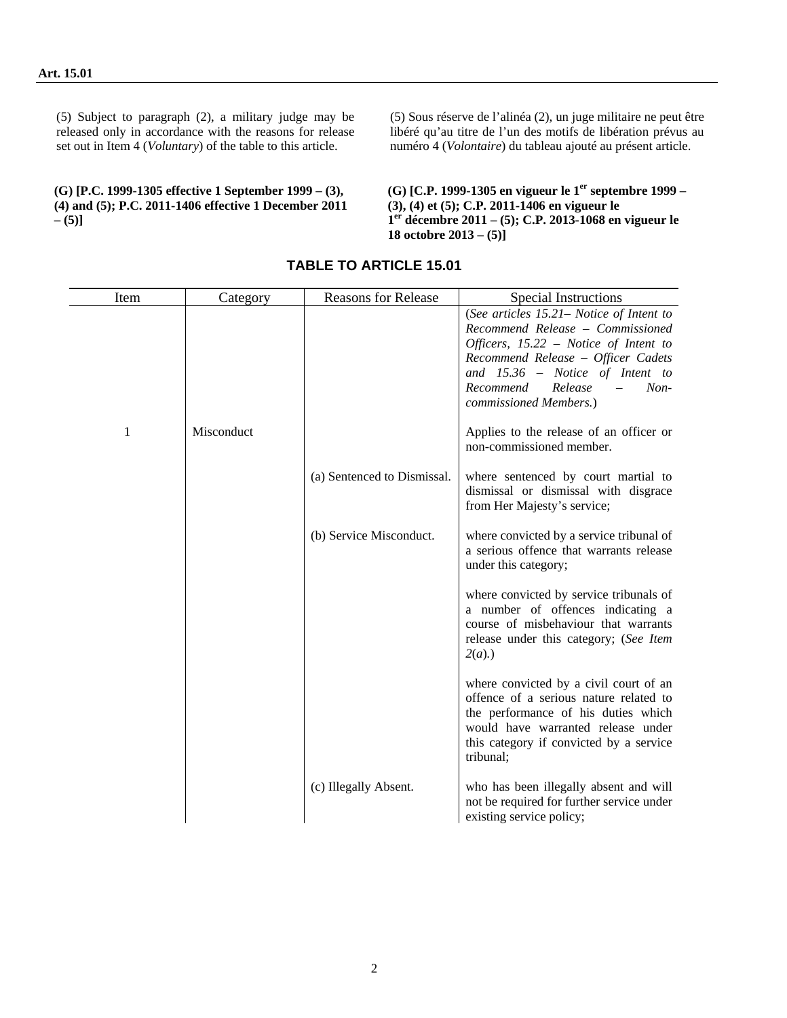(5) Subject to paragraph (2), a military judge may be released only in accordance with the reasons for release set out in Item 4 (*Voluntary*) of the table to this article.

**(G) [P.C. 1999-1305 effective 1 September 1999 – (3), (4) and (5); P.C. 2011-1406 effective 1 December 2011 – (5)]** 

(5) Sous réserve de l'alinéa (2), un juge militaire ne peut être libéré qu'au titre de l'un des motifs de libération prévus au numéro 4 (*Volontaire*) du tableau ajouté au présent article.

(G) [C.P. 1999-1305 en vigueur le 1<sup>er</sup> septembre 1999 – **(3), (4) et (5); C.P. 2011-1406 en vigueur le 1er décembre 2011 – (5); C.P. 2013-1068 en vigueur le 18 octobre 2013 – (5)]** 

| Item | Category   | <b>Reasons for Release</b>  | Special Instructions                                                                                                                                                                                                                                                   |
|------|------------|-----------------------------|------------------------------------------------------------------------------------------------------------------------------------------------------------------------------------------------------------------------------------------------------------------------|
|      |            |                             | (See articles 15.21 – Notice of Intent to<br>Recommend Release - Commissioned<br>Officers, $15.22$ – Notice of Intent to<br>Recommend Release - Officer Cadets<br>and $15.36$ – Notice of Intent to<br>Release<br>$Non-$<br>Recommend<br>$-$<br>commissioned Members.) |
| 1    | Misconduct |                             | Applies to the release of an officer or<br>non-commissioned member.                                                                                                                                                                                                    |
|      |            | (a) Sentenced to Dismissal. | where sentenced by court martial to<br>dismissal or dismissal with disgrace<br>from Her Majesty's service;                                                                                                                                                             |
|      |            | (b) Service Misconduct.     | where convicted by a service tribunal of<br>a serious offence that warrants release<br>under this category;                                                                                                                                                            |
|      |            |                             | where convicted by service tribunals of<br>a number of offences indicating a<br>course of misbehaviour that warrants<br>release under this category; (See Item<br>$2(a)$ .)                                                                                            |
|      |            |                             | where convicted by a civil court of an<br>offence of a serious nature related to<br>the performance of his duties which<br>would have warranted release under<br>this category if convicted by a service<br>tribunal;                                                  |
|      |            | (c) Illegally Absent.       | who has been illegally absent and will<br>not be required for further service under<br>existing service policy;                                                                                                                                                        |

# **TABLE TO ARTICLE 15.01**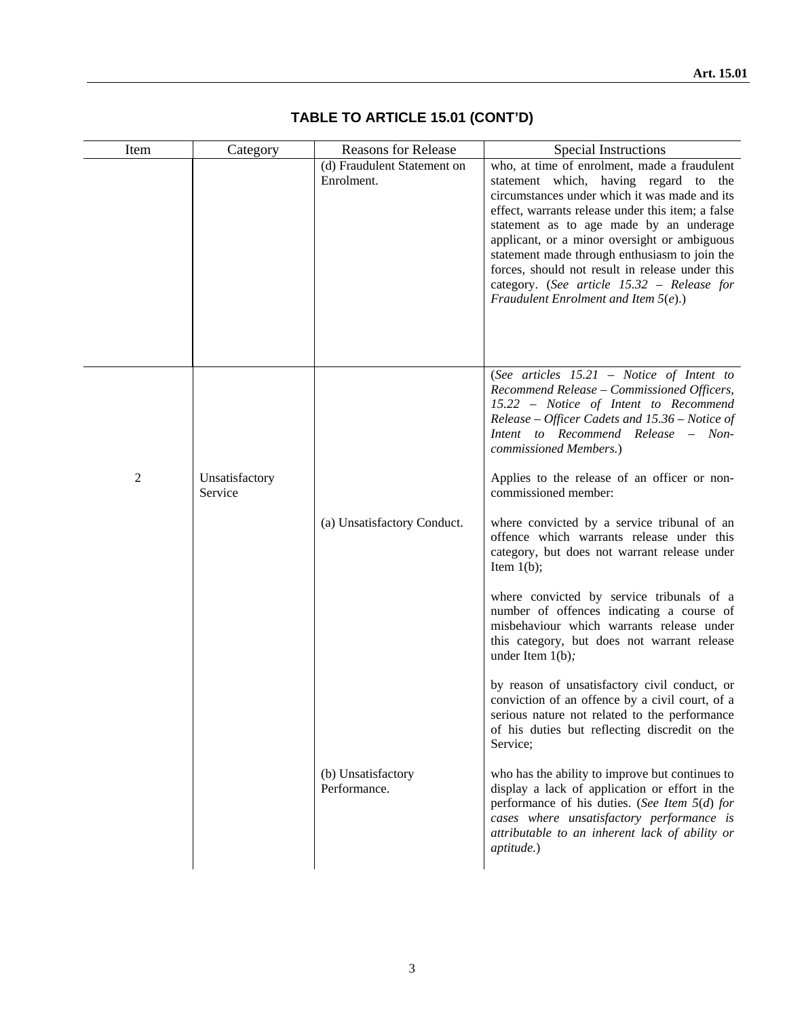| Item | Category                  | <b>Reasons for Release</b>                | Special Instructions                                                                                                                                                                                                                                                                                                                                                                                                                                                                |
|------|---------------------------|-------------------------------------------|-------------------------------------------------------------------------------------------------------------------------------------------------------------------------------------------------------------------------------------------------------------------------------------------------------------------------------------------------------------------------------------------------------------------------------------------------------------------------------------|
|      |                           | (d) Fraudulent Statement on<br>Enrolment. | who, at time of enrolment, made a fraudulent<br>statement which, having regard to the<br>circumstances under which it was made and its<br>effect, warrants release under this item; a false<br>statement as to age made by an underage<br>applicant, or a minor oversight or ambiguous<br>statement made through enthusiasm to join the<br>forces, should not result in release under this<br>category. (See article 15.32 - Release for<br>Fraudulent Enrolment and Item $5(e)$ .) |
| 2    | Unsatisfactory<br>Service |                                           | (See articles 15.21 - Notice of Intent to<br>Recommend Release - Commissioned Officers,<br>15.22 - Notice of Intent to Recommend<br>Release - Officer Cadets and 15.36 - Notice of<br>Intent to Recommend Release - Non-<br>commissioned Members.)<br>Applies to the release of an officer or non-<br>commissioned member:                                                                                                                                                          |
|      |                           | (a) Unsatisfactory Conduct.               | where convicted by a service tribunal of an<br>offence which warrants release under this<br>category, but does not warrant release under<br>Item $1(b)$ ;                                                                                                                                                                                                                                                                                                                           |
|      |                           |                                           | where convicted by service tribunals of a<br>number of offences indicating a course of<br>misbehaviour which warrants release under<br>this category, but does not warrant release<br>under Item $1(b)$ ;                                                                                                                                                                                                                                                                           |
|      |                           |                                           | by reason of unsatisfactory civil conduct, or<br>conviction of an offence by a civil court, of a<br>serious nature not related to the performance<br>of his duties but reflecting discredit on the<br>Service;                                                                                                                                                                                                                                                                      |
|      |                           | (b) Unsatisfactory<br>Performance.        | who has the ability to improve but continues to<br>display a lack of application or effort in the<br>performance of his duties. (See Item $5(d)$ for<br>cases where unsatisfactory performance is<br>attributable to an inherent lack of ability or<br>aptitude.)                                                                                                                                                                                                                   |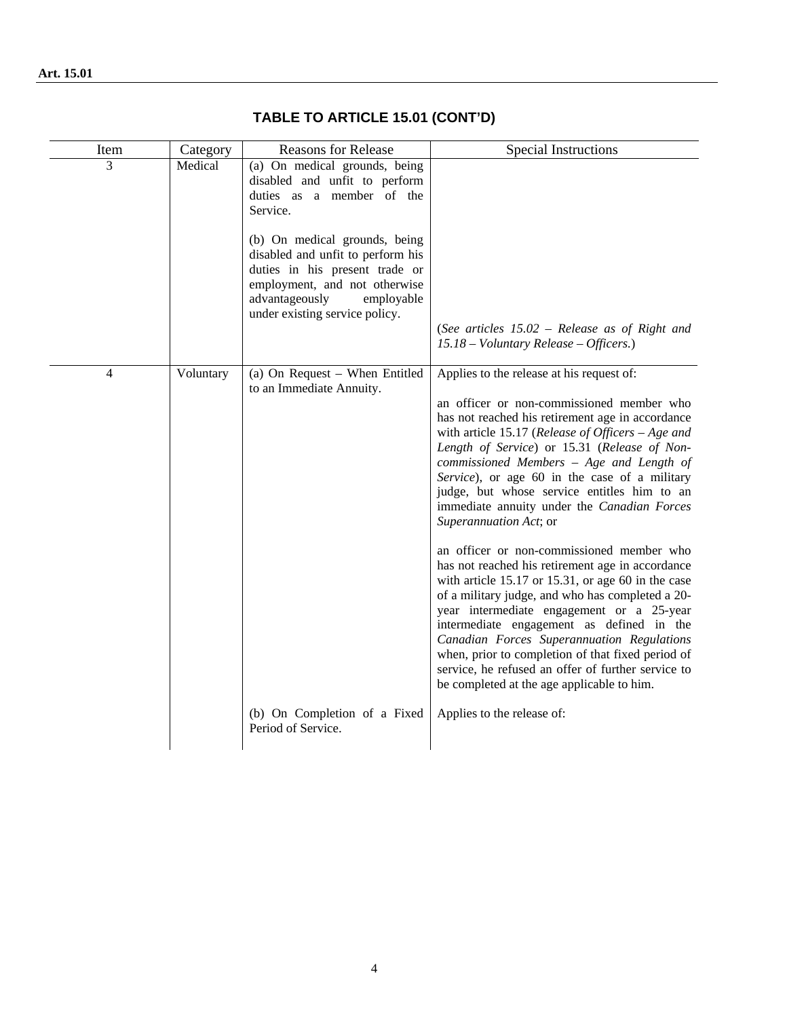| Item           | Category  | <b>Reasons for Release</b>                                                                                                                                             | Special Instructions                                                                                                                                                                                                                                                                                                                                                                                                                                                                                                                                                                                                                                                                                                                                                                                                                                                                                                                                                                   |
|----------------|-----------|------------------------------------------------------------------------------------------------------------------------------------------------------------------------|----------------------------------------------------------------------------------------------------------------------------------------------------------------------------------------------------------------------------------------------------------------------------------------------------------------------------------------------------------------------------------------------------------------------------------------------------------------------------------------------------------------------------------------------------------------------------------------------------------------------------------------------------------------------------------------------------------------------------------------------------------------------------------------------------------------------------------------------------------------------------------------------------------------------------------------------------------------------------------------|
| 3              | Medical   | (a) On medical grounds, being<br>disabled and unfit to perform<br>duties as a member of the<br>Service.<br>(b) On medical grounds, being                               |                                                                                                                                                                                                                                                                                                                                                                                                                                                                                                                                                                                                                                                                                                                                                                                                                                                                                                                                                                                        |
|                |           | disabled and unfit to perform his<br>duties in his present trade or<br>employment, and not otherwise<br>advantageously<br>employable<br>under existing service policy. |                                                                                                                                                                                                                                                                                                                                                                                                                                                                                                                                                                                                                                                                                                                                                                                                                                                                                                                                                                                        |
|                |           |                                                                                                                                                                        | (See articles $15.02$ – Release as of Right and<br>$15.18 - Voluntary Release - Officers.)$                                                                                                                                                                                                                                                                                                                                                                                                                                                                                                                                                                                                                                                                                                                                                                                                                                                                                            |
| $\overline{4}$ | Voluntary | (a) On Request - When Entitled<br>to an Immediate Annuity.                                                                                                             | Applies to the release at his request of:<br>an officer or non-commissioned member who<br>has not reached his retirement age in accordance<br>with article 15.17 (Release of Officers $-Age$ and<br>Length of Service) or 15.31 (Release of Non-<br>commissioned Members - Age and Length of<br>Service), or age 60 in the case of a military<br>judge, but whose service entitles him to an<br>immediate annuity under the Canadian Forces<br>Superannuation Act; or<br>an officer or non-commissioned member who<br>has not reached his retirement age in accordance<br>with article $15.17$ or $15.31$ , or age 60 in the case<br>of a military judge, and who has completed a 20-<br>year intermediate engagement or a 25-year<br>intermediate engagement as defined in the<br>Canadian Forces Superannuation Regulations<br>when, prior to completion of that fixed period of<br>service, he refused an offer of further service to<br>be completed at the age applicable to him. |
|                |           | (b) On Completion of a Fixed<br>Period of Service.                                                                                                                     | Applies to the release of:                                                                                                                                                                                                                                                                                                                                                                                                                                                                                                                                                                                                                                                                                                                                                                                                                                                                                                                                                             |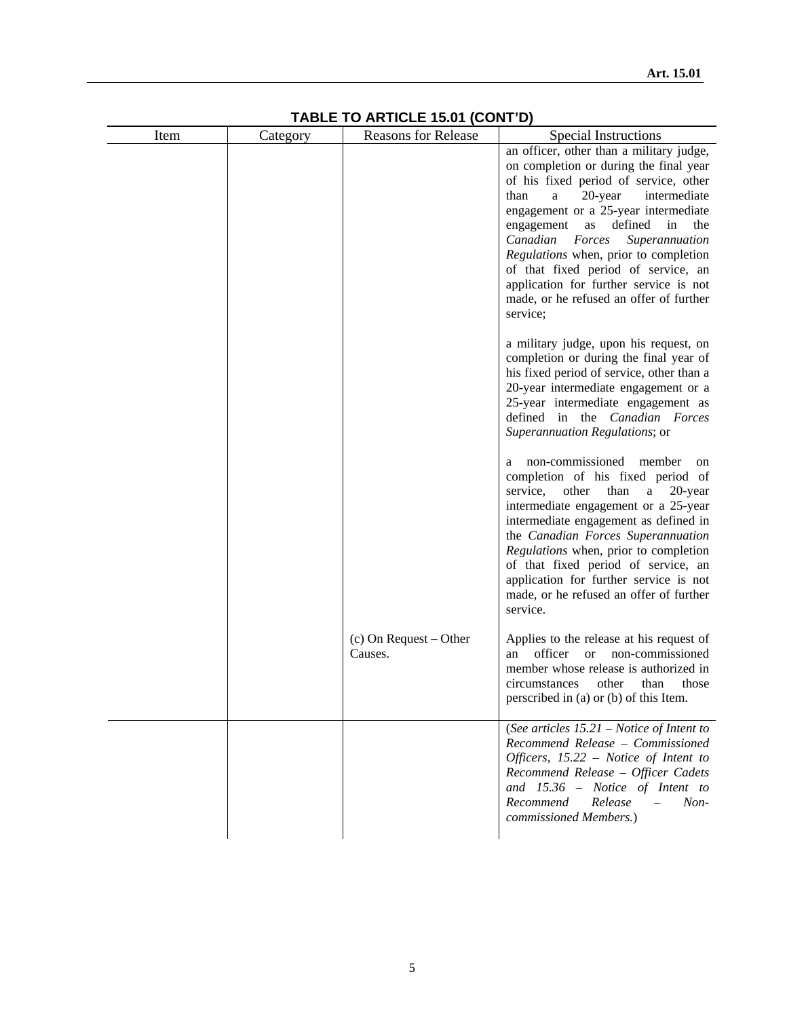| Item | Category | INDEE TO MATIOLE 19.01 (OORT D)<br><b>Reasons for Release</b> | Special Instructions                                                                                                                                                                                                                                                                                                                                                                                                                                                             |
|------|----------|---------------------------------------------------------------|----------------------------------------------------------------------------------------------------------------------------------------------------------------------------------------------------------------------------------------------------------------------------------------------------------------------------------------------------------------------------------------------------------------------------------------------------------------------------------|
|      |          |                                                               | an officer, other than a military judge,<br>on completion or during the final year<br>of his fixed period of service, other<br>than<br>a<br>20-year<br>intermediate<br>engagement or a 25-year intermediate<br>as<br>defined<br>in<br>engagement<br>the<br>Canadian<br>Forces<br>Superannuation<br>Regulations when, prior to completion<br>of that fixed period of service, an<br>application for further service is not<br>made, or he refused an offer of further<br>service: |
|      |          |                                                               | a military judge, upon his request, on<br>completion or during the final year of<br>his fixed period of service, other than a<br>20-year intermediate engagement or a<br>25-year intermediate engagement as<br>defined in the Canadian Forces<br>Superannuation Regulations; or                                                                                                                                                                                                  |
|      |          |                                                               | non-commissioned member<br>on<br>completion of his fixed period of<br>service,<br>other<br>than<br>a<br>$20$ -year<br>intermediate engagement or a 25-year<br>intermediate engagement as defined in<br>the Canadian Forces Superannuation<br>Regulations when, prior to completion<br>of that fixed period of service, an<br>application for further service is not<br>made, or he refused an offer of further<br>service.                                                       |
|      |          | $(c)$ On Request – Other<br>Causes.                           | Applies to the release at his request of<br>officer<br><sub>or</sub><br>non-commissioned<br>an<br>member whose release is authorized in<br>other<br>circumstances<br>than<br>those<br>perscribed in (a) or (b) of this Item.                                                                                                                                                                                                                                                     |
|      |          |                                                               | (See articles $15.21$ – Notice of Intent to<br>Recommend Release - Commissioned<br>Officers, $15.22$ – Notice of Intent to<br>Recommend Release - Officer Cadets<br>and $15.36$ – Notice of Intent to<br>Release<br>Recommend<br>$Non-$<br>$\equiv$<br>commissioned Members.)                                                                                                                                                                                                    |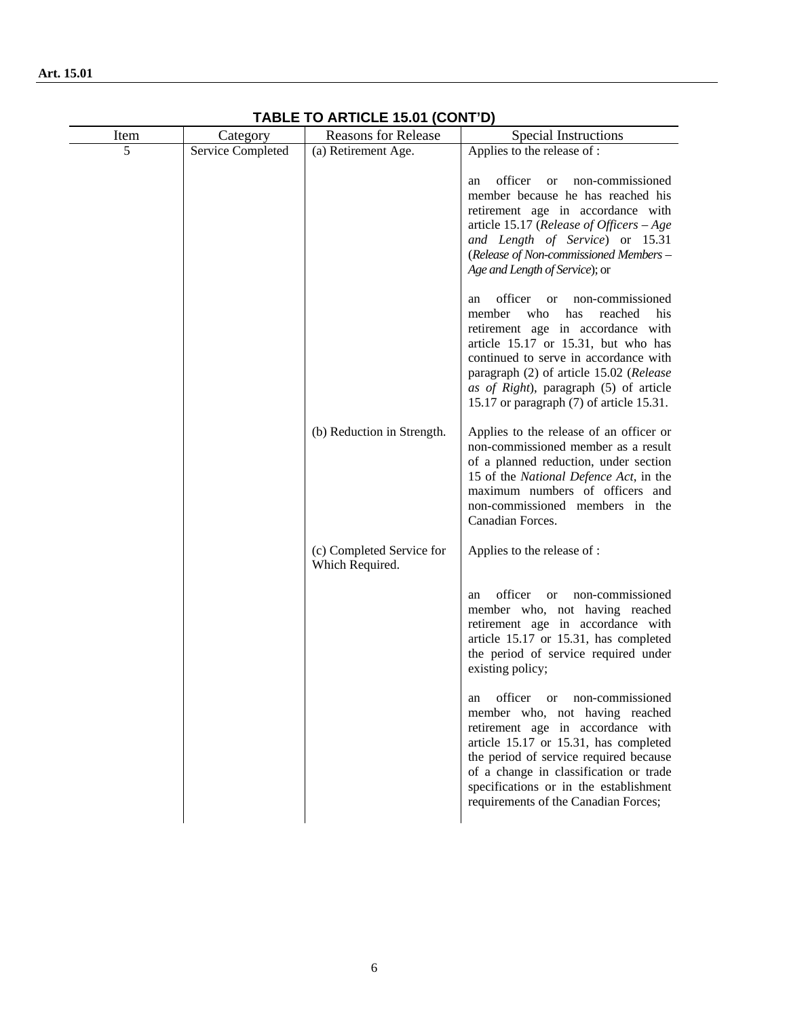| Item | Category          | <b>Reasons for Release</b>                   | <b>Special Instructions</b>                                                                                                                                                                                                                                                                                                                        |
|------|-------------------|----------------------------------------------|----------------------------------------------------------------------------------------------------------------------------------------------------------------------------------------------------------------------------------------------------------------------------------------------------------------------------------------------------|
| 5    | Service Completed | (a) Retirement Age.                          | Applies to the release of :                                                                                                                                                                                                                                                                                                                        |
|      |                   |                                              | officer<br>non-commissioned<br><b>or</b><br>an<br>member because he has reached his<br>retirement age in accordance with<br>article 15.17 (Release of Officers $-Age$<br>and Length of Service) or 15.31<br>(Release of Non-commissioned Members -<br>Age and Length of Service); or                                                               |
|      |                   |                                              | officer<br>non-commissioned<br><sub>or</sub><br>an<br>member<br>who<br>reached<br>has<br>his<br>retirement age in accordance with<br>article 15.17 or 15.31, but who has<br>continued to serve in accordance with<br>paragraph (2) of article 15.02 (Release<br>as of Right), paragraph (5) of article<br>15.17 or paragraph (7) of article 15.31. |
|      |                   | (b) Reduction in Strength.                   | Applies to the release of an officer or<br>non-commissioned member as a result<br>of a planned reduction, under section<br>15 of the National Defence Act, in the<br>maximum numbers of officers and<br>non-commissioned members in the<br>Canadian Forces.                                                                                        |
|      |                   | (c) Completed Service for<br>Which Required. | Applies to the release of :                                                                                                                                                                                                                                                                                                                        |
|      |                   |                                              | officer<br>non-commissioned<br><sub>or</sub><br>an<br>member who, not having reached<br>retirement age in accordance with<br>article 15.17 or 15.31, has completed<br>the period of service required under<br>existing policy;                                                                                                                     |
|      |                   |                                              | officer or non-commissioned<br>an<br>member who, not having reached<br>retirement age in accordance with<br>article 15.17 or 15.31, has completed<br>the period of service required because<br>of a change in classification or trade<br>specifications or in the establishment<br>requirements of the Canadian Forces;                            |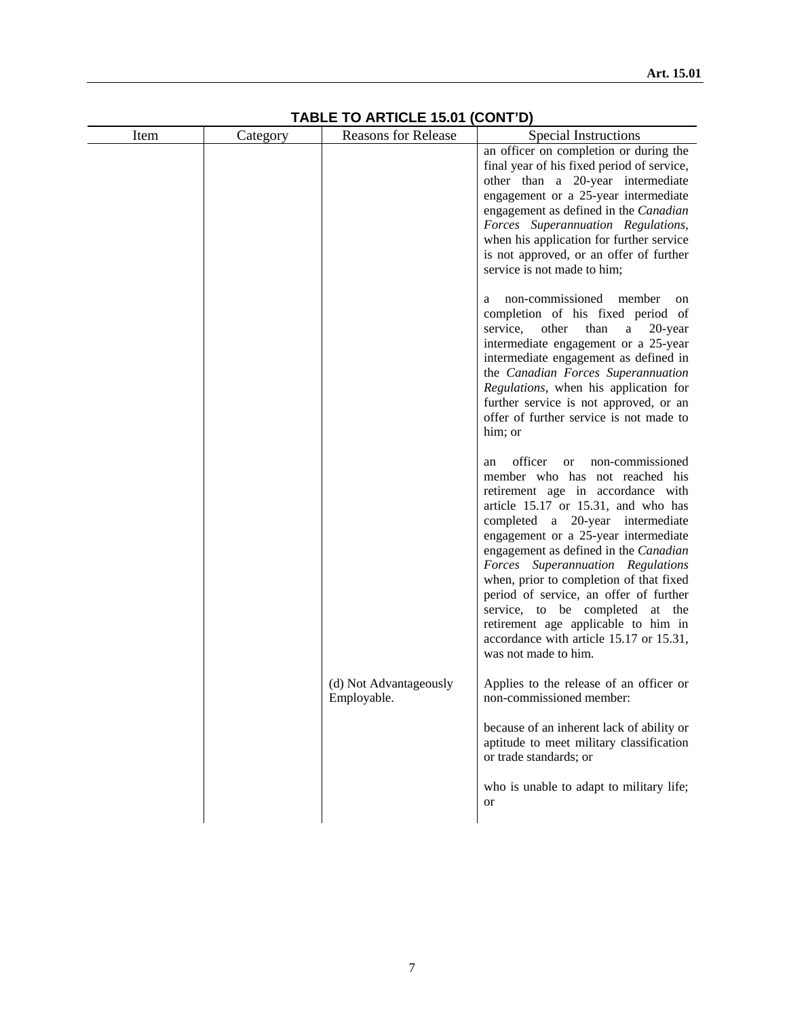| Item | Category | 1<br><b>Reasons for Release</b>       | UUNI D<br><b>Special Instructions</b>                                                                                                                                                                                                                                                                                                                                                                                                                                                                                                                    |
|------|----------|---------------------------------------|----------------------------------------------------------------------------------------------------------------------------------------------------------------------------------------------------------------------------------------------------------------------------------------------------------------------------------------------------------------------------------------------------------------------------------------------------------------------------------------------------------------------------------------------------------|
|      |          |                                       | an officer on completion or during the<br>final year of his fixed period of service,<br>other than a 20-year intermediate<br>engagement or a 25-year intermediate<br>engagement as defined in the Canadian<br>Forces Superannuation Regulations,<br>when his application for further service<br>is not approved, or an offer of further<br>service is not made to him;                                                                                                                                                                                   |
|      |          |                                       | non-commissioned member<br><sub>on</sub><br>a<br>completion of his fixed period of<br>than<br>service,<br>other<br>a<br>20-year<br>intermediate engagement or a 25-year<br>intermediate engagement as defined in<br>the Canadian Forces Superannuation<br>Regulations, when his application for<br>further service is not approved, or an<br>offer of further service is not made to<br>him; or                                                                                                                                                          |
|      |          |                                       | officer<br>non-commissioned<br><b>or</b><br>an<br>member who has not reached his<br>retirement age in accordance with<br>article 15.17 or 15.31, and who has<br>completed a 20-year intermediate<br>engagement or a 25-year intermediate<br>engagement as defined in the Canadian<br>Forces Superannuation Regulations<br>when, prior to completion of that fixed<br>period of service, an offer of further<br>service, to be completed at the<br>retirement age applicable to him in<br>accordance with article 15.17 or 15.31,<br>was not made to him. |
|      |          | (d) Not Advantageously<br>Employable. | Applies to the release of an officer or<br>non-commissioned member:                                                                                                                                                                                                                                                                                                                                                                                                                                                                                      |
|      |          |                                       | because of an inherent lack of ability or<br>aptitude to meet military classification<br>or trade standards; or                                                                                                                                                                                                                                                                                                                                                                                                                                          |
|      |          |                                       | who is unable to adapt to military life;<br><b>or</b>                                                                                                                                                                                                                                                                                                                                                                                                                                                                                                    |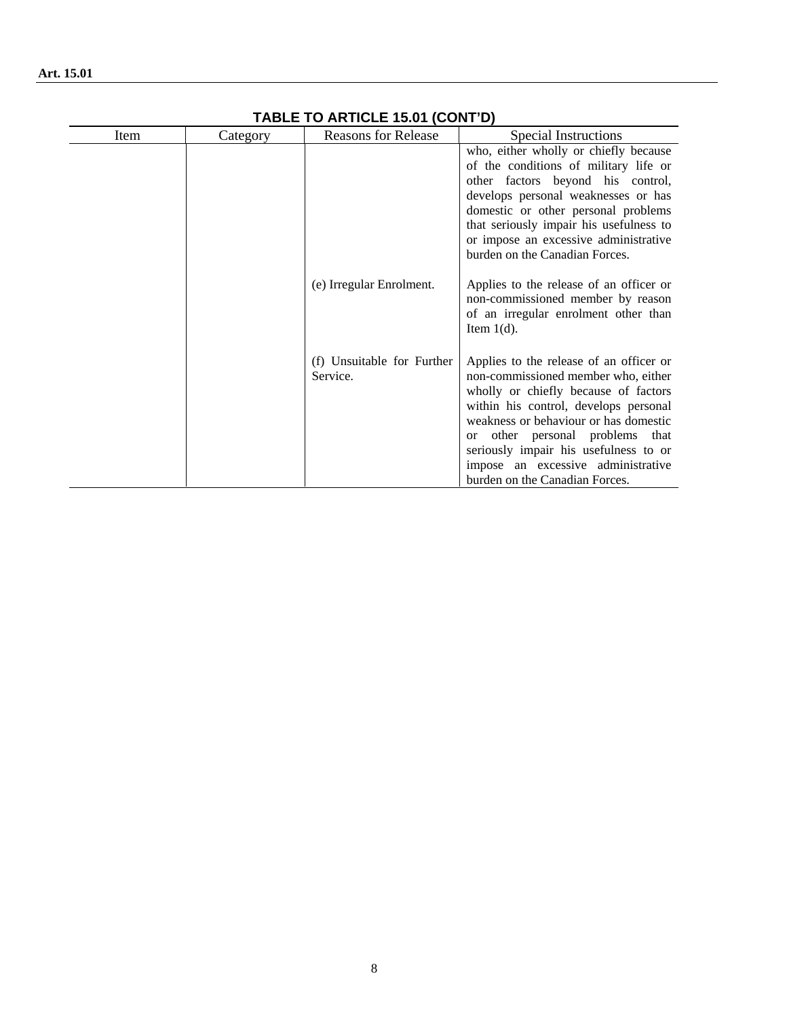| Item | Category | <b>Reasons for Release</b>             | Special Instructions                                                                                                                                                                                                                                                                                                                                                       |
|------|----------|----------------------------------------|----------------------------------------------------------------------------------------------------------------------------------------------------------------------------------------------------------------------------------------------------------------------------------------------------------------------------------------------------------------------------|
|      |          |                                        | who, either wholly or chiefly because<br>of the conditions of military life or<br>other factors beyond his control,<br>develops personal weaknesses or has<br>domestic or other personal problems<br>that seriously impair his usefulness to<br>or impose an excessive administrative<br>burden on the Canadian Forces.                                                    |
|      |          | (e) Irregular Enrolment.               | Applies to the release of an officer or<br>non-commissioned member by reason<br>of an irregular enrolment other than<br>Item $1(d)$ .                                                                                                                                                                                                                                      |
|      |          | (f) Unsuitable for Further<br>Service. | Applies to the release of an officer or<br>non-commissioned member who, either<br>wholly or chiefly because of factors<br>within his control, develops personal<br>weakness or behaviour or has domestic<br>other personal problems that<br><sub>or</sub><br>seriously impair his usefulness to or<br>impose an excessive administrative<br>burden on the Canadian Forces. |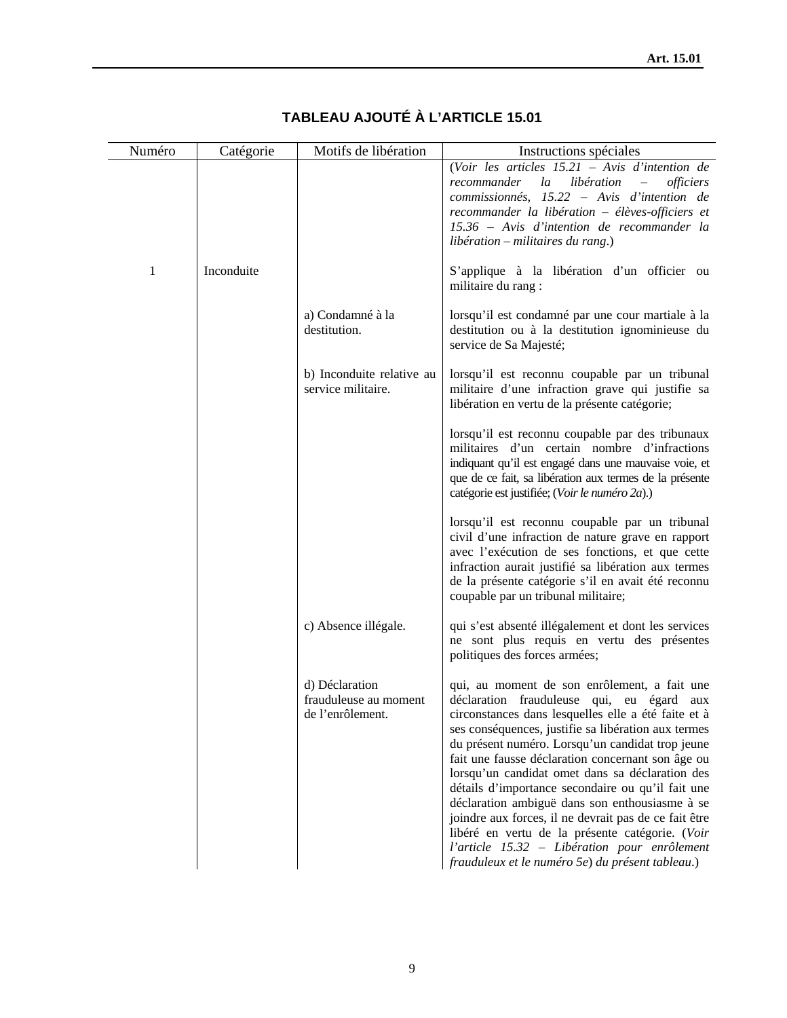| Numéro | Catégorie  | Motifs de libération                                        | Instructions spéciales                                                                                                                                                                                                                                                                                                                                                                                                                                                                                                                                                                                                                                                                     |
|--------|------------|-------------------------------------------------------------|--------------------------------------------------------------------------------------------------------------------------------------------------------------------------------------------------------------------------------------------------------------------------------------------------------------------------------------------------------------------------------------------------------------------------------------------------------------------------------------------------------------------------------------------------------------------------------------------------------------------------------------------------------------------------------------------|
|        |            |                                                             | (Voir les articles $15.21$ – Avis d'intention de<br>$l\bar{a}$<br>libération<br>recommander<br>officiers<br>$\overline{\phantom{m}}$<br>commissionnés, 15.22 – Avis d'intention de<br>recommander la libération - élèves-officiers et<br>15.36 - Avis d'intention de recommander la<br>libération – militaires du rang.)                                                                                                                                                                                                                                                                                                                                                                   |
| 1      | Inconduite |                                                             | S'applique à la libération d'un officier ou<br>militaire du rang :                                                                                                                                                                                                                                                                                                                                                                                                                                                                                                                                                                                                                         |
|        |            | a) Condamné à la<br>destitution.                            | lorsqu'il est condamné par une cour martiale à la<br>destitution ou à la destitution ignominieuse du<br>service de Sa Majesté;                                                                                                                                                                                                                                                                                                                                                                                                                                                                                                                                                             |
|        |            | b) Inconduite relative au<br>service militaire.             | lorsqu'il est reconnu coupable par un tribunal<br>militaire d'une infraction grave qui justifie sa<br>libération en vertu de la présente catégorie;                                                                                                                                                                                                                                                                                                                                                                                                                                                                                                                                        |
|        |            |                                                             | lorsqu'il est reconnu coupable par des tribunaux<br>militaires d'un certain nombre d'infractions<br>indiquant qu'il est engagé dans une mauvaise voie, et<br>que de ce fait, sa libération aux termes de la présente<br>catégorie est justifiée; (Voir le numéro 2a).)                                                                                                                                                                                                                                                                                                                                                                                                                     |
|        |            |                                                             | lorsqu'il est reconnu coupable par un tribunal<br>civil d'une infraction de nature grave en rapport<br>avec l'exécution de ses fonctions, et que cette<br>infraction aurait justifié sa libération aux termes<br>de la présente catégorie s'il en avait été reconnu<br>coupable par un tribunal militaire;                                                                                                                                                                                                                                                                                                                                                                                 |
|        |            | c) Absence illégale.                                        | qui s'est absenté illégalement et dont les services<br>ne sont plus requis en vertu des présentes<br>politiques des forces armées;                                                                                                                                                                                                                                                                                                                                                                                                                                                                                                                                                         |
|        |            | d) Déclaration<br>frauduleuse au moment<br>de l'enrôlement. | qui, au moment de son enrôlement, a fait une<br>déclaration frauduleuse qui, eu égard aux<br>circonstances dans lesquelles elle a été faite et à<br>ses conséquences, justifie sa libération aux termes<br>du présent numéro. Lorsqu'un candidat trop jeune<br>fait une fausse déclaration concernant son âge ou<br>lorsqu'un candidat omet dans sa déclaration des<br>détails d'importance secondaire ou qu'il fait une<br>déclaration ambiguë dans son enthousiasme à se<br>joindre aux forces, il ne devrait pas de ce fait être<br>libéré en vertu de la présente catégorie. (Voir<br>l'article 15.32 - Libération pour enrôlement<br>frauduleux et le numéro 5e) du présent tableau.) |

# **TABLEAU AJOUTÉ À L'ARTICLE 15.01**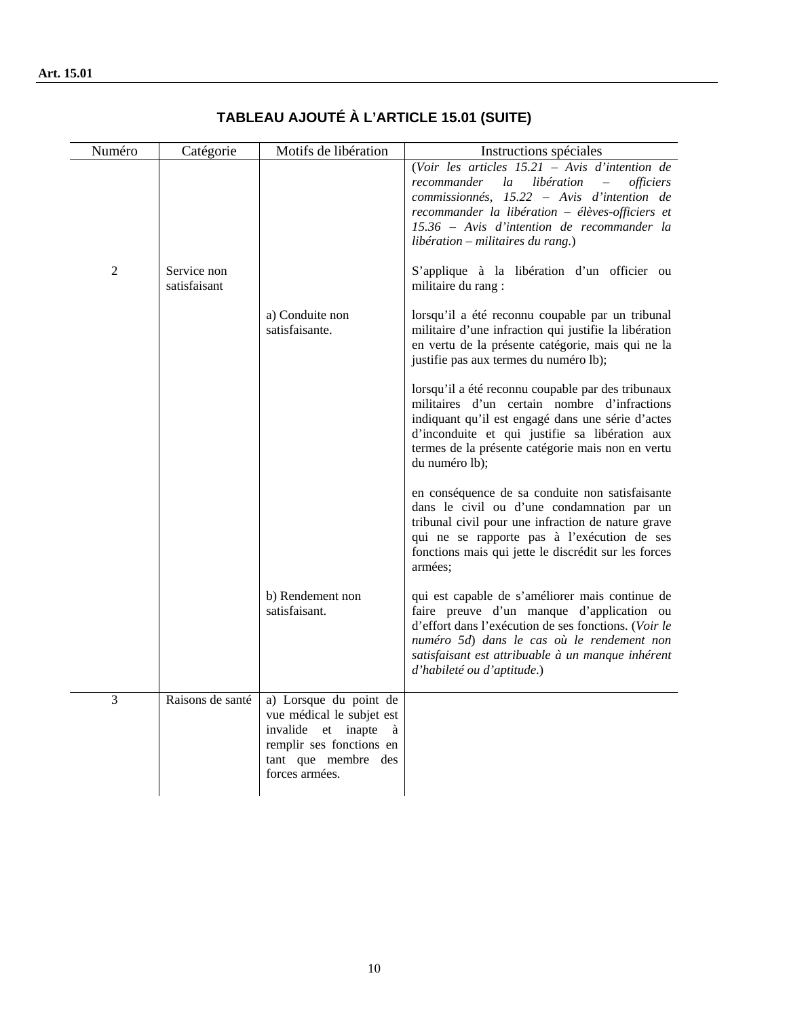| Numéro | Catégorie                   | Motifs de libération                                                                                                                                | Instructions spéciales                                                                                                                                                                                                                                                                        |
|--------|-----------------------------|-----------------------------------------------------------------------------------------------------------------------------------------------------|-----------------------------------------------------------------------------------------------------------------------------------------------------------------------------------------------------------------------------------------------------------------------------------------------|
|        |                             |                                                                                                                                                     | (Voir les articles $15.21$ – Avis d'intention de<br>recommander<br>la<br>libération<br><i>officiers</i><br>commissionnés, 15.22 – Avis d'intention de<br>recommander la libération - élèves-officiers et<br>15.36 - Avis d'intention de recommander la<br>$libération - militaires du rang.)$ |
| 2      | Service non<br>satisfaisant |                                                                                                                                                     | S'applique à la libération d'un officier ou<br>militaire du rang :                                                                                                                                                                                                                            |
|        |                             | a) Conduite non<br>satisfaisante.                                                                                                                   | lorsqu'il a été reconnu coupable par un tribunal<br>militaire d'une infraction qui justifie la libération<br>en vertu de la présente catégorie, mais qui ne la<br>justifie pas aux termes du numéro lb);                                                                                      |
|        |                             |                                                                                                                                                     | lorsqu'il a été reconnu coupable par des tribunaux<br>militaires d'un certain nombre d'infractions<br>indiquant qu'il est engagé dans une série d'actes<br>d'inconduite et qui justifie sa libération aux<br>termes de la présente catégorie mais non en vertu<br>du numéro lb);              |
|        |                             |                                                                                                                                                     | en conséquence de sa conduite non satisfaisante<br>dans le civil ou d'une condamnation par un<br>tribunal civil pour une infraction de nature grave<br>qui ne se rapporte pas à l'exécution de ses<br>fonctions mais qui jette le discrédit sur les forces<br>armées;                         |
|        |                             | b) Rendement non<br>satisfaisant.                                                                                                                   | qui est capable de s'améliorer mais continue de<br>faire preuve d'un manque d'application ou<br>d'effort dans l'exécution de ses fonctions. (Voir le<br>numéro 5d) dans le cas où le rendement non<br>satisfaisant est attribuable à un manque inhérent<br>d'habileté ou d'aptitude.)         |
| 3      | Raisons de santé            | a) Lorsque du point de<br>vue médical le subjet est<br>invalide et inapte<br>à<br>remplir ses fonctions en<br>tant que membre des<br>forces armées. |                                                                                                                                                                                                                                                                                               |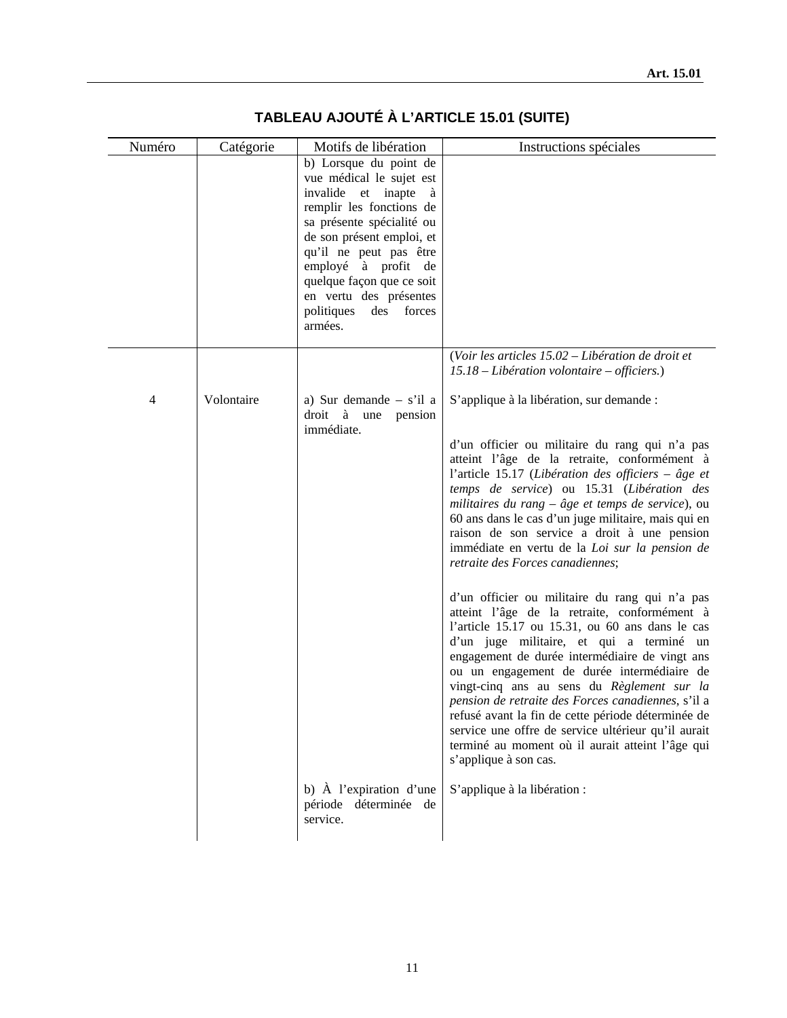| Numéro | Catégorie  | Motifs de libération                                  | Instructions spéciales                                                                             |
|--------|------------|-------------------------------------------------------|----------------------------------------------------------------------------------------------------|
|        |            | b) Lorsque du point de                                |                                                                                                    |
|        |            | vue médical le sujet est                              |                                                                                                    |
|        |            | invalide et inapte<br>à                               |                                                                                                    |
|        |            | remplir les fonctions de<br>sa présente spécialité ou |                                                                                                    |
|        |            | de son présent emploi, et                             |                                                                                                    |
|        |            | qu'il ne peut pas être                                |                                                                                                    |
|        |            | employé à profit de                                   |                                                                                                    |
|        |            | quelque façon que ce soit                             |                                                                                                    |
|        |            | en vertu des présentes                                |                                                                                                    |
|        |            | politiques<br>des forces<br>armées.                   |                                                                                                    |
|        |            |                                                       | (Voir les articles 15.02 – Libération de droit et                                                  |
|        |            |                                                       | 15.18 – Libération volontaire – officiers.)                                                        |
| 4      | Volontaire | a) Sur demande $-$ s'il a                             | S'applique à la libération, sur demande :                                                          |
|        |            | droit à une pension<br>immédiate.                     |                                                                                                    |
|        |            |                                                       | d'un officier ou militaire du rang qui n'a pas                                                     |
|        |            |                                                       | atteint l'âge de la retraite, conformément à                                                       |
|        |            |                                                       | l'article 15.17 (Libération des officiers – âge et                                                 |
|        |            |                                                       | temps de service) ou 15.31 (Libération des                                                         |
|        |            |                                                       | militaires du rang $-$ âge et temps de service), ou                                                |
|        |            |                                                       | 60 ans dans le cas d'un juge militaire, mais qui en<br>raison de son service a droit à une pension |
|        |            |                                                       | immédiate en vertu de la Loi sur la pension de                                                     |
|        |            |                                                       | retraite des Forces canadiennes;                                                                   |
|        |            |                                                       |                                                                                                    |
|        |            |                                                       | d'un officier ou militaire du rang qui n'a pas                                                     |
|        |            |                                                       | atteint l'âge de la retraite, conformément à                                                       |
|        |            |                                                       | l'article 15.17 ou 15.31, ou 60 ans dans le cas                                                    |
|        |            |                                                       | d'un juge militaire, et qui a terminé un<br>engagement de durée intermédiaire de vingt ans         |
|        |            |                                                       | ou un engagement de durée intermédiaire de                                                         |
|        |            |                                                       | vingt-cinq ans au sens du Règlement sur la                                                         |
|        |            |                                                       | pension de retraite des Forces canadiennes, s'il a                                                 |
|        |            |                                                       | refusé avant la fin de cette période déterminée de                                                 |
|        |            |                                                       | service une offre de service ultérieur qu'il aurait                                                |
|        |            |                                                       | terminé au moment où il aurait atteint l'âge qui<br>s'applique à son cas.                          |
|        |            | b) À l'expiration d'une                               | S'applique à la libération :                                                                       |
|        |            | période déterminée de                                 |                                                                                                    |
|        |            | service.                                              |                                                                                                    |
|        |            |                                                       |                                                                                                    |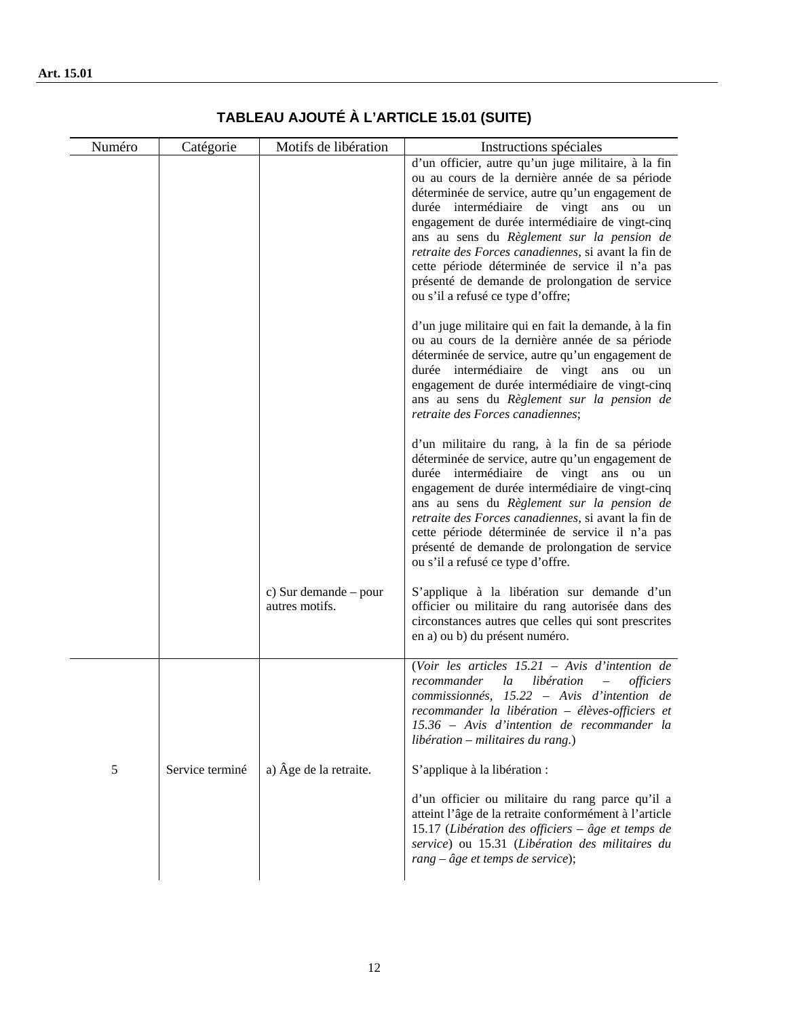| Numéro | Catégorie       | Motifs de libération                      | Instructions spéciales                                                                                                                                                                                                                                                                                                                                                                                                                                                                               |
|--------|-----------------|-------------------------------------------|------------------------------------------------------------------------------------------------------------------------------------------------------------------------------------------------------------------------------------------------------------------------------------------------------------------------------------------------------------------------------------------------------------------------------------------------------------------------------------------------------|
|        |                 |                                           | d'un officier, autre qu'un juge militaire, à la fin<br>ou au cours de la dernière année de sa période<br>déterminée de service, autre qu'un engagement de<br>durée intermédiaire de vingt ans ou un<br>engagement de durée intermédiaire de vingt-cinq<br>ans au sens du Règlement sur la pension de<br>retraite des Forces canadiennes, si avant la fin de<br>cette période déterminée de service il n'a pas<br>présenté de demande de prolongation de service<br>ou s'il a refusé ce type d'offre; |
|        |                 |                                           | d'un juge militaire qui en fait la demande, à la fin<br>ou au cours de la dernière année de sa période<br>déterminée de service, autre qu'un engagement de<br>durée intermédiaire de vingt ans ou un<br>engagement de durée intermédiaire de vingt-cinq<br>ans au sens du Règlement sur la pension de<br>retraite des Forces canadiennes;                                                                                                                                                            |
|        |                 |                                           | d'un militaire du rang, à la fin de sa période<br>déterminée de service, autre qu'un engagement de<br>durée intermédiaire de vingt ans ou un<br>engagement de durée intermédiaire de vingt-cinq<br>ans au sens du Règlement sur la pension de<br>retraite des Forces canadiennes, si avant la fin de<br>cette période déterminée de service il n'a pas<br>présenté de demande de prolongation de service<br>ou s'il a refusé ce type d'offre.                                                        |
|        |                 | c) Sur demande $-$ pour<br>autres motifs. | S'applique à la libération sur demande d'un<br>officier ou militaire du rang autorisée dans des<br>circonstances autres que celles qui sont prescrites<br>en a) ou b) du présent numéro.                                                                                                                                                                                                                                                                                                             |
|        |                 |                                           | (Voir les articles $15.21$ – Avis d'intention de<br>la<br>libération<br>recommander<br><i>officiers</i><br>commissionnés, 15.22 – Avis d'intention de<br>recommander la libération - élèves-officiers et<br>15.36 – Avis d'intention de recommander la<br>libération – militaires du rang.)                                                                                                                                                                                                          |
| 5      | Service terminé | a) Âge de la retraite.                    | S'applique à la libération :                                                                                                                                                                                                                                                                                                                                                                                                                                                                         |
|        |                 |                                           | d'un officier ou militaire du rang parce qu'il a<br>atteint l'âge de la retraite conformément à l'article<br>15.17 (Libération des officiers – âge et temps de<br>service) ou 15.31 (Libération des militaires du<br>$rang - \hat{a}ge$ et temps de service);                                                                                                                                                                                                                                        |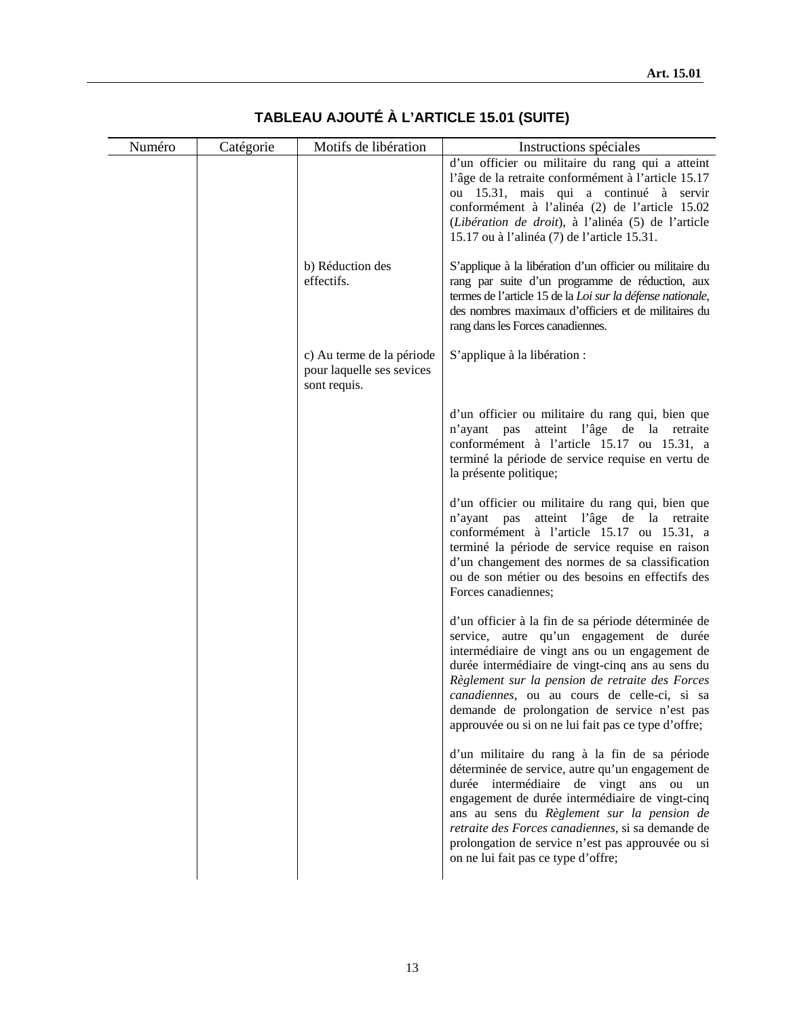| Numéro | Catégorie | Motifs de libération      | Instructions spéciales                                                                                             |
|--------|-----------|---------------------------|--------------------------------------------------------------------------------------------------------------------|
|        |           |                           | d'un officier ou militaire du rang qui a atteint                                                                   |
|        |           |                           | l'âge de la retraite conformément à l'article 15.17                                                                |
|        |           |                           | ou 15.31, mais qui a continué à servir                                                                             |
|        |           |                           | conformément à l'alinéa (2) de l'article 15.02<br>(Libération de droit), à l'alinéa (5) de l'article               |
|        |           |                           | 15.17 ou à l'alinéa (7) de l'article 15.31.                                                                        |
|        |           |                           |                                                                                                                    |
|        |           | b) Réduction des          | S'applique à la libération d'un officier ou militaire du                                                           |
|        |           | effectifs.                | rang par suite d'un programme de réduction, aux                                                                    |
|        |           |                           | termes de l'article 15 de la Loi sur la défense nationale,<br>des nombres maximaux d'officiers et de militaires du |
|        |           |                           | rang dans les Forces canadiennes.                                                                                  |
|        |           |                           |                                                                                                                    |
|        |           | c) Au terme de la période | S'applique à la libération :                                                                                       |
|        |           | pour laquelle ses sevices |                                                                                                                    |
|        |           | sont requis.              |                                                                                                                    |
|        |           |                           | d'un officier ou militaire du rang qui, bien que                                                                   |
|        |           |                           | n'ayant pas atteint l'âge de la retraite                                                                           |
|        |           |                           | conformément à l'article 15.17 ou 15.31, a                                                                         |
|        |           |                           | terminé la période de service requise en vertu de                                                                  |
|        |           |                           | la présente politique;                                                                                             |
|        |           |                           | d'un officier ou militaire du rang qui, bien que                                                                   |
|        |           |                           | n'ayant pas atteint l'âge de la retraite                                                                           |
|        |           |                           | conformément à l'article 15.17 ou 15.31, a                                                                         |
|        |           |                           | terminé la période de service requise en raison<br>d'un changement des normes de sa classification                 |
|        |           |                           | ou de son métier ou des besoins en effectifs des                                                                   |
|        |           |                           | Forces canadiennes;                                                                                                |
|        |           |                           |                                                                                                                    |
|        |           |                           | d'un officier à la fin de sa période déterminée de                                                                 |
|        |           |                           | service, autre qu'un engagement de durée<br>intermédiaire de vingt ans ou un engagement de                         |
|        |           |                           | durée intermédiaire de vingt-cinq ans au sens du                                                                   |
|        |           |                           | Règlement sur la pension de retraite des Forces                                                                    |
|        |           |                           | canadiennes, ou au cours de celle-ci, si sa                                                                        |
|        |           |                           | demande de prolongation de service n'est pas                                                                       |
|        |           |                           | approuvée ou si on ne lui fait pas ce type d'offre;                                                                |
|        |           |                           | d'un militaire du rang à la fin de sa période                                                                      |
|        |           |                           | déterminée de service, autre qu'un engagement de                                                                   |
|        |           |                           | durée intermédiaire de vingt ans ou un                                                                             |
|        |           |                           | engagement de durée intermédiaire de vingt-cinq                                                                    |
|        |           |                           | ans au sens du Règlement sur la pension de<br>retraite des Forces canadiennes, si sa demande de                    |
|        |           |                           | prolongation de service n'est pas approuvée ou si                                                                  |
|        |           |                           | on ne lui fait pas ce type d'offre;                                                                                |
|        |           |                           |                                                                                                                    |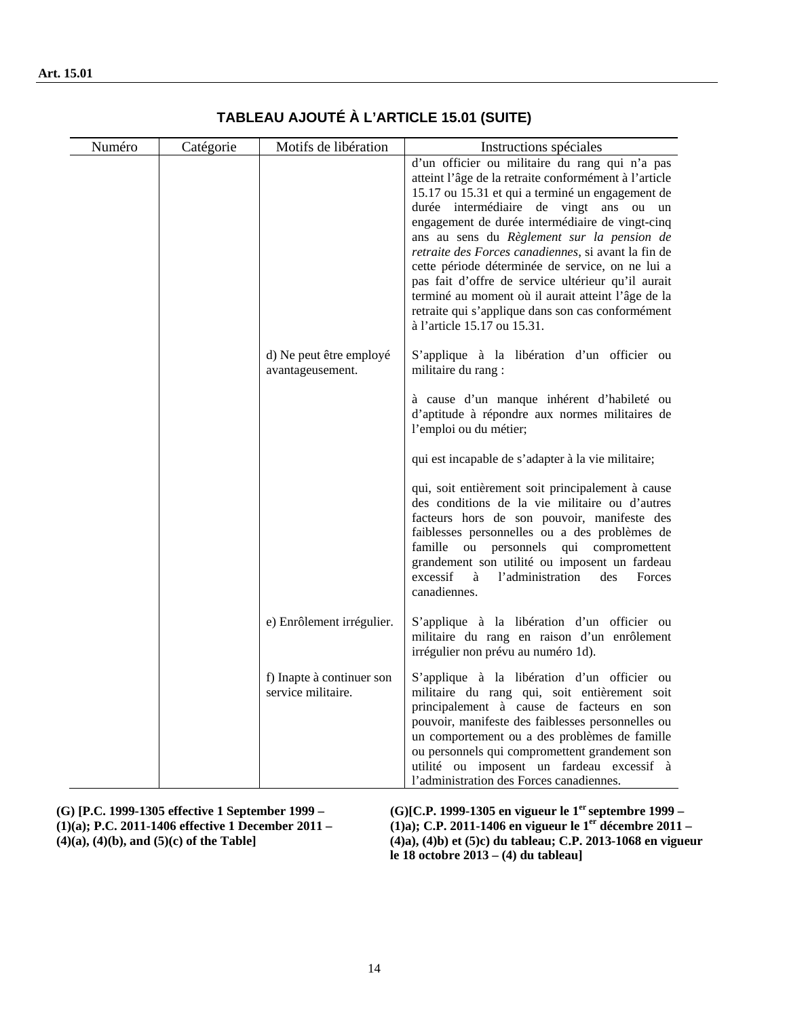| Numéro | Catégorie | Motifs de libération                            | Instructions spéciales                                                                                                                                                                                                                                                                                                                                                                                                                                                                                                                                                                                            |
|--------|-----------|-------------------------------------------------|-------------------------------------------------------------------------------------------------------------------------------------------------------------------------------------------------------------------------------------------------------------------------------------------------------------------------------------------------------------------------------------------------------------------------------------------------------------------------------------------------------------------------------------------------------------------------------------------------------------------|
|        |           |                                                 | d'un officier ou militaire du rang qui n'a pas<br>atteint l'âge de la retraite conformément à l'article<br>15.17 ou 15.31 et qui a terminé un engagement de<br>durée intermédiaire de vingt ans ou un<br>engagement de durée intermédiaire de vingt-cinq<br>ans au sens du Règlement sur la pension de<br>retraite des Forces canadiennes, si avant la fin de<br>cette période déterminée de service, on ne lui a<br>pas fait d'offre de service ultérieur qu'il aurait<br>terminé au moment où il aurait atteint l'âge de la<br>retraite qui s'applique dans son cas conformément<br>à l'article 15.17 ou 15.31. |
|        |           | d) Ne peut être employé<br>avantageusement.     | S'applique à la libération d'un officier ou<br>militaire du rang :                                                                                                                                                                                                                                                                                                                                                                                                                                                                                                                                                |
|        |           |                                                 | à cause d'un manque inhérent d'habileté ou<br>d'aptitude à répondre aux normes militaires de<br>l'emploi ou du métier;                                                                                                                                                                                                                                                                                                                                                                                                                                                                                            |
|        |           |                                                 | qui est incapable de s'adapter à la vie militaire;                                                                                                                                                                                                                                                                                                                                                                                                                                                                                                                                                                |
|        |           |                                                 | qui, soit entièrement soit principalement à cause<br>des conditions de la vie militaire ou d'autres<br>facteurs hors de son pouvoir, manifeste des<br>faiblesses personnelles ou a des problèmes de<br>ou personnels qui compromettent<br>famille<br>grandement son utilité ou imposent un fardeau<br>excessif<br>l'administration<br>à<br>Forces<br>des<br>canadiennes.                                                                                                                                                                                                                                          |
|        |           | e) Enrôlement irrégulier.                       | S'applique à la libération d'un officier ou<br>militaire du rang en raison d'un enrôlement<br>irrégulier non prévu au numéro 1d).                                                                                                                                                                                                                                                                                                                                                                                                                                                                                 |
|        |           | f) Inapte à continuer son<br>service militaire. | S'applique à la libération d'un officier ou<br>militaire du rang qui, soit entièrement soit<br>principalement à cause de facteurs en son<br>pouvoir, manifeste des faiblesses personnelles ou<br>un comportement ou a des problèmes de famille<br>ou personnels qui compromettent grandement son<br>utilité ou imposent un fardeau excessif à<br>l'administration des Forces canadiennes.                                                                                                                                                                                                                         |

**(G) [P.C. 1999-1305 effective 1 September 1999 – (1)(a); P.C. 2011-1406 effective 1 December 2011 – (4)(a), (4)(b), and (5)(c) of the Table] (G)[C.P. 1999-1305 en vigueur le 1er septembre 1999 – (1)a); C.P. 2011-1406 en vigueur le 1er décembre 2011 – (4)a), (4)b) et (5)c) du tableau; C.P. 2013-1068 en vigueur le 18 octobre 2013 – (4) du tableau]**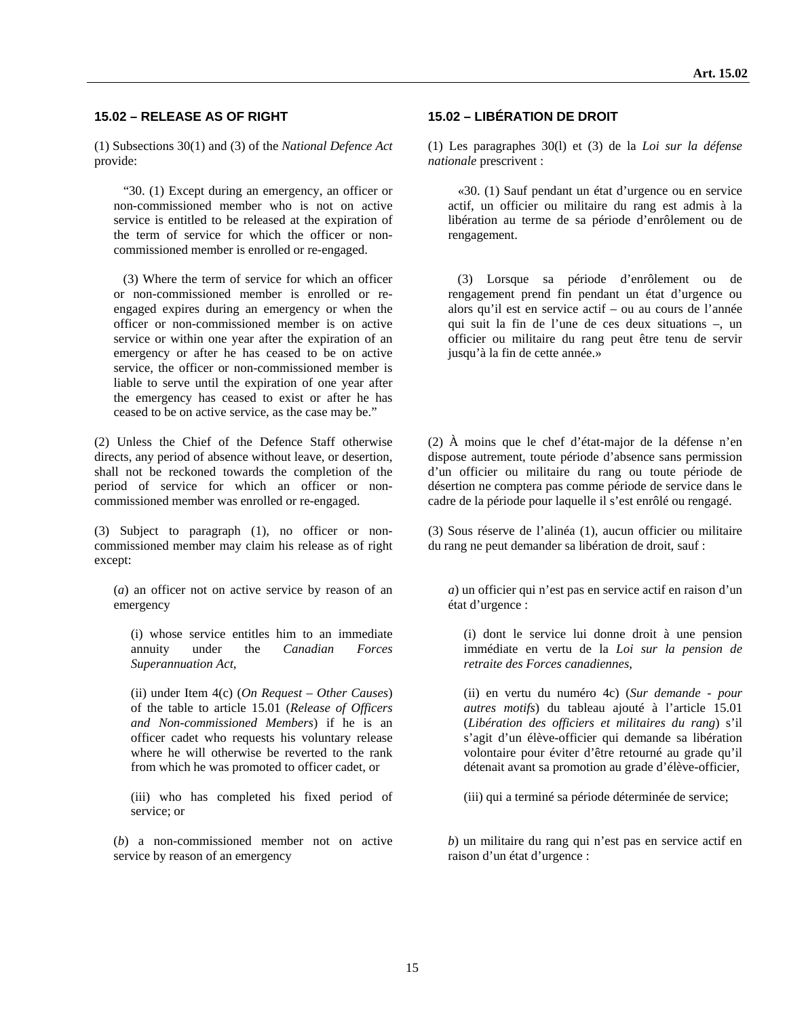#### **15.02 – RELEASE AS OF RIGHT 15.02 – LIBÉRATION DE DROIT**

(1) Subsections 30(1) and (3) of the *National Defence Act* provide:

 "30. (1) Except during an emergency, an officer or non-commissioned member who is not on active service is entitled to be released at the expiration of the term of service for which the officer or noncommissioned member is enrolled or re-engaged.

 (3) Where the term of service for which an officer or non-commissioned member is enrolled or reengaged expires during an emergency or when the officer or non-commissioned member is on active service or within one year after the expiration of an emergency or after he has ceased to be on active service, the officer or non-commissioned member is liable to serve until the expiration of one year after the emergency has ceased to exist or after he has ceased to be on active service, as the case may be."

(2) Unless the Chief of the Defence Staff otherwise directs, any period of absence without leave, or desertion, shall not be reckoned towards the completion of the period of service for which an officer or noncommissioned member was enrolled or re-engaged.

(3) Subject to paragraph (1), no officer or noncommissioned member may claim his release as of right except:

(*a*) an officer not on active service by reason of an emergency

(i) whose service entitles him to an immediate annuity under the *Canadian Forces Superannuation Act*,

(ii) under Item 4(c) (*On Request – Other Causes*) of the table to article 15.01 (*Release of Officers and Non-commissioned Members*) if he is an officer cadet who requests his voluntary release where he will otherwise be reverted to the rank from which he was promoted to officer cadet, or

(iii) who has completed his fixed period of service; or

(*b*) a non-commissioned member not on active service by reason of an emergency

(1) Les paragraphes 30(l) et (3) de la *Loi sur la défense nationale* prescrivent :

 «30. (1) Sauf pendant un état d'urgence ou en service actif, un officier ou militaire du rang est admis à la libération au terme de sa période d'enrôlement ou de rengagement.

 (3) Lorsque sa période d'enrôlement ou de rengagement prend fin pendant un état d'urgence ou alors qu'il est en service actif – ou au cours de l'année qui suit la fin de l'une de ces deux situations –, un officier ou militaire du rang peut être tenu de servir jusqu'à la fin de cette année.»

(2) À moins que le chef d'état-major de la défense n'en dispose autrement, toute période d'absence sans permission d'un officier ou militaire du rang ou toute période de désertion ne comptera pas comme période de service dans le cadre de la période pour laquelle il s'est enrôlé ou rengagé.

(3) Sous réserve de l'alinéa (1), aucun officier ou militaire du rang ne peut demander sa libération de droit, sauf :

*a*) un officier qui n'est pas en service actif en raison d'un état d'urgence :

(i) dont le service lui donne droit à une pension immédiate en vertu de la *Loi sur la pension de retraite des Forces canadiennes*,

(ii) en vertu du numéro 4c) (*Sur demande - pour autres motifs*) du tableau ajouté à l'article 15.01 (*Libération des officiers et militaires du rang*) s'il s'agit d'un élève-officier qui demande sa libération volontaire pour éviter d'être retourné au grade qu'il détenait avant sa promotion au grade d'élève-officier,

(iii) qui a terminé sa période déterminée de service;

*b*) un militaire du rang qui n'est pas en service actif en raison d'un état d'urgence :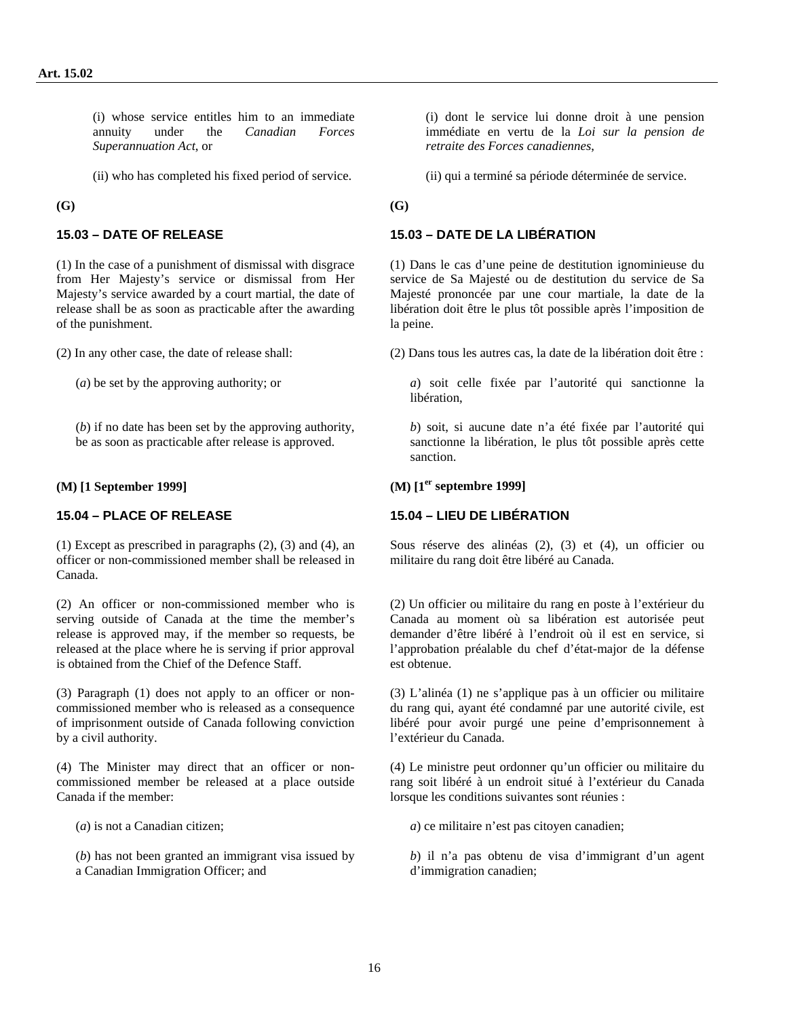(i) whose service entitles him to an immediate annuity under the *Canadian Forces Superannuation Act*, or

(ii) who has completed his fixed period of service. (ii) qui a terminé sa période déterminée de service.

**(G) (G)** 

(1) In the case of a punishment of dismissal with disgrace from Her Majesty's service or dismissal from Her Majesty's service awarded by a court martial, the date of release shall be as soon as practicable after the awarding of the punishment.

(*b*) if no date has been set by the approving authority, be as soon as practicable after release is approved.

#### **(M) [1 September 1999] (M) [1er septembre 1999]**

(1) Except as prescribed in paragraphs (2), (3) and (4), an officer or non-commissioned member shall be released in Canada.

(2) An officer or non-commissioned member who is serving outside of Canada at the time the member's release is approved may, if the member so requests, be released at the place where he is serving if prior approval is obtained from the Chief of the Defence Staff.

(3) Paragraph (1) does not apply to an officer or noncommissioned member who is released as a consequence of imprisonment outside of Canada following conviction by a civil authority.

(4) The Minister may direct that an officer or noncommissioned member be released at a place outside Canada if the member:

(*b*) has not been granted an immigrant visa issued by a Canadian Immigration Officer; and

(i) dont le service lui donne droit à une pension immédiate en vertu de la *Loi sur la pension de retraite des Forces canadiennes*,

### **15.03 – DATE OF RELEASE 15.03 – DATE DE LA LIBÉRATION**

(1) Dans le cas d'une peine de destitution ignominieuse du service de Sa Majesté ou de destitution du service de Sa Majesté prononcée par une cour martiale, la date de la libération doit être le plus tôt possible après l'imposition de la peine.

(2) In any other case, the date of release shall: (2) Dans tous les autres cas, la date de la libération doit être :

(*a*) be set by the approving authority; or *a*) soit celle fixée par l'autorité qui sanctionne la libération,

> *b*) soit, si aucune date n'a été fixée par l'autorité qui sanctionne la libération, le plus tôt possible après cette sanction.

#### **15.04 – PLACE OF RELEASE 15.04 – LIEU DE LIBÉRATION**

Sous réserve des alinéas (2), (3) et (4), un officier ou militaire du rang doit être libéré au Canada.

(2) Un officier ou militaire du rang en poste à l'extérieur du Canada au moment où sa libération est autorisée peut demander d'être libéré à l'endroit où il est en service, si l'approbation préalable du chef d'état-major de la défense est obtenue.

(3) L'alinéa (1) ne s'applique pas à un officier ou militaire du rang qui, ayant été condamné par une autorité civile, est libéré pour avoir purgé une peine d'emprisonnement à l'extérieur du Canada.

(4) Le ministre peut ordonner qu'un officier ou militaire du rang soit libéré à un endroit situé à l'extérieur du Canada lorsque les conditions suivantes sont réunies :

(*a*) is not a Canadian citizen; *a*) ce militaire n'est pas citoyen canadien;

*b*) il n'a pas obtenu de visa d'immigrant d'un agent d'immigration canadien;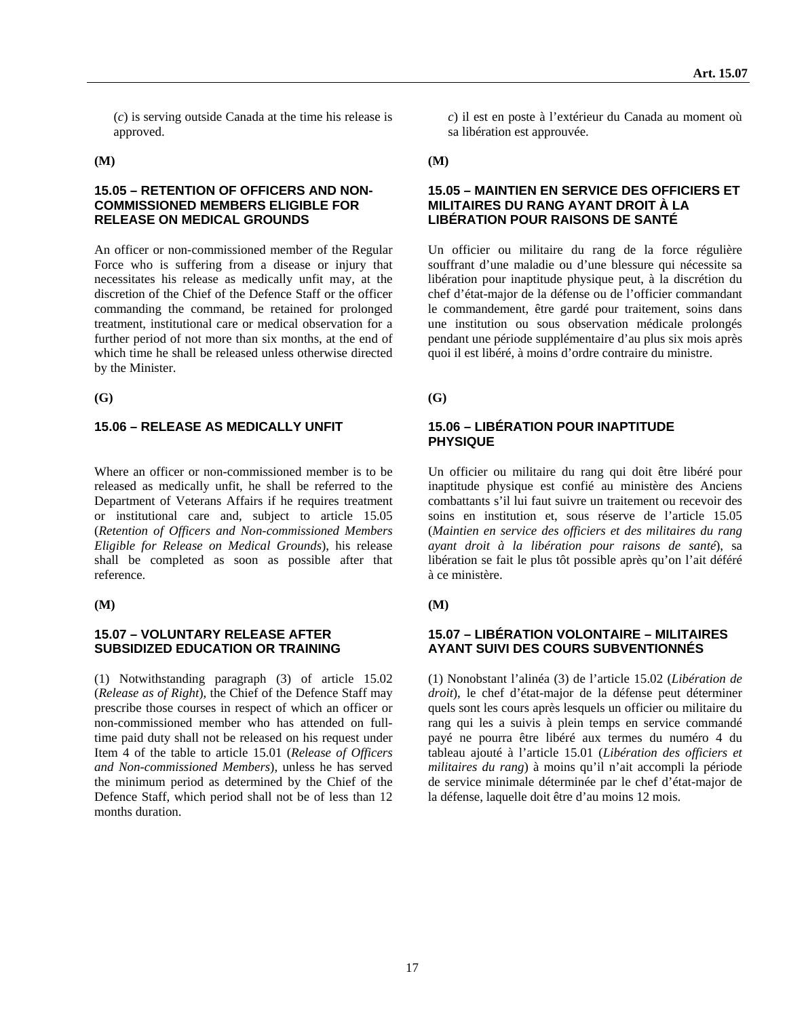(*c*) is serving outside Canada at the time his release is approved.

#### **15.05 – RETENTION OF OFFICERS AND NON-COMMISSIONED MEMBERS ELIGIBLE FOR RELEASE ON MEDICAL GROUNDS**

An officer or non-commissioned member of the Regular Force who is suffering from a disease or injury that necessitates his release as medically unfit may, at the discretion of the Chief of the Defence Staff or the officer commanding the command, be retained for prolonged treatment, institutional care or medical observation for a further period of not more than six months, at the end of which time he shall be released unless otherwise directed by the Minister.

**(G) (G)** 

#### **15.06 – RELEASE AS MEDICALLY UNFIT 15.06 – LIBÉRATION POUR INAPTITUDE**

Where an officer or non-commissioned member is to be released as medically unfit, he shall be referred to the Department of Veterans Affairs if he requires treatment or institutional care and, subject to article 15.05 (*Retention of Officers and Non-commissioned Members Eligible for Release on Medical Grounds*), his release shall be completed as soon as possible after that reference.

#### **15.07 – VOLUNTARY RELEASE AFTER SUBSIDIZED EDUCATION OR TRAINING**

(1) Notwithstanding paragraph (3) of article 15.02 (*Release as of Right*), the Chief of the Defence Staff may prescribe those courses in respect of which an officer or non-commissioned member who has attended on fulltime paid duty shall not be released on his request under Item 4 of the table to article 15.01 (*Release of Officers and Non-commissioned Members*), unless he has served the minimum period as determined by the Chief of the Defence Staff, which period shall not be of less than 12 months duration.

*c*) il est en poste à l'extérieur du Canada au moment où sa libération est approuvée.

#### **(M) (M)**

#### **15.05 – MAINTIEN EN SERVICE DES OFFICIERS ET MILITAIRES DU RANG AYANT DROIT À LA LIBÉRATION POUR RAISONS DE SANTÉ**

Un officier ou militaire du rang de la force régulière souffrant d'une maladie ou d'une blessure qui nécessite sa libération pour inaptitude physique peut, à la discrétion du chef d'état-major de la défense ou de l'officier commandant le commandement, être gardé pour traitement, soins dans une institution ou sous observation médicale prolongés pendant une période supplémentaire d'au plus six mois après quoi il est libéré, à moins d'ordre contraire du ministre.

# **PHYSIQUE**

Un officier ou militaire du rang qui doit être libéré pour inaptitude physique est confié au ministère des Anciens combattants s'il lui faut suivre un traitement ou recevoir des soins en institution et, sous réserve de l'article 15.05 (*Maintien en service des officiers et des militaires du rang ayant droit à la libération pour raisons de santé*), sa libération se fait le plus tôt possible après qu'on l'ait déféré à ce ministère.

**(M) (M)** 

#### **15.07 – LIBÉRATION VOLONTAIRE – MILITAIRES AYANT SUIVI DES COURS SUBVENTIONNÉS**

(1) Nonobstant l'alinéa (3) de l'article 15.02 (*Libération de droit*), le chef d'état-major de la défense peut déterminer quels sont les cours après lesquels un officier ou militaire du rang qui les a suivis à plein temps en service commandé payé ne pourra être libéré aux termes du numéro 4 du tableau ajouté à l'article 15.01 (*Libération des officiers et militaires du rang*) à moins qu'il n'ait accompli la période de service minimale déterminée par le chef d'état-major de la défense, laquelle doit être d'au moins 12 mois.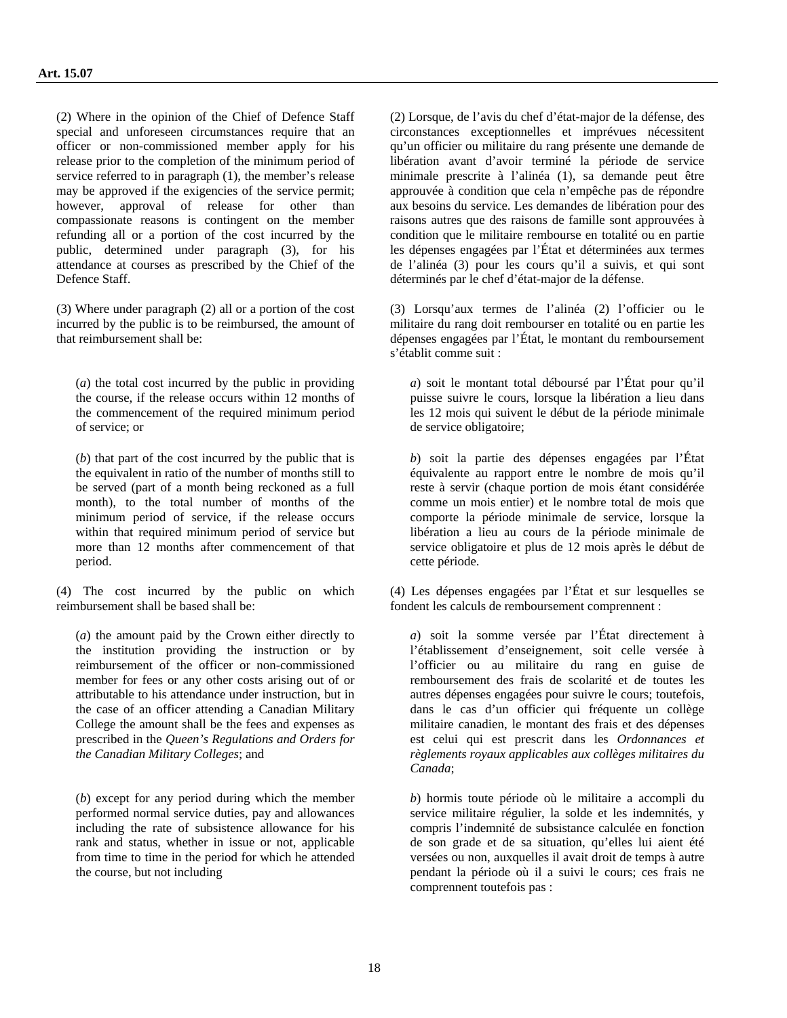(2) Where in the opinion of the Chief of Defence Staff special and unforeseen circumstances require that an officer or non-commissioned member apply for his release prior to the completion of the minimum period of service referred to in paragraph (1), the member's release may be approved if the exigencies of the service permit; however, approval of release for other than compassionate reasons is contingent on the member refunding all or a portion of the cost incurred by the public, determined under paragraph (3), for his attendance at courses as prescribed by the Chief of the Defence Staff.

(3) Where under paragraph (2) all or a portion of the cost incurred by the public is to be reimbursed, the amount of that reimbursement shall be:

(*a*) the total cost incurred by the public in providing the course, if the release occurs within 12 months of the commencement of the required minimum period of service; or

(*b*) that part of the cost incurred by the public that is the equivalent in ratio of the number of months still to be served (part of a month being reckoned as a full month), to the total number of months of the minimum period of service, if the release occurs within that required minimum period of service but more than 12 months after commencement of that period.

(4) The cost incurred by the public on which reimbursement shall be based shall be:

(*a*) the amount paid by the Crown either directly to the institution providing the instruction or by reimbursement of the officer or non-commissioned member for fees or any other costs arising out of or attributable to his attendance under instruction, but in the case of an officer attending a Canadian Military College the amount shall be the fees and expenses as prescribed in the *Queen's Regulations and Orders for the Canadian Military Colleges*; and

(*b*) except for any period during which the member performed normal service duties, pay and allowances including the rate of subsistence allowance for his rank and status, whether in issue or not, applicable from time to time in the period for which he attended the course, but not including

(2) Lorsque, de l'avis du chef d'état-major de la défense, des circonstances exceptionnelles et imprévues nécessitent qu'un officier ou militaire du rang présente une demande de libération avant d'avoir terminé la période de service minimale prescrite à l'alinéa (1), sa demande peut être approuvée à condition que cela n'empêche pas de répondre aux besoins du service. Les demandes de libération pour des raisons autres que des raisons de famille sont approuvées à condition que le militaire rembourse en totalité ou en partie les dépenses engagées par l'État et déterminées aux termes de l'alinéa (3) pour les cours qu'il a suivis, et qui sont déterminés par le chef d'état-major de la défense.

(3) Lorsqu'aux termes de l'alinéa (2) l'officier ou le militaire du rang doit rembourser en totalité ou en partie les dépenses engagées par l'État, le montant du remboursement s'établit comme suit :

*a*) soit le montant total déboursé par l'État pour qu'il puisse suivre le cours, lorsque la libération a lieu dans les 12 mois qui suivent le début de la période minimale de service obligatoire;

*b*) soit la partie des dépenses engagées par l'État équivalente au rapport entre le nombre de mois qu'il reste à servir (chaque portion de mois étant considérée comme un mois entier) et le nombre total de mois que comporte la période minimale de service, lorsque la libération a lieu au cours de la période minimale de service obligatoire et plus de 12 mois après le début de cette période.

(4) Les dépenses engagées par l'État et sur lesquelles se fondent les calculs de remboursement comprennent :

*a*) soit la somme versée par l'État directement à l'établissement d'enseignement, soit celle versée à l'officier ou au militaire du rang en guise de remboursement des frais de scolarité et de toutes les autres dépenses engagées pour suivre le cours; toutefois, dans le cas d'un officier qui fréquente un collège militaire canadien, le montant des frais et des dépenses est celui qui est prescrit dans les *Ordonnances et règlements royaux applicables aux collèges militaires du Canada*;

*b*) hormis toute période où le militaire a accompli du service militaire régulier, la solde et les indemnités, y compris l'indemnité de subsistance calculée en fonction de son grade et de sa situation, qu'elles lui aient été versées ou non, auxquelles il avait droit de temps à autre pendant la période où il a suivi le cours; ces frais ne comprennent toutefois pas :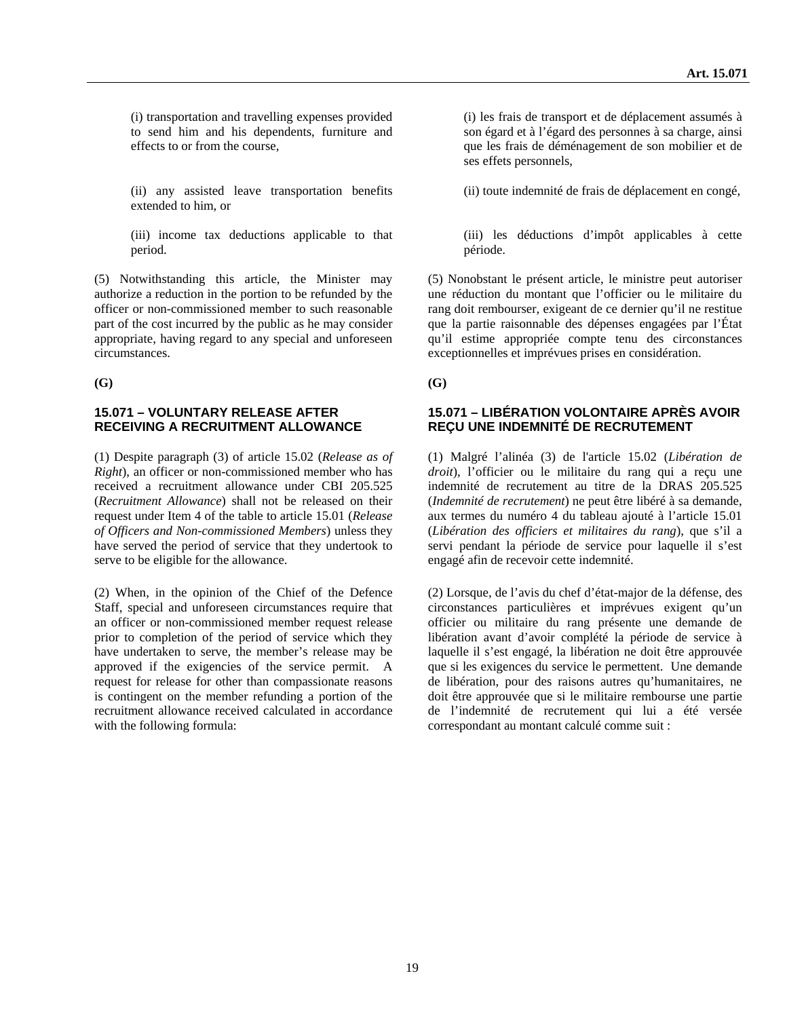(i) transportation and travelling expenses provided to send him and his dependents, furniture and effects to or from the course,

(ii) any assisted leave transportation benefits extended to him, or

(iii) income tax deductions applicable to that period.

(5) Notwithstanding this article, the Minister may authorize a reduction in the portion to be refunded by the officer or non-commissioned member to such reasonable part of the cost incurred by the public as he may consider appropriate, having regard to any special and unforeseen circumstances.

**(G) (G)** 

### **15.071 – VOLUNTARY RELEASE AFTER RECEIVING A RECRUITMENT ALLOWANCE**

(1) Despite paragraph (3) of article 15.02 (*Release as of Right*), an officer or non-commissioned member who has received a recruitment allowance under CBI 205.525 (*Recruitment Allowance*) shall not be released on their request under Item 4 of the table to article 15.01 (*Release of Officers and Non-commissioned Members*) unless they have served the period of service that they undertook to serve to be eligible for the allowance.

(2) When, in the opinion of the Chief of the Defence Staff, special and unforeseen circumstances require that an officer or non-commissioned member request release prior to completion of the period of service which they have undertaken to serve, the member's release may be approved if the exigencies of the service permit. A request for release for other than compassionate reasons is contingent on the member refunding a portion of the recruitment allowance received calculated in accordance with the following formula:

(i) les frais de transport et de déplacement assumés à son égard et à l'égard des personnes à sa charge, ainsi que les frais de déménagement de son mobilier et de ses effets personnels,

(ii) toute indemnité de frais de déplacement en congé,

(iii) les déductions d'impôt applicables à cette période.

(5) Nonobstant le présent article, le ministre peut autoriser une réduction du montant que l'officier ou le militaire du rang doit rembourser, exigeant de ce dernier qu'il ne restitue que la partie raisonnable des dépenses engagées par l'État qu'il estime appropriée compte tenu des circonstances exceptionnelles et imprévues prises en considération.

### **15.071 – LIBÉRATION VOLONTAIRE APRÈS AVOIR REÇU UNE INDEMNITÉ DE RECRUTEMENT**

(1) Malgré l'alinéa (3) de l'article 15.02 (*Libération de droit*), l'officier ou le militaire du rang qui a reçu une indemnité de recrutement au titre de la DRAS 205.525 (*Indemnité de recrutement*) ne peut être libéré à sa demande, aux termes du numéro 4 du tableau ajouté à l'article 15.01 (*Libération des officiers et militaires du rang*), que s'il a servi pendant la période de service pour laquelle il s'est engagé afin de recevoir cette indemnité.

(2) Lorsque, de l'avis du chef d'état-major de la défense, des circonstances particulières et imprévues exigent qu'un officier ou militaire du rang présente une demande de libération avant d'avoir complété la période de service à laquelle il s'est engagé, la libération ne doit être approuvée que si les exigences du service le permettent. Une demande de libération, pour des raisons autres qu'humanitaires, ne doit être approuvée que si le militaire rembourse une partie de l'indemnité de recrutement qui lui a été versée correspondant au montant calculé comme suit :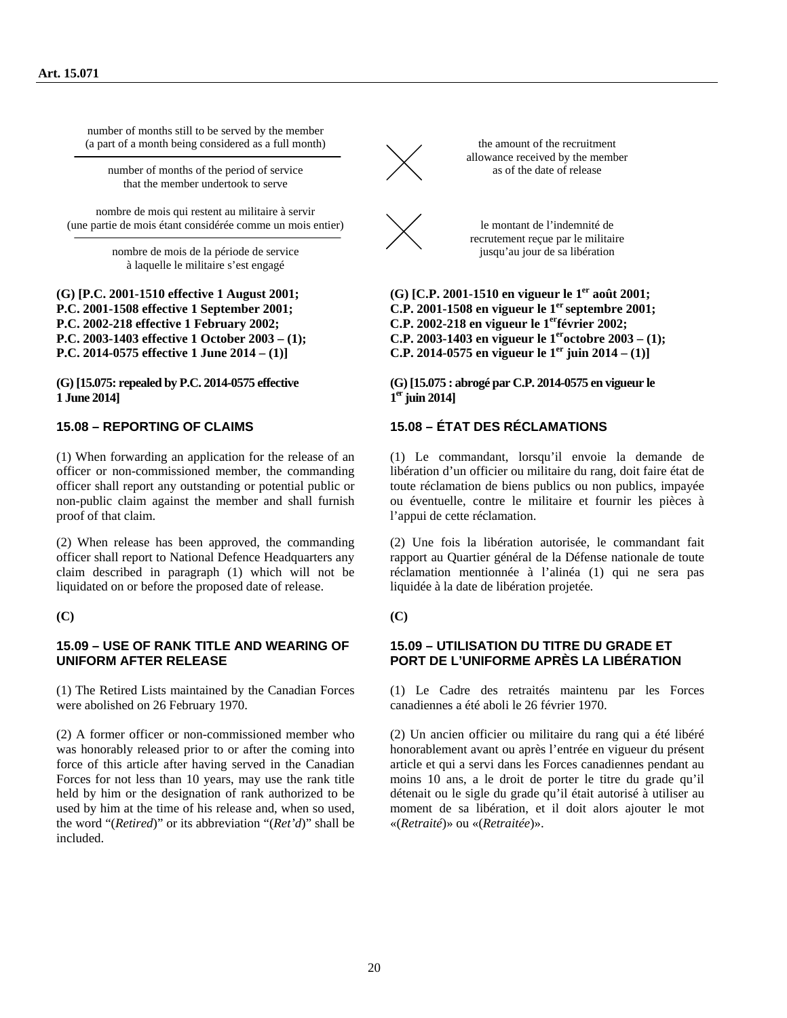number of months still to be served by the member (a part of a month being considered as a full month)

number of months of the period of service that the member undertook to serve

nombre de mois qui restent au militaire à servir (une partie de mois étant considérée comme un mois entier)

> nombre de mois de la période de service à laquelle le militaire s'est engagé

**(G) [P.C. 2001-1510 effective 1 August 2001; P.C. 2001-1508 effective 1 September 2001; P.C. 2002-218 effective 1 February 2002; P.C. 2003-1403 effective 1 October 2003 – (1); P.C. 2014-0575 effective 1 June 2014 – (1)]** 

**(G) [15.075: repealed by P.C. 2014-0575 effective 1 June 2014]** 

(1) When forwarding an application for the release of an officer or non-commissioned member, the commanding officer shall report any outstanding or potential public or non-public claim against the member and shall furnish proof of that claim.

(2) When release has been approved, the commanding officer shall report to National Defence Headquarters any claim described in paragraph (1) which will not be liquidated on or before the proposed date of release.

#### **(C) (C)**

#### **15.09 – USE OF RANK TITLE AND WEARING OF UNIFORM AFTER RELEASE**

(1) The Retired Lists maintained by the Canadian Forces were abolished on 26 February 1970.

(2) A former officer or non-commissioned member who was honorably released prior to or after the coming into force of this article after having served in the Canadian Forces for not less than 10 years, may use the rank title held by him or the designation of rank authorized to be used by him at the time of his release and, when so used, the word "(*Retired*)" or its abbreviation "(*Ret'd*)" shall be included.



the amount of the recruitment allowance received by the member as of the date of release



le montant de l'indemnité de recrutement reçue par le militaire jusqu'au jour de sa libération

**(G) [C.P. 2001-1510 en vigueur le 1er août 2001; C.P. 2001-1508 en vigueur le 1er septembre 2001; C.P. 2002-218 en vigueur le 1erfévrier 2002; C.P. 2003-1403 en vigueur le 1eroctobre 2003 – (1); C.P. 2014-0575 en vigueur le 1<sup>er</sup> juin 2014 – (1)** 

**(G) [15.075 : abrogé par C.P. 2014-0575 en vigueur le 1er juin 2014]** 

### **15.08 – REPORTING OF CLAIMS 15.08 – ÉTAT DES RÉCLAMATIONS**

(1) Le commandant, lorsqu'il envoie la demande de libération d'un officier ou militaire du rang, doit faire état de toute réclamation de biens publics ou non publics, impayée ou éventuelle, contre le militaire et fournir les pièces à l'appui de cette réclamation.

(2) Une fois la libération autorisée, le commandant fait rapport au Quartier général de la Défense nationale de toute réclamation mentionnée à l'alinéa (1) qui ne sera pas liquidée à la date de libération projetée.

#### **15.09 – UTILISATION DU TITRE DU GRADE ET PORT DE L'UNIFORME APRÈS LA LIBÉRATION**

(1) Le Cadre des retraités maintenu par les Forces canadiennes a été aboli le 26 février 1970.

(2) Un ancien officier ou militaire du rang qui a été libéré honorablement avant ou après l'entrée en vigueur du présent article et qui a servi dans les Forces canadiennes pendant au moins 10 ans, a le droit de porter le titre du grade qu'il détenait ou le sigle du grade qu'il était autorisé à utiliser au moment de sa libération, et il doit alors ajouter le mot «(*Retraité*)» ou «(*Retraitée*)».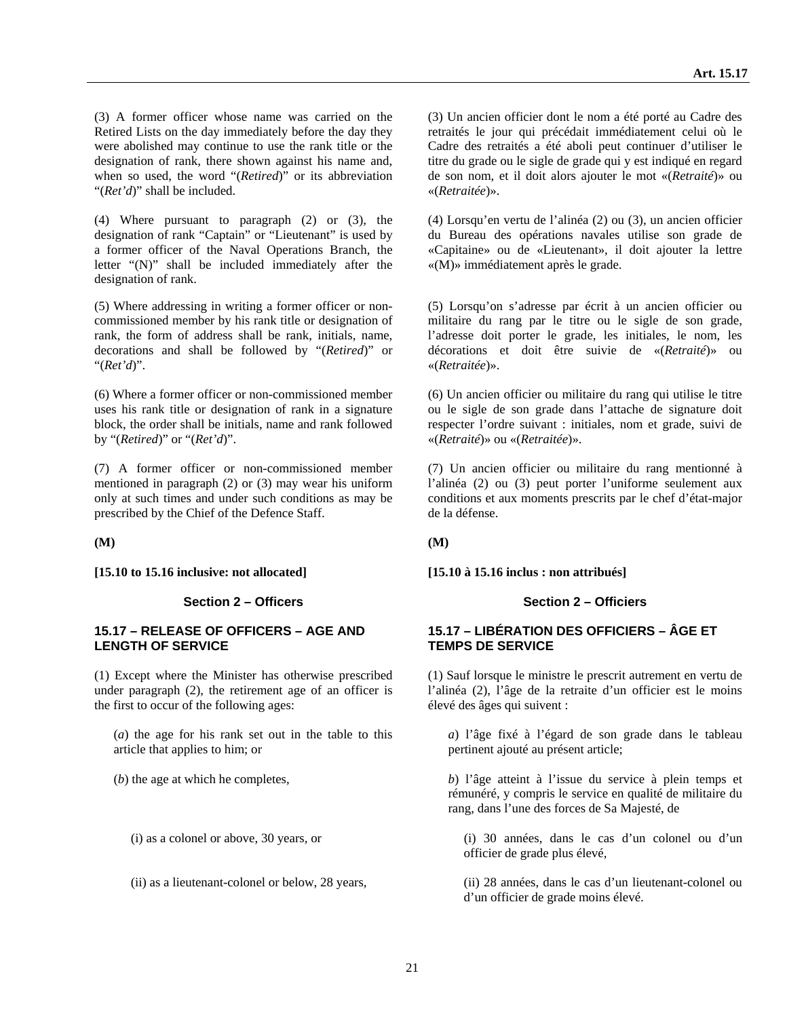(3) A former officer whose name was carried on the Retired Lists on the day immediately before the day they were abolished may continue to use the rank title or the designation of rank, there shown against his name and, when so used, the word "(*Retired*)" or its abbreviation "(*Ret'd*)" shall be included.

(4) Where pursuant to paragraph (2) or (3), the designation of rank "Captain" or "Lieutenant" is used by a former officer of the Naval Operations Branch, the letter "(N)" shall be included immediately after the designation of rank.

(5) Where addressing in writing a former officer or noncommissioned member by his rank title or designation of rank, the form of address shall be rank, initials, name, decorations and shall be followed by "(*Retired*)" or "(*Ret'd*)".

(6) Where a former officer or non-commissioned member uses his rank title or designation of rank in a signature block, the order shall be initials, name and rank followed by "(*Retired*)" or "(*Ret'd*)".

(7) A former officer or non-commissioned member mentioned in paragraph (2) or (3) may wear his uniform only at such times and under such conditions as may be prescribed by the Chief of the Defence Staff.

**[15.10 to 15.16 inclusive: not allocated] [15.10 à 15.16 inclus : non attribués]** 

#### **Section 2 – Officers Section 2 – Officiers** Section 2 – Officiers

#### **15.17 – RELEASE OF OFFICERS – AGE AND LENGTH OF SERVICE**

(1) Except where the Minister has otherwise prescribed under paragraph (2), the retirement age of an officer is the first to occur of the following ages:

(*a*) the age for his rank set out in the table to this article that applies to him; or

(3) Un ancien officier dont le nom a été porté au Cadre des retraités le jour qui précédait immédiatement celui où le Cadre des retraités a été aboli peut continuer d'utiliser le titre du grade ou le sigle de grade qui y est indiqué en regard de son nom, et il doit alors ajouter le mot «(*Retraité*)» ou «(*Retraitée*)».

(4) Lorsqu'en vertu de l'alinéa (2) ou (3), un ancien officier du Bureau des opérations navales utilise son grade de «Capitaine» ou de «Lieutenant», il doit ajouter la lettre «(M)» immédiatement après le grade.

(5) Lorsqu'on s'adresse par écrit à un ancien officier ou militaire du rang par le titre ou le sigle de son grade, l'adresse doit porter le grade, les initiales, le nom, les décorations et doit être suivie de «(*Retraité*)» ou «(*Retraitée*)».

(6) Un ancien officier ou militaire du rang qui utilise le titre ou le sigle de son grade dans l'attache de signature doit respecter l'ordre suivant : initiales, nom et grade, suivi de «(*Retraité*)» ou «(*Retraitée*)».

(7) Un ancien officier ou militaire du rang mentionné à l'alinéa (2) ou (3) peut porter l'uniforme seulement aux conditions et aux moments prescrits par le chef d'état-major de la défense.

**(M) (M)** 

#### **15.17 – LIBÉRATION DES OFFICIERS – ÂGE ET TEMPS DE SERVICE**

(1) Sauf lorsque le ministre le prescrit autrement en vertu de l'alinéa (2), l'âge de la retraite d'un officier est le moins élevé des âges qui suivent :

*a*) l'âge fixé à l'égard de son grade dans le tableau pertinent ajouté au présent article;

(*b*) the age at which he completes, *b*) l'âge atteint à l'issue du service à plein temps et rémunéré, y compris le service en qualité de militaire du rang, dans l'une des forces de Sa Majesté, de

(i) as a colonel or above, 30 years, or (i) 30 années, dans le cas d'un colonel ou d'un officier de grade plus élevé,

(ii) as a lieutenant-colonel or below, 28 years, (ii) 28 années, dans le cas d'un lieutenant-colonel ou d'un officier de grade moins élevé.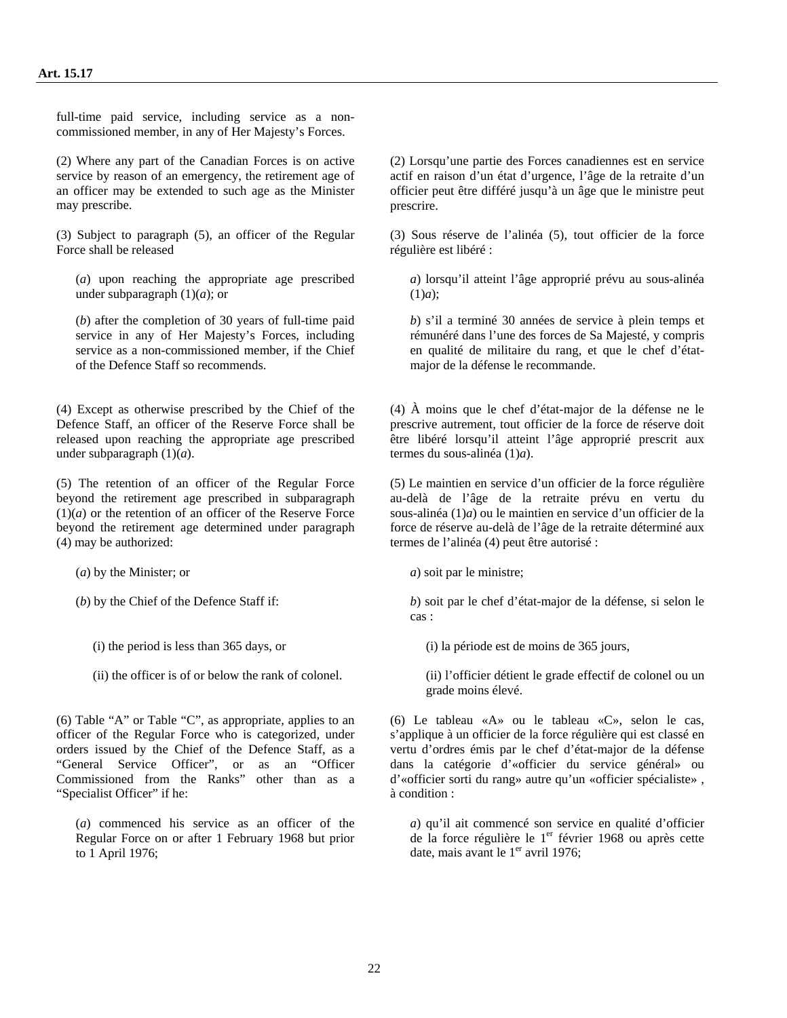full-time paid service, including service as a noncommissioned member, in any of Her Majesty's Forces.

(2) Where any part of the Canadian Forces is on active service by reason of an emergency, the retirement age of an officer may be extended to such age as the Minister may prescribe.

(3) Subject to paragraph (5), an officer of the Regular Force shall be released

(*a*) upon reaching the appropriate age prescribed under subparagraph (1)(*a*); or

(*b*) after the completion of 30 years of full-time paid service in any of Her Majesty's Forces, including service as a non-commissioned member, if the Chief of the Defence Staff so recommends.

(4) Except as otherwise prescribed by the Chief of the Defence Staff, an officer of the Reserve Force shall be released upon reaching the appropriate age prescribed under subparagraph (1)(*a*).

(5) The retention of an officer of the Regular Force beyond the retirement age prescribed in subparagraph (1)(*a*) or the retention of an officer of the Reserve Force beyond the retirement age determined under paragraph (4) may be authorized:

(*a*) by the Minister; or *a*) soit par le ministre;

(6) Table "A" or Table "C", as appropriate, applies to an officer of the Regular Force who is categorized, under orders issued by the Chief of the Defence Staff, as a "General Service Officer", or as an "Officer Commissioned from the Ranks" other than as a "Specialist Officer" if he:

(*a*) commenced his service as an officer of the Regular Force on or after 1 February 1968 but prior to 1 April 1976;

(2) Lorsqu'une partie des Forces canadiennes est en service actif en raison d'un état d'urgence, l'âge de la retraite d'un officier peut être différé jusqu'à un âge que le ministre peut prescrire.

(3) Sous réserve de l'alinéa (5), tout officier de la force régulière est libéré :

*a*) lorsqu'il atteint l'âge approprié prévu au sous-alinéa (1)*a*);

*b*) s'il a terminé 30 années de service à plein temps et rémunéré dans l'une des forces de Sa Majesté, y compris en qualité de militaire du rang, et que le chef d'étatmajor de la défense le recommande.

(4) À moins que le chef d'état-major de la défense ne le prescrive autrement, tout officier de la force de réserve doit être libéré lorsqu'il atteint l'âge approprié prescrit aux termes du sous-alinéa (1)*a*).

(5) Le maintien en service d'un officier de la force régulière au-delà de l'âge de la retraite prévu en vertu du sous-alinéa (1)*a*) ou le maintien en service d'un officier de la force de réserve au-delà de l'âge de la retraite déterminé aux termes de l'alinéa (4) peut être autorisé :

(*b*) by the Chief of the Defence Staff if: *b*) soit par le chef d'état-major de la défense, si selon le cas :

(i) the period is less than 365 days, or (i) la période est de moins de 365 jours,

(ii) the officer is of or below the rank of colonel. (ii) l'officier détient le grade effectif de colonel ou un grade moins élevé.

> (6) Le tableau «A» ou le tableau «C», selon le cas, s'applique à un officier de la force régulière qui est classé en vertu d'ordres émis par le chef d'état-major de la défense dans la catégorie d'«officier du service général» ou d'«officier sorti du rang» autre qu'un «officier spécialiste» , à condition :

*a*) qu'il ait commencé son service en qualité d'officier de la force régulière le  $1<sup>er</sup>$  février 1968 ou après cette date, mais avant le  $1<sup>er</sup>$  avril 1976;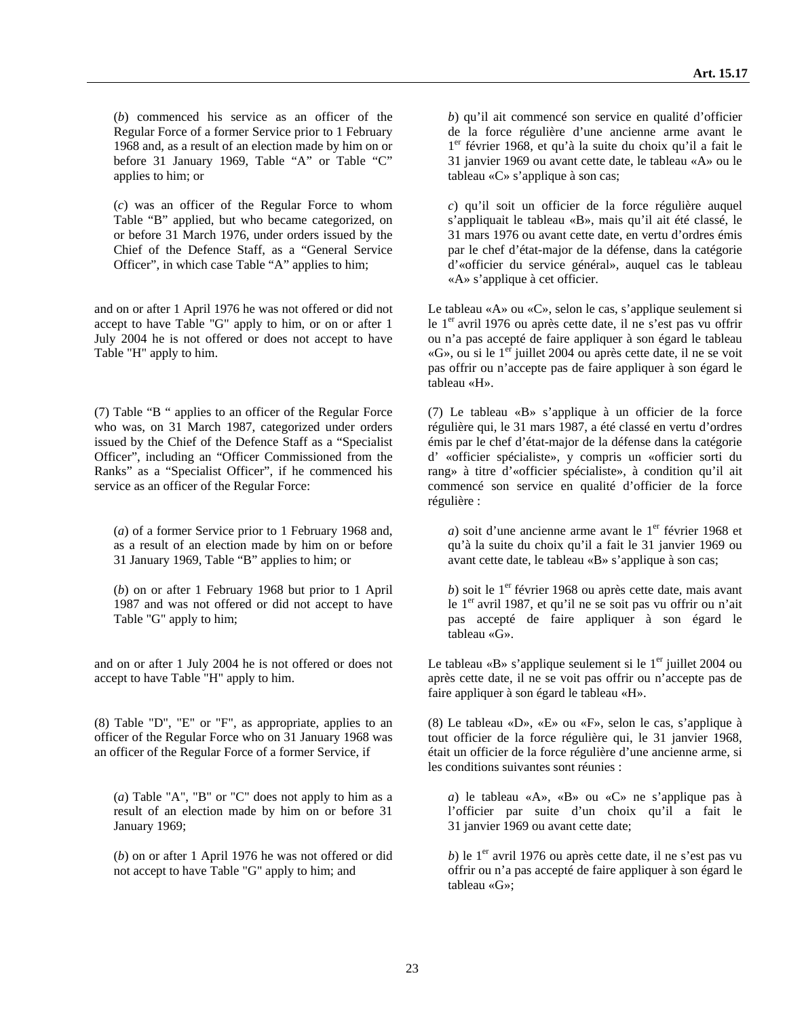(*b*) commenced his service as an officer of the Regular Force of a former Service prior to 1 February 1968 and, as a result of an election made by him on or before 31 January 1969, Table "A" or Table "C" applies to him; or

(*c*) was an officer of the Regular Force to whom Table "B" applied, but who became categorized, on or before 31 March 1976, under orders issued by the Chief of the Defence Staff, as a "General Service Officer", in which case Table "A" applies to him;

and on or after 1 April 1976 he was not offered or did not accept to have Table "G" apply to him, or on or after 1 July 2004 he is not offered or does not accept to have Table "H" apply to him.

(7) Table "B " applies to an officer of the Regular Force who was, on 31 March 1987, categorized under orders issued by the Chief of the Defence Staff as a "Specialist Officer", including an "Officer Commissioned from the Ranks" as a "Specialist Officer", if he commenced his service as an officer of the Regular Force:

(*a*) of a former Service prior to 1 February 1968 and, as a result of an election made by him on or before 31 January 1969, Table "B" applies to him; or

(*b*) on or after 1 February 1968 but prior to 1 April 1987 and was not offered or did not accept to have Table "G" apply to him;

and on or after 1 July 2004 he is not offered or does not accept to have Table "H" apply to him.

(8) Table "D", "E" or "F", as appropriate, applies to an officer of the Regular Force who on 31 January 1968 was an officer of the Regular Force of a former Service, if

(*a*) Table "A", "B" or "C" does not apply to him as a result of an election made by him on or before 31 January 1969;

(*b*) on or after 1 April 1976 he was not offered or did not accept to have Table "G" apply to him; and

*b*) qu'il ait commencé son service en qualité d'officier de la force régulière d'une ancienne arme avant le 1<sup>er</sup> février 1968, et qu'à la suite du choix qu'il a fait le 31 janvier 1969 ou avant cette date, le tableau «A» ou le tableau «C» s'applique à son cas;

*c*) qu'il soit un officier de la force régulière auquel s'appliquait le tableau «B», mais qu'il ait été classé, le 31 mars 1976 ou avant cette date, en vertu d'ordres émis par le chef d'état-major de la défense, dans la catégorie d'«officier du service général», auquel cas le tableau «A» s'applique à cet officier.

Le tableau «A» ou «C», selon le cas, s'applique seulement si le 1<sup>er</sup> avril 1976 ou après cette date, il ne s'est pas vu offrir ou n'a pas accepté de faire appliquer à son égard le tableau «G», ou si le 1<sup>er</sup> juillet 2004 ou après cette date, il ne se voit pas offrir ou n'accepte pas de faire appliquer à son égard le tableau «H».

(7) Le tableau «B» s'applique à un officier de la force régulière qui, le 31 mars 1987, a été classé en vertu d'ordres émis par le chef d'état-major de la défense dans la catégorie d' «officier spécialiste», y compris un «officier sorti du rang» à titre d'«officier spécialiste», à condition qu'il ait commencé son service en qualité d'officier de la force régulière :

*a*) soit d'une ancienne arme avant le 1<sup>er</sup> février 1968 et qu'à la suite du choix qu'il a fait le 31 janvier 1969 ou avant cette date, le tableau «B» s'applique à son cas;

 $b$ ) soit le 1<sup>er</sup> février 1968 ou après cette date, mais avant le 1<sup>er</sup> avril 1987, et qu'il ne se soit pas vu offrir ou n'ait pas accepté de faire appliquer à son égard le tableau «G».

Le tableau «B» s'applique seulement si le  $1<sup>er</sup>$  juillet 2004 ou après cette date, il ne se voit pas offrir ou n'accepte pas de faire appliquer à son égard le tableau «H».

(8) Le tableau «D», «E» ou «F», selon le cas, s'applique à tout officier de la force régulière qui, le 31 janvier 1968, était un officier de la force régulière d'une ancienne arme, si les conditions suivantes sont réunies :

*a*) le tableau «A», «B» ou «C» ne s'applique pas à l'officier par suite d'un choix qu'il a fait le 31 janvier 1969 ou avant cette date;

*b*) le 1<sup>er</sup> avril 1976 ou après cette date, il ne s'est pas vu offrir ou n'a pas accepté de faire appliquer à son égard le tableau «G»;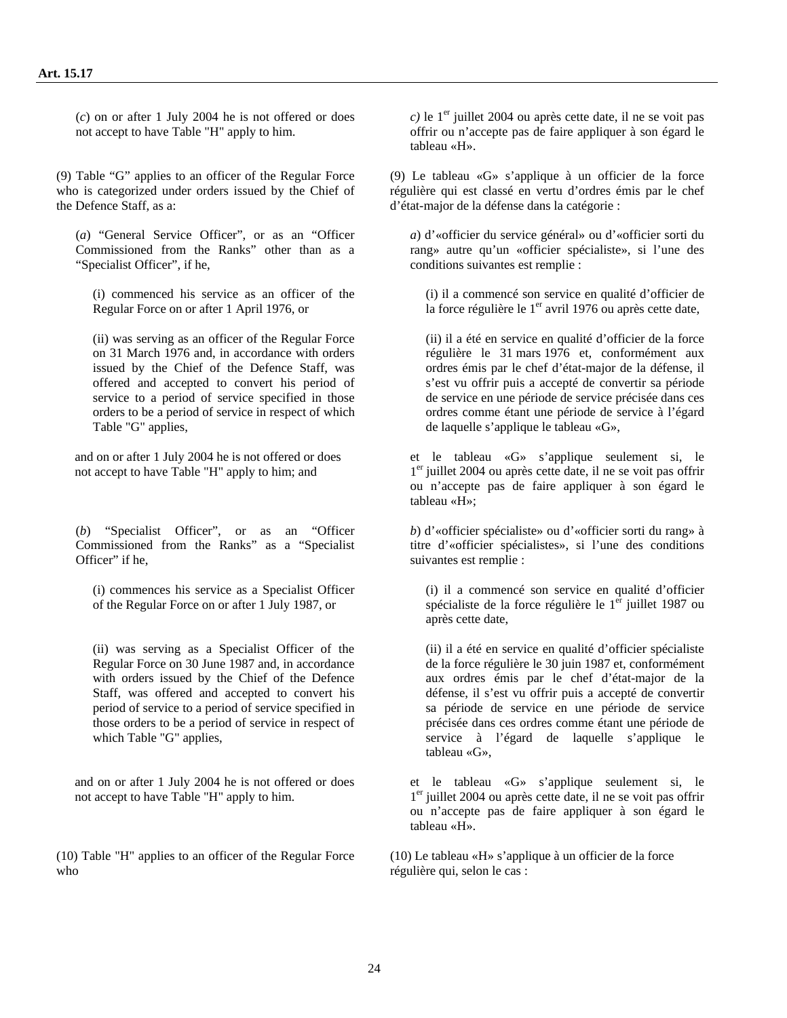(*c*) on or after 1 July 2004 he is not offered or does not accept to have Table "H" apply to him.

(9) Table "G" applies to an officer of the Regular Force who is categorized under orders issued by the Chief of the Defence Staff, as a:

(*a*) "General Service Officer", or as an "Officer Commissioned from the Ranks" other than as a "Specialist Officer", if he,

(i) commenced his service as an officer of the Regular Force on or after 1 April 1976, or

(ii) was serving as an officer of the Regular Force on 31 March 1976 and, in accordance with orders issued by the Chief of the Defence Staff, was offered and accepted to convert his period of service to a period of service specified in those orders to be a period of service in respect of which Table "G" applies,

and on or after 1 July 2004 he is not offered or does not accept to have Table "H" apply to him; and

(*b*) "Specialist Officer", or as an "Officer Commissioned from the Ranks" as a "Specialist Officer" if he.

(i) commences his service as a Specialist Officer of the Regular Force on or after 1 July 1987, or

(ii) was serving as a Specialist Officer of the Regular Force on 30 June 1987 and, in accordance with orders issued by the Chief of the Defence Staff, was offered and accepted to convert his period of service to a period of service specified in those orders to be a period of service in respect of which Table "G" applies,

and on or after 1 July 2004 he is not offered or does not accept to have Table "H" apply to him.

(10) Table "H" applies to an officer of the Regular Force who

 $c$ ) le 1<sup>er</sup> juillet 2004 ou après cette date, il ne se voit pas offrir ou n'accepte pas de faire appliquer à son égard le tableau «H».

(9) Le tableau «G» s'applique à un officier de la force régulière qui est classé en vertu d'ordres émis par le chef d'état-major de la défense dans la catégorie :

*a*) d'«officier du service général» ou d'«officier sorti du rang» autre qu'un «officier spécialiste», si l'une des conditions suivantes est remplie :

(i) il a commencé son service en qualité d'officier de la force régulière le  $1<sup>er</sup>$  avril 1976 ou après cette date,

(ii) il a été en service en qualité d'officier de la force régulière le 31 mars 1976 et, conformément aux ordres émis par le chef d'état-major de la défense, il s'est vu offrir puis a accepté de convertir sa période de service en une période de service précisée dans ces ordres comme étant une période de service à l'égard de laquelle s'applique le tableau «G»,

et le tableau «G» s'applique seulement si, le 1er juillet 2004 ou après cette date, il ne se voit pas offrir ou n'accepte pas de faire appliquer à son égard le tableau «H»;

*b*) d'«officier spécialiste» ou d'«officier sorti du rang» à titre d'«officier spécialistes», si l'une des conditions suivantes est remplie :

(i) il a commencé son service en qualité d'officier spécialiste de la force régulière le  $1<sup>er</sup>$  juillet 1987 ou après cette date,

(ii) il a été en service en qualité d'officier spécialiste de la force régulière le 30 juin 1987 et, conformément aux ordres émis par le chef d'état-major de la défense, il s'est vu offrir puis a accepté de convertir sa période de service en une période de service précisée dans ces ordres comme étant une période de service à l'égard de laquelle s'applique le tableau «G»,

et le tableau «G» s'applique seulement si, le 1er juillet 2004 ou après cette date, il ne se voit pas offrir ou n'accepte pas de faire appliquer à son égard le tableau «H».

(10) Le tableau «H» s'applique à un officier de la force régulière qui, selon le cas :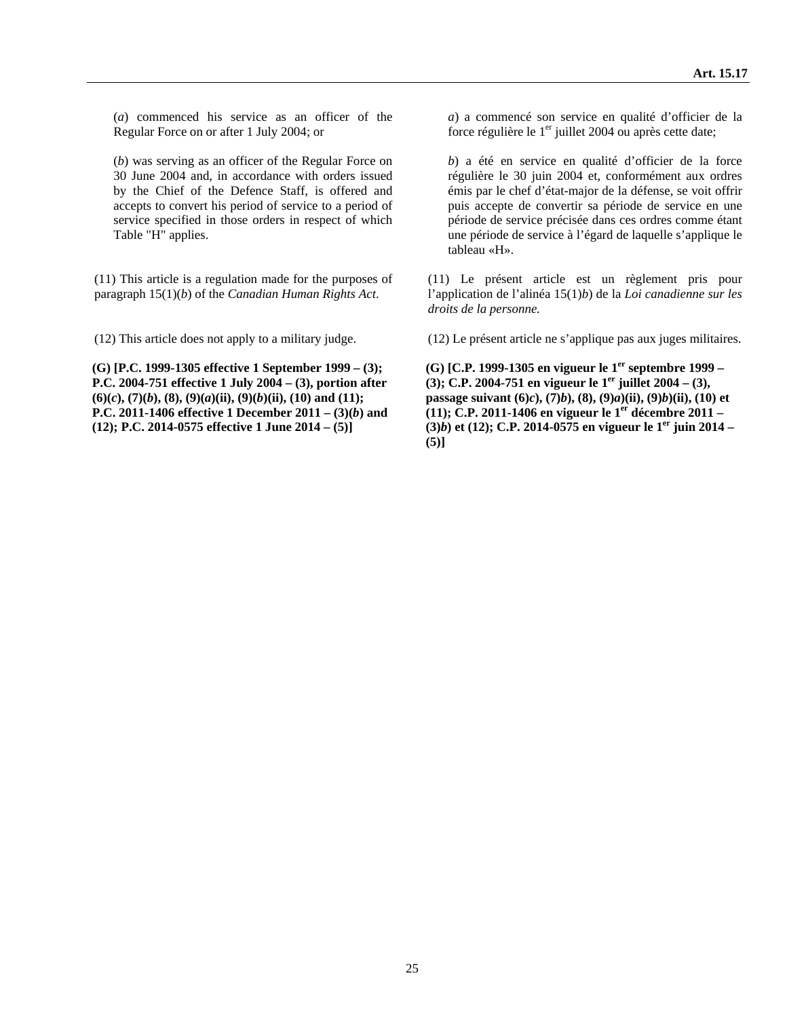(*a*) commenced his service as an officer of the Regular Force on or after 1 July 2004; or

(*b*) was serving as an officer of the Regular Force on 30 June 2004 and, in accordance with orders issued by the Chief of the Defence Staff, is offered and accepts to convert his period of service to a period of service specified in those orders in respect of which Table "H" applies.

(11) This article is a regulation made for the purposes of paragraph 15(1)(*b*) of the *Canadian Human Rights Act*.

**(G) [P.C. 1999-1305 effective 1 September 1999 – (3); P.C. 2004-751 effective 1 July 2004 – (3), portion after**   $(6)(c)$ ,  $(7)(b)$ ,  $(8)$ ,  $(9)(a)(ii)$ ,  $(9)(b)(ii)$ ,  $(10)$  and  $(11)$ ; **P.C. 2011-1406 effective 1 December 2011 – (3)(***b***) and (12); P.C. 2014-0575 effective 1 June 2014 – (5)]** 

*a*) a commencé son service en qualité d'officier de la force régulière le  $1<sup>er</sup>$  juillet 2004 ou après cette date;

*b*) a été en service en qualité d'officier de la force régulière le 30 juin 2004 et, conformément aux ordres émis par le chef d'état-major de la défense, se voit offrir puis accepte de convertir sa période de service en une période de service précisée dans ces ordres comme étant une période de service à l'égard de laquelle s'applique le tableau «H».

(11) Le présent article est un règlement pris pour l'application de l'alinéa 15(1)*b*) de la *Loi canadienne sur les droits de la personne.*

(12) This article does not apply to a military judge. (12) Le présent article ne s'applique pas aux juges militaires.

**(G) [C.P. 1999-1305 en vigueur le 1er septembre 1999 – (3); C.P. 2004-751 en vigueur le 1<sup>er</sup> juillet 2004 – (3), passage suivant (6)***c***), (7)***b***), (8), (9)***a***)(ii), (9)***b***)(ii), (10) et (11); C.P. 2011-1406 en vigueur le 1er décembre 2011 – (3)***b***) et (12); C.P. 2014-0575 en vigueur le 1er juin 2014 – (5)]**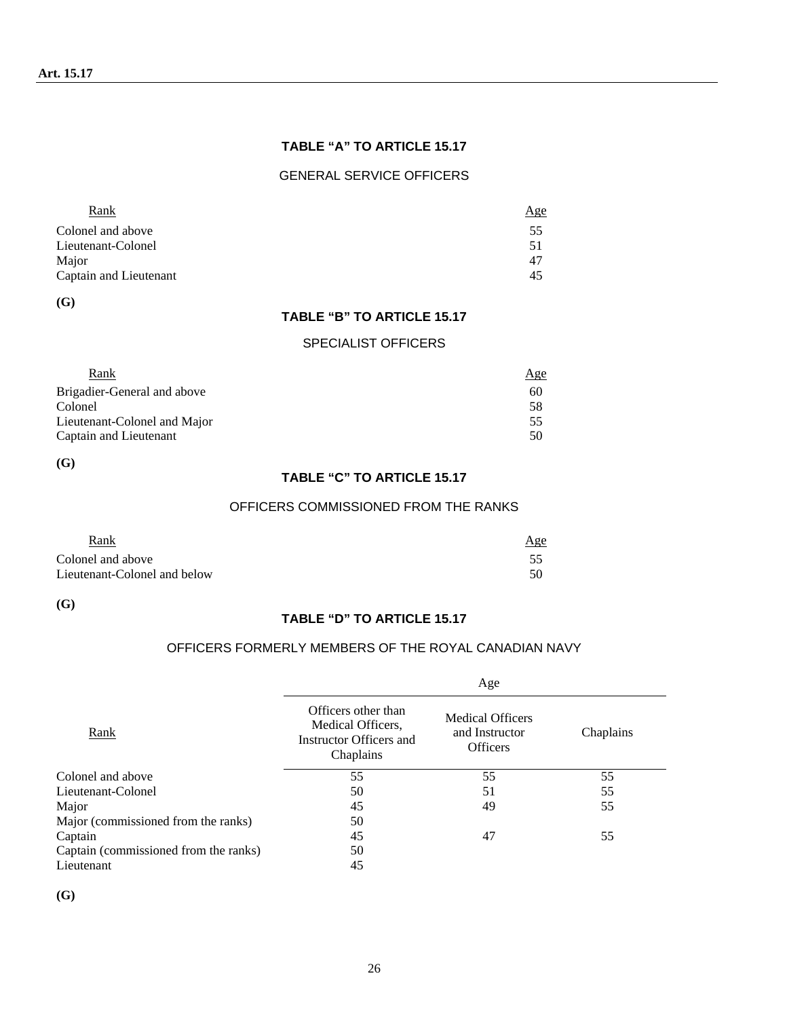### **TABLE "A" TO ARTICLE 15.17**

#### GENERAL SERVICE OFFICERS

| Rank                   | Age |
|------------------------|-----|
| Colonel and above      | 55  |
| Lieutenant-Colonel     | 51  |
| Major                  | 47  |
| Captain and Lieutenant | 45  |

**(G)** 

#### **TABLE "B" TO ARTICLE 15.17**

#### SPECIALIST OFFICERS

| Rank                         | Age |
|------------------------------|-----|
| Brigadier-General and above  | 60  |
| Colonel                      | 58  |
| Lieutenant-Colonel and Major | 55  |
| Captain and Lieutenant       | 50  |

**(G)** 

# **TABLE "C" TO ARTICLE 15.17**

#### OFFICERS COMMISSIONED FROM THE RANKS

| Rank                         | Age |
|------------------------------|-----|
| Colonel and above            |     |
| Lieutenant-Colonel and below | 50  |

**(G)** 

#### **TABLE "D" TO ARTICLE 15.17**

### OFFICERS FORMERLY MEMBERS OF THE ROYAL CANADIAN NAVY

|                                       |                                                                                  | Age                                                          |           |
|---------------------------------------|----------------------------------------------------------------------------------|--------------------------------------------------------------|-----------|
| <b>Rank</b>                           | Officers other than<br>Medical Officers,<br>Instructor Officers and<br>Chaplains | <b>Medical Officers</b><br>and Instructor<br><b>Officers</b> | Chaplains |
| Colonel and above                     | 55                                                                               | 55                                                           | 55        |
| Lieutenant-Colonel                    | 50                                                                               | 51                                                           | 55        |
| Major                                 | 45                                                                               | 49                                                           | 55        |
| Major (commissioned from the ranks)   | 50                                                                               |                                                              |           |
| Captain                               | 45                                                                               | 47                                                           | 55        |
| Captain (commissioned from the ranks) | 50                                                                               |                                                              |           |
| Lieutenant                            | 45                                                                               |                                                              |           |

**(G)**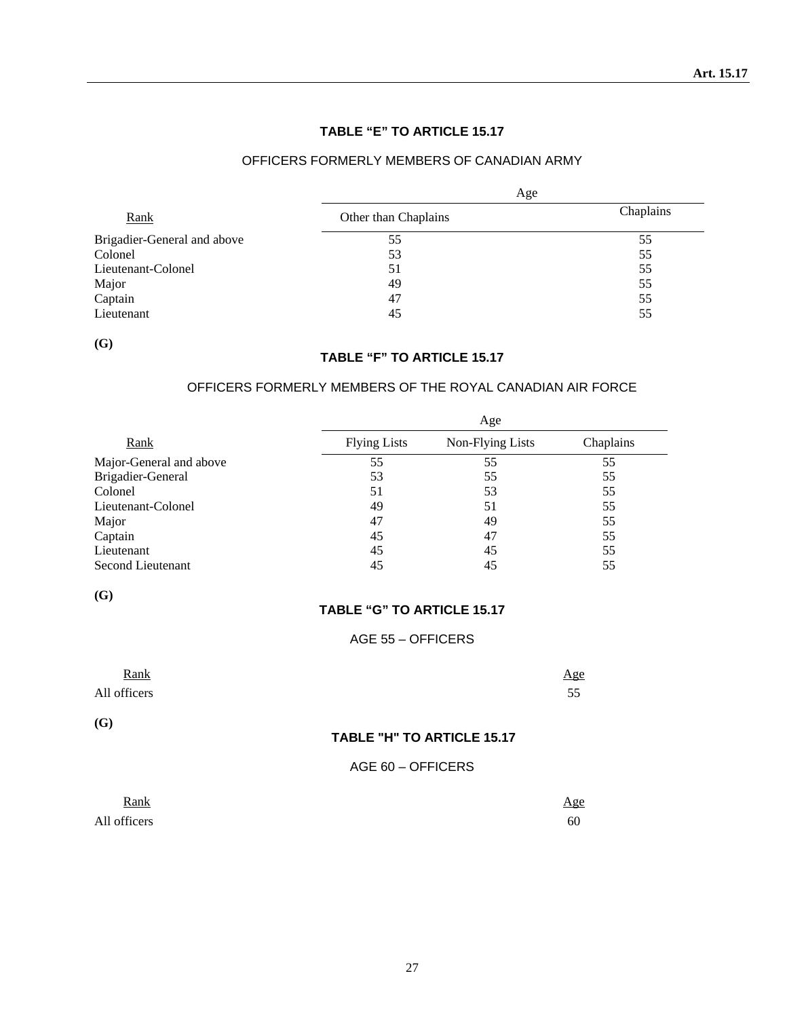## **TABLE "E" TO ARTICLE 15.17**

### OFFICERS FORMERLY MEMBERS OF CANADIAN ARMY

|                             | Age                  |           |  |
|-----------------------------|----------------------|-----------|--|
| Rank                        | Other than Chaplains | Chaplains |  |
| Brigadier-General and above | 55                   | 55        |  |
| Colonel                     | 53                   | 55        |  |
| Lieutenant-Colonel          | 51                   | 55        |  |
| Major                       | 49                   | 55        |  |
| Captain                     | 47                   | 55        |  |
| Lieutenant                  | 45                   | 55        |  |

**(G)** 

# **TABLE "F" TO ARTICLE 15.17**

### OFFICERS FORMERLY MEMBERS OF THE ROYAL CANADIAN AIR FORCE

|                         |                     | Age              |           |
|-------------------------|---------------------|------------------|-----------|
| Rank                    | <b>Flying Lists</b> | Non-Flying Lists | Chaplains |
| Major-General and above | 55                  | 55               | 55        |
| Brigadier-General       | 53                  | 55               | 55        |
| Colonel                 | 51                  | 53               | 55        |
| Lieutenant-Colonel      | 49                  | 51               | 55        |
| Major                   | 47                  | 49               | 55        |
| Captain                 | 45                  | 47               | 55        |
| Lieutenant              | 45                  | 45               | 55        |
| Second Lieutenant       | 45                  | 45               | 55        |

**(G)** 

#### **TABLE "G" TO ARTICLE 15.17**

#### AGE 55 – OFFICERS

| Rank<br>All officers |                            | Age<br>55 |
|----------------------|----------------------------|-----------|
| (G)                  | TABLE "H" TO ARTICLE 15.17 |           |
|                      | AGE 60 - OFFICERS          |           |
| Rank                 |                            | A oe      |

| Rank         | <u>Age</u> |
|--------------|------------|
| All officers | 60         |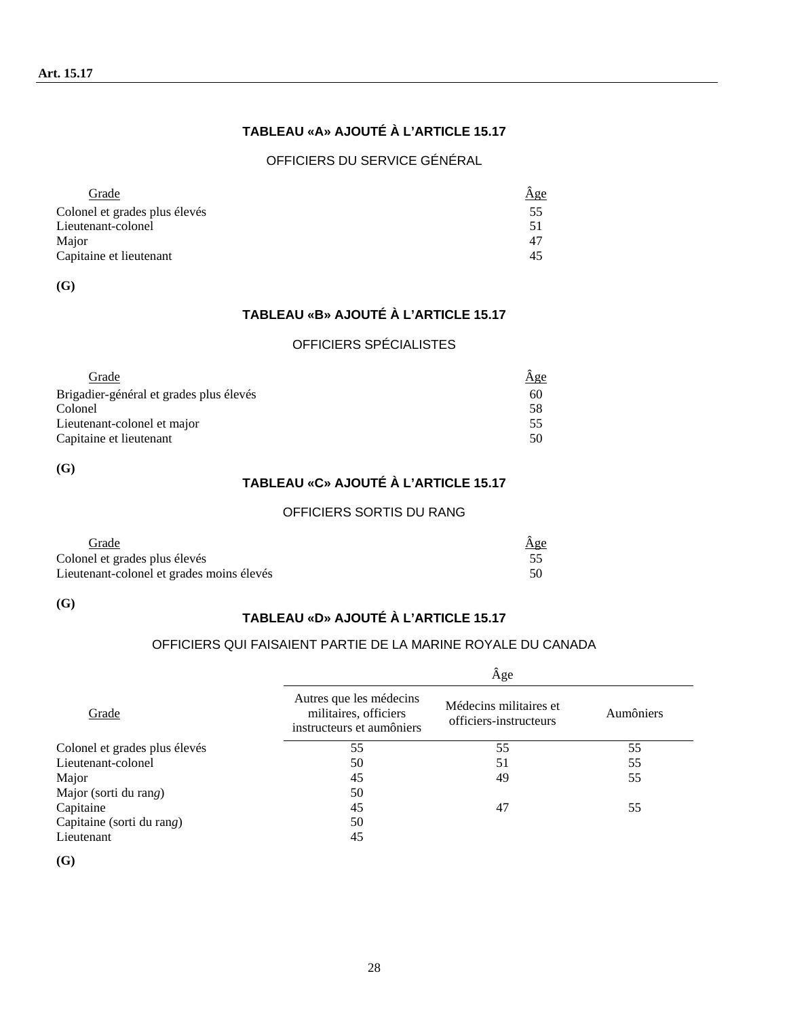# **TABLEAU «A» AJOUTÉ À L'ARTICLE 15.17**

## OFFICIERS DU SERVICE GÉNÉRAL

| Grade                         | Age |
|-------------------------------|-----|
| Colonel et grades plus élevés | 55  |
| Lieutenant-colonel            | 51  |
| Major                         | 47  |
| Capitaine et lieutenant       | 45  |

**(G)** 

# **TABLEAU «B» AJOUTÉ À L'ARTICLE 15.17**

### OFFICIERS SPÉCIALISTES

| Grade                                   | <u>Äge</u> |
|-----------------------------------------|------------|
| Brigadier-général et grades plus élevés | 60         |
| Colonel                                 | .58        |
| Lieutenant-colonel et major             | 55         |
| Capitaine et lieutenant                 | 50         |

**(G)** 

# **TABLEAU «C» AJOUTÉ À L'ARTICLE 15.17**

## OFFICIERS SORTIS DU RANG

| Grade                                     | Age |
|-------------------------------------------|-----|
| Colonel et grades plus élevés             |     |
| Lieutenant-colonel et grades moins élevés |     |

**(G)** 

# **TABLEAU «D» AJOUTÉ À L'ARTICLE 15.17**

## OFFICIERS QUI FAISAIENT PARTIE DE LA MARINE ROYALE DU CANADA

|                               | Âge                                                                           |                                                  |           |  |
|-------------------------------|-------------------------------------------------------------------------------|--------------------------------------------------|-----------|--|
| Grade                         | Autres que les médecins<br>militaires, officiers<br>instructeurs et aumôniers | Médecins militaires et<br>officiers-instructeurs | Aumôniers |  |
| Colonel et grades plus élevés | 55                                                                            | 55                                               | 55        |  |
| Lieutenant-colonel            | 50                                                                            | 51                                               | 55        |  |
| Major                         | 45                                                                            | 49                                               | 55        |  |
| Major (sorti du rang)         | 50                                                                            |                                                  |           |  |
| Capitaine                     | 45                                                                            | 47                                               | 55        |  |
| Capitaine (sorti du rang)     | 50                                                                            |                                                  |           |  |
| Lieutenant                    | 45                                                                            |                                                  |           |  |
|                               |                                                                               |                                                  |           |  |

**(G)**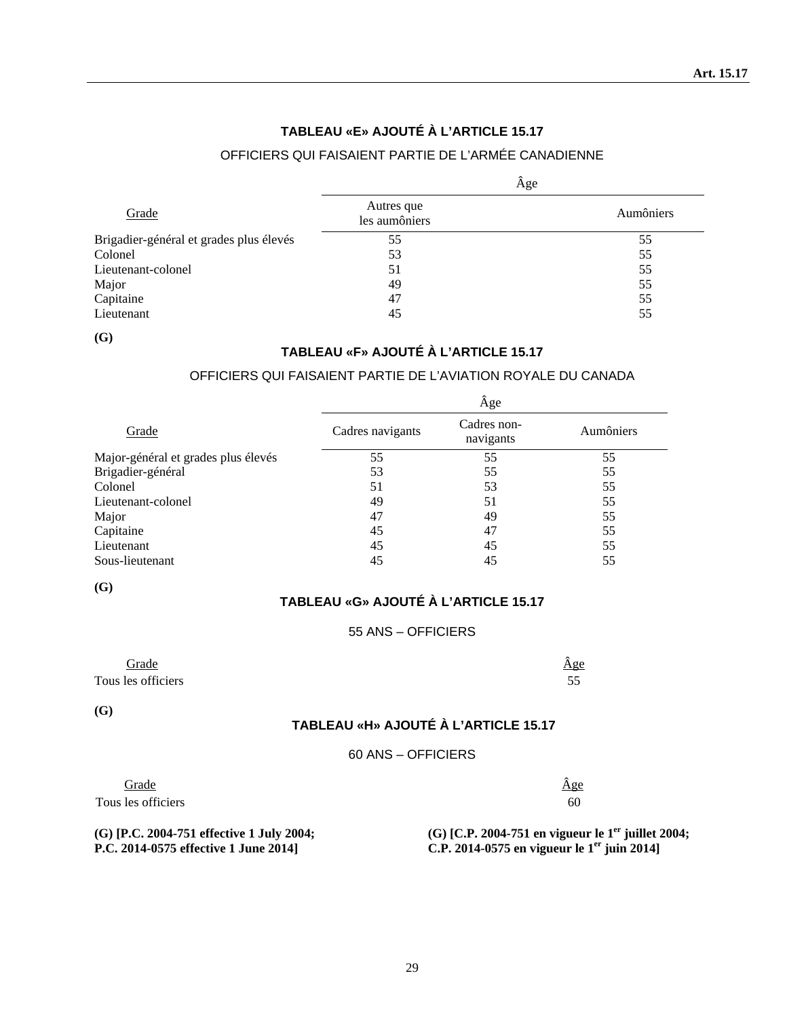# **TABLEAU «E» AJOUTÉ À L'ARTICLE 15.17**

# OFFICIERS QUI FAISAIENT PARTIE DE L'ARMÉE CANADIENNE

|                                         |                             | Âge       |
|-----------------------------------------|-----------------------------|-----------|
| Grade                                   | Autres que<br>les aumôniers | Aumôniers |
| Brigadier-général et grades plus élevés | 55                          | 55        |
| Colonel                                 | 53                          | 55        |
| Lieutenant-colonel                      | 51                          | 55        |
| Major                                   | 49                          | 55        |
| Capitaine                               | 47                          | 55        |
| Lieutenant                              | 45                          | 55        |

**(G)**

### **TABLEAU «F» AJOUTÉ À L'ARTICLE 15.17**

## OFFICIERS QUI FAISAIENT PARTIE DE L'AVIATION ROYALE DU CANADA

|                                     |                  | Âge                      |           |
|-------------------------------------|------------------|--------------------------|-----------|
| Grade                               | Cadres navigants | Cadres non-<br>navigants | Aumôniers |
| Major-général et grades plus élevés | 55               | 55                       | 55        |
| Brigadier-général                   | 53               | 55                       | 55        |
| Colonel                             | 51               | 53                       | 55        |
| Lieutenant-colonel                  | 49               | 51                       | 55        |
| Major                               | 47               | 49                       | 55        |
| Capitaine                           | 45               | 47                       | 55        |
| Lieutenant                          | 45               | 45                       | 55        |
| Sous-lieutenant                     | 45               | 45                       | 55        |

**(G)** 

### **TABLEAU «G» AJOUTÉ À L'ARTICLE 15.17**

### 55 ANS – OFFICIERS

| Grade              | Age |
|--------------------|-----|
| Tous les officiers | ັບ  |

**(G)** 

## **TABLEAU «H» AJOUTÉ À L'ARTICLE 15.17**

#### 60 ANS – OFFICIERS

| Grade              | <u>Age</u> |
|--------------------|------------|
| Tous les officiers | 60         |

**(G) [P.C. 2004-751 effective 1 July 2004; P.C. 2014-0575 effective 1 June 2014]** 

**(G) [C.P. 2004-751 en vigueur le 1er juillet 2004; C.P. 2014-0575 en vigueur le 1er juin 2014]**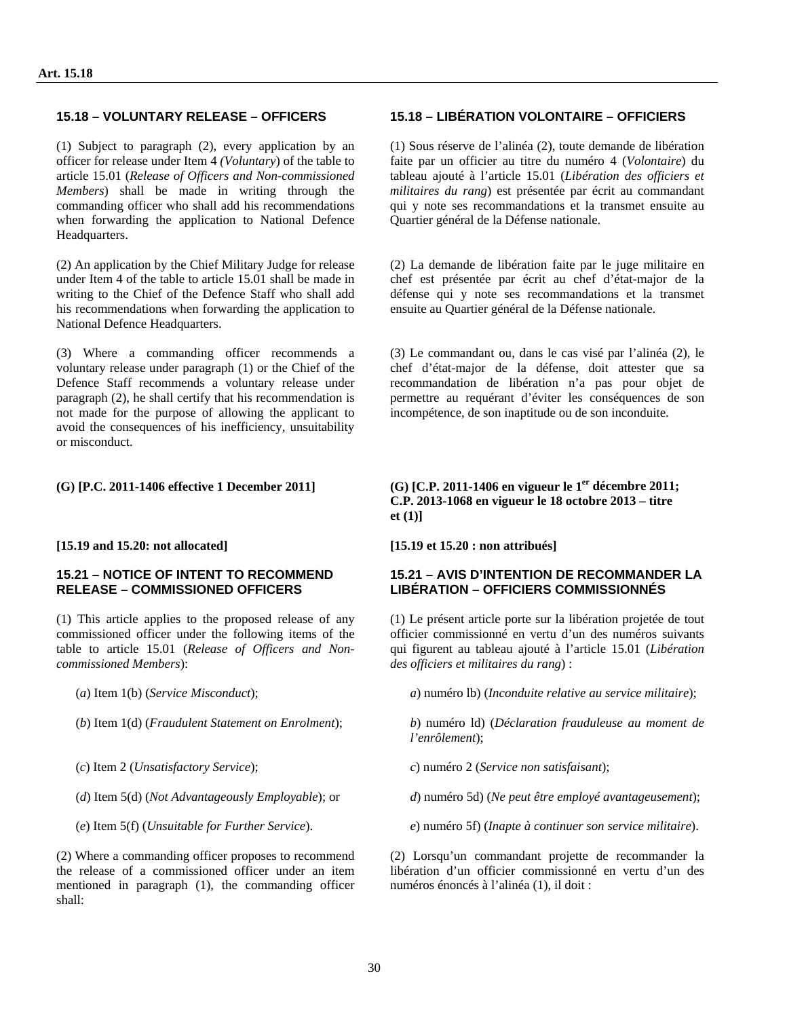(1) Subject to paragraph (2), every application by an officer for release under Item 4 *(Voluntary*) of the table to article 15.01 (*Release of Officers and Non-commissioned Members*) shall be made in writing through the commanding officer who shall add his recommendations when forwarding the application to National Defence Headquarters.

(2) An application by the Chief Military Judge for release under Item 4 of the table to article 15.01 shall be made in writing to the Chief of the Defence Staff who shall add his recommendations when forwarding the application to National Defence Headquarters.

(3) Where a commanding officer recommends a voluntary release under paragraph (1) or the Chief of the Defence Staff recommends a voluntary release under paragraph (2), he shall certify that his recommendation is not made for the purpose of allowing the applicant to avoid the consequences of his inefficiency, unsuitability or misconduct.

#### **[15.19 and 15.20: not allocated] [15.19 et 15.20 : non attribués]**

#### **15.21 – NOTICE OF INTENT TO RECOMMEND RELEASE – COMMISSIONED OFFICERS**

(1) This article applies to the proposed release of any commissioned officer under the following items of the table to article 15.01 (*Release of Officers and Noncommissioned Members*):

(2) Where a commanding officer proposes to recommend the release of a commissioned officer under an item mentioned in paragraph (1), the commanding officer shall:

### **15.18 – VOLUNTARY RELEASE – OFFICERS 15.18 – LIBÉRATION VOLONTAIRE – OFFICIERS**

(1) Sous réserve de l'alinéa (2), toute demande de libération faite par un officier au titre du numéro 4 (*Volontaire*) du tableau ajouté à l'article 15.01 (*Libération des officiers et militaires du rang*) est présentée par écrit au commandant qui y note ses recommandations et la transmet ensuite au Quartier général de la Défense nationale.

(2) La demande de libération faite par le juge militaire en chef est présentée par écrit au chef d'état-major de la défense qui y note ses recommandations et la transmet ensuite au Quartier général de la Défense nationale.

(3) Le commandant ou, dans le cas visé par l'alinéa (2), le chef d'état-major de la défense, doit attester que sa recommandation de libération n'a pas pour objet de permettre au requérant d'éviter les conséquences de son incompétence, de son inaptitude ou de son inconduite.

**(G) [P.C. 2011-1406 effective 1 December 2011] (G) [C.P. 2011-1406 en vigueur le 1er décembre 2011; C.P. 2013-1068 en vigueur le 18 octobre 2013 – titre et (1)]** 

### **15.21 – AVIS D'INTENTION DE RECOMMANDER LA LIBÉRATION – OFFICIERS COMMISSIONNÉS**

(1) Le présent article porte sur la libération projetée de tout officier commissionné en vertu d'un des numéros suivants qui figurent au tableau ajouté à l'article 15.01 (*Libération des officiers et militaires du rang*) :

(*a*) Item 1(b) (*Service Misconduct*); *a*) numéro lb) (*Inconduite relative au service militaire*);

(*b*) Item 1(d) (*Fraudulent Statement on Enrolment*); *b*) numéro ld) (*Déclaration frauduleuse au moment de l'enrôlement*);

(*c*) Item 2 (*Unsatisfactory Service*); *c*) numéro 2 (*Service non satisfaisant*);

(*d*) Item 5(d) (*Not Advantageously Employable*); or *d*) numéro 5d) (*Ne peut être employé avantageusement*);

(*e*) Item 5(f) (*Unsuitable for Further Service*). *e*) numéro 5f) (*Inapte à continuer son service militaire*).

(2) Lorsqu'un commandant projette de recommander la libération d'un officier commissionné en vertu d'un des numéros énoncés à l'alinéa (1), il doit :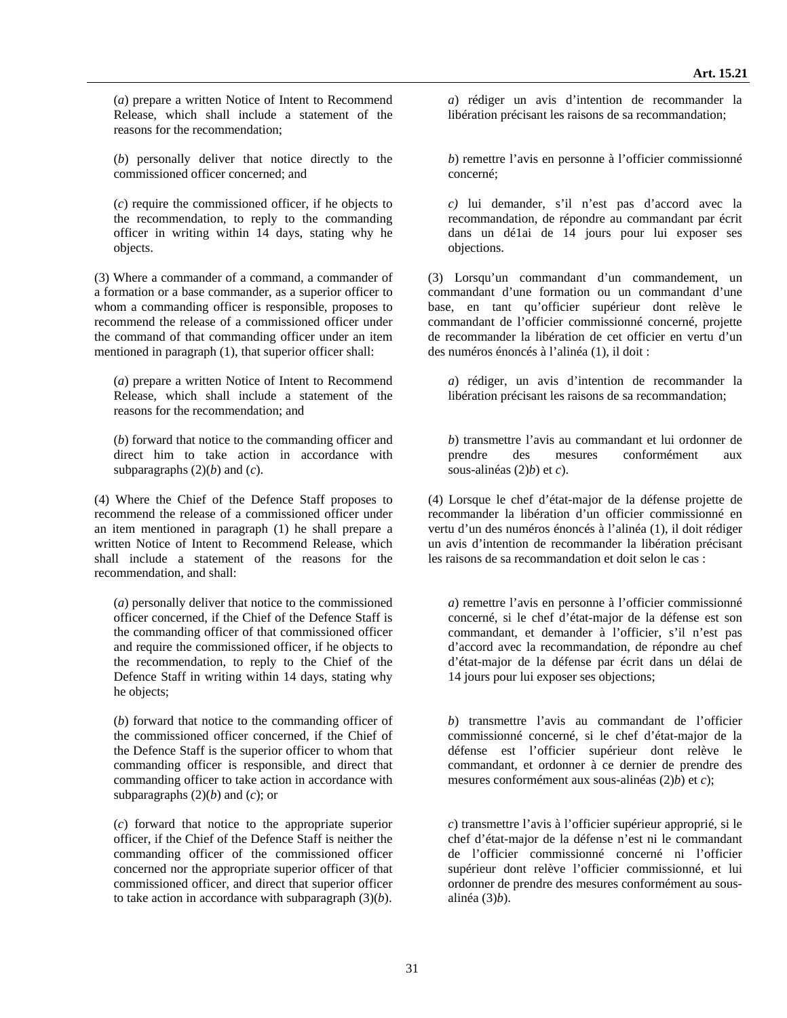(*a*) prepare a written Notice of Intent to Recommend Release, which shall include a statement of the reasons for the recommendation;

(*b*) personally deliver that notice directly to the commissioned officer concerned; and

(*c*) require the commissioned officer, if he objects to the recommendation, to reply to the commanding officer in writing within 14 days, stating why he objects.

(3) Where a commander of a command, a commander of a formation or a base commander, as a superior officer to whom a commanding officer is responsible, proposes to recommend the release of a commissioned officer under the command of that commanding officer under an item mentioned in paragraph (1), that superior officer shall:

(*a*) prepare a written Notice of Intent to Recommend Release, which shall include a statement of the reasons for the recommendation; and

(*b*) forward that notice to the commanding officer and direct him to take action in accordance with subparagraphs  $(2)(b)$  and  $(c)$ .

(4) Where the Chief of the Defence Staff proposes to recommend the release of a commissioned officer under an item mentioned in paragraph (1) he shall prepare a written Notice of Intent to Recommend Release, which shall include a statement of the reasons for the recommendation, and shall:

(*a*) personally deliver that notice to the commissioned officer concerned, if the Chief of the Defence Staff is the commanding officer of that commissioned officer and require the commissioned officer, if he objects to the recommendation, to reply to the Chief of the Defence Staff in writing within 14 days, stating why he objects;

(*b*) forward that notice to the commanding officer of the commissioned officer concerned, if the Chief of the Defence Staff is the superior officer to whom that commanding officer is responsible, and direct that commanding officer to take action in accordance with subparagraphs  $(2)(b)$  and  $(c)$ ; or

(*c*) forward that notice to the appropriate superior officer, if the Chief of the Defence Staff is neither the commanding officer of the commissioned officer concerned nor the appropriate superior officer of that commissioned officer, and direct that superior officer to take action in accordance with subparagraph (3)(*b*).

*a*) rédiger un avis d'intention de recommander la libération précisant les raisons de sa recommandation;

*b*) remettre l'avis en personne à l'officier commissionné concerné;

*c)* lui demander, s'il n'est pas d'accord avec la recommandation, de répondre au commandant par écrit dans un dé1ai de 14 jours pour lui exposer ses objections.

(3) Lorsqu'un commandant d'un commandement, un commandant d'une formation ou un commandant d'une base, en tant qu'officier supérieur dont relève le commandant de l'officier commissionné concerné, projette de recommander la libération de cet officier en vertu d'un des numéros énoncés à l'alinéa (1), il doit :

*a*) rédiger, un avis d'intention de recommander la libération précisant les raisons de sa recommandation;

*b*) transmettre l'avis au commandant et lui ordonner de prendre des mesures conformément aux sous-alinéas (2)*b*) et *c*).

(4) Lorsque le chef d'état-major de la défense projette de recommander la libération d'un officier commissionné en vertu d'un des numéros énoncés à l'alinéa (1), il doit rédiger un avis d'intention de recommander la libération précisant les raisons de sa recommandation et doit selon le cas :

*a*) remettre l'avis en personne à l'officier commissionné concerné, si le chef d'état-major de la défense est son commandant, et demander à l'officier, s'il n'est pas d'accord avec la recommandation, de répondre au chef d'état-major de la défense par écrit dans un délai de 14 jours pour lui exposer ses objections;

*b*) transmettre l'avis au commandant de l'officier commissionné concerné, si le chef d'état-major de la défense est l'officier supérieur dont relève le commandant, et ordonner à ce dernier de prendre des mesures conformément aux sous-alinéas (2)*b*) et *c*);

*c*) transmettre l'avis à l'officier supérieur approprié, si le chef d'état-major de la défense n'est ni le commandant de l'officier commissionné concerné ni l'officier supérieur dont relève l'officier commissionné, et lui ordonner de prendre des mesures conformément au sousalinéa (3)*b*).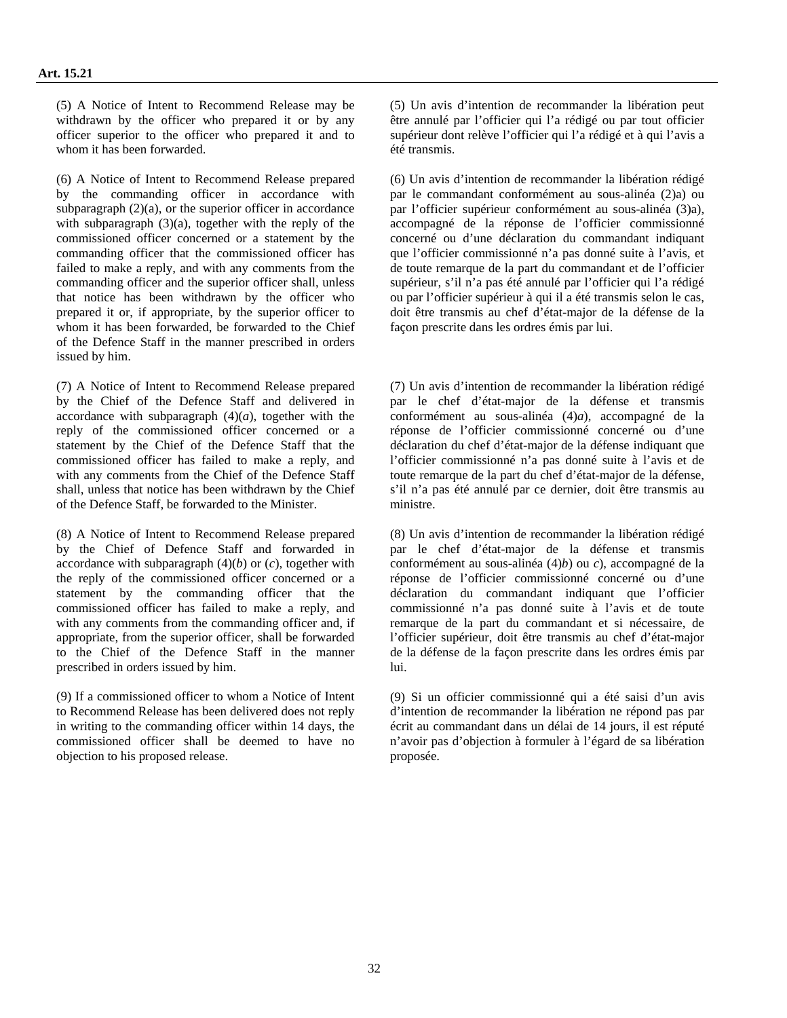(5) A Notice of Intent to Recommend Release may be withdrawn by the officer who prepared it or by any officer superior to the officer who prepared it and to whom it has been forwarded.

(6) A Notice of Intent to Recommend Release prepared by the commanding officer in accordance with subparagraph  $(2)(a)$ , or the superior officer in accordance with subparagraph  $(3)(a)$ , together with the reply of the commissioned officer concerned or a statement by the commanding officer that the commissioned officer has failed to make a reply, and with any comments from the commanding officer and the superior officer shall, unless that notice has been withdrawn by the officer who prepared it or, if appropriate, by the superior officer to whom it has been forwarded, be forwarded to the Chief of the Defence Staff in the manner prescribed in orders issued by him.

(7) A Notice of Intent to Recommend Release prepared by the Chief of the Defence Staff and delivered in accordance with subparagraph  $(4)(a)$ , together with the reply of the commissioned officer concerned or a statement by the Chief of the Defence Staff that the commissioned officer has failed to make a reply, and with any comments from the Chief of the Defence Staff shall, unless that notice has been withdrawn by the Chief of the Defence Staff, be forwarded to the Minister.

(8) A Notice of Intent to Recommend Release prepared by the Chief of Defence Staff and forwarded in accordance with subparagraph  $(4)(b)$  or  $(c)$ , together with the reply of the commissioned officer concerned or a statement by the commanding officer that the commissioned officer has failed to make a reply, and with any comments from the commanding officer and, if appropriate, from the superior officer, shall be forwarded to the Chief of the Defence Staff in the manner prescribed in orders issued by him.

(9) If a commissioned officer to whom a Notice of Intent to Recommend Release has been delivered does not reply in writing to the commanding officer within 14 days, the commissioned officer shall be deemed to have no objection to his proposed release.

(5) Un avis d'intention de recommander la libération peut être annulé par l'officier qui l'a rédigé ou par tout officier supérieur dont relève l'officier qui l'a rédigé et à qui l'avis a été transmis.

(6) Un avis d'intention de recommander la libération rédigé par le commandant conformément au sous-alinéa (2)a) ou par l'officier supérieur conformément au sous-alinéa (3)a), accompagné de la réponse de l'officier commissionné concerné ou d'une déclaration du commandant indiquant que l'officier commissionné n'a pas donné suite à l'avis, et de toute remarque de la part du commandant et de l'officier supérieur, s'il n'a pas été annulé par l'officier qui l'a rédigé ou par l'officier supérieur à qui il a été transmis selon le cas, doit être transmis au chef d'état-major de la défense de la façon prescrite dans les ordres émis par lui.

(7) Un avis d'intention de recommander la libération rédigé par le chef d'état-major de la défense et transmis conformément au sous-alinéa (4)*a*), accompagné de la réponse de l'officier commissionné concerné ou d'une déclaration du chef d'état-major de la défense indiquant que l'officier commissionné n'a pas donné suite à l'avis et de toute remarque de la part du chef d'état-major de la défense, s'il n'a pas été annulé par ce dernier, doit être transmis au ministre.

(8) Un avis d'intention de recommander la libération rédigé par le chef d'état-major de la défense et transmis conformément au sous-alinéa (4)*b*) ou *c*), accompagné de la réponse de l'officier commissionné concerné ou d'une déclaration du commandant indiquant que l'officier commissionné n'a pas donné suite à l'avis et de toute remarque de la part du commandant et si nécessaire, de l'officier supérieur, doit être transmis au chef d'état-major de la défense de la façon prescrite dans les ordres émis par lui.

(9) Si un officier commissionné qui a été saisi d'un avis d'intention de recommander la libération ne répond pas par écrit au commandant dans un délai de 14 jours, il est réputé n'avoir pas d'objection à formuler à l'égard de sa libération proposée.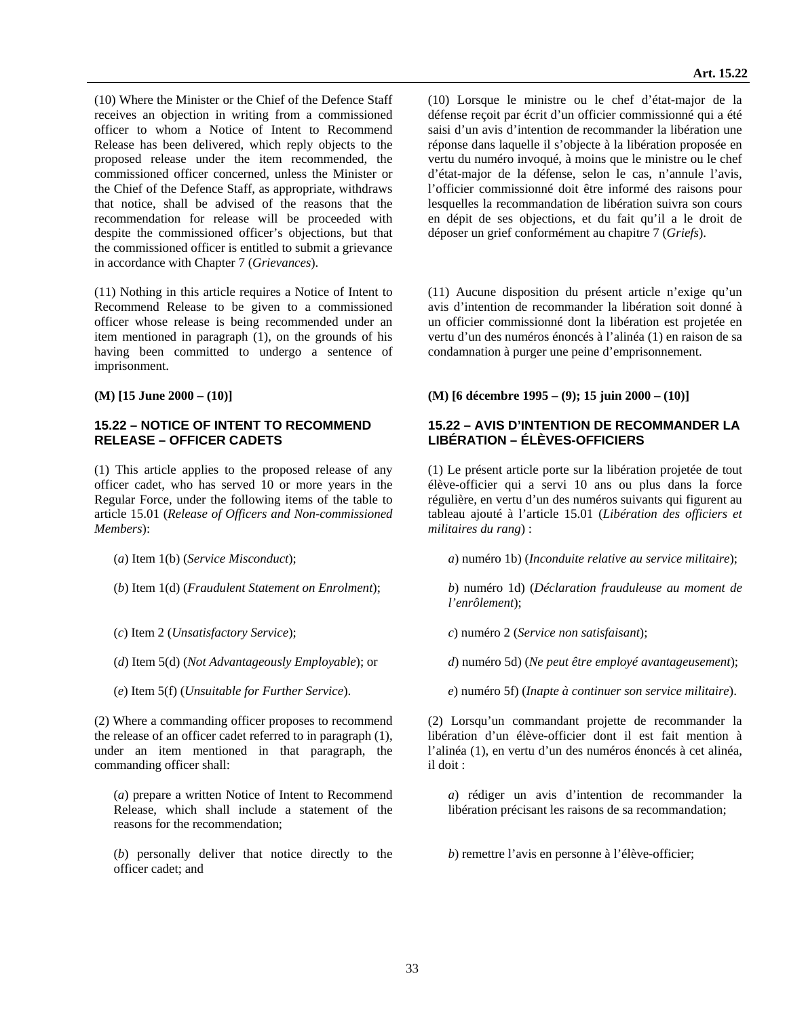(10) Where the Minister or the Chief of the Defence Staff receives an objection in writing from a commissioned officer to whom a Notice of Intent to Recommend Release has been delivered, which reply objects to the proposed release under the item recommended, the commissioned officer concerned, unless the Minister or the Chief of the Defence Staff, as appropriate, withdraws that notice, shall be advised of the reasons that the recommendation for release will be proceeded with

(11) Nothing in this article requires a Notice of Intent to Recommend Release to be given to a commissioned officer whose release is being recommended under an item mentioned in paragraph (1), on the grounds of his having been committed to undergo a sentence of imprisonment.

despite the commissioned officer's objections, but that the commissioned officer is entitled to submit a grievance

in accordance with Chapter 7 (*Grievances*).

#### **15.22 – NOTICE OF INTENT TO RECOMMEND RELEASE – OFFICER CADETS**

(1) This article applies to the proposed release of any officer cadet, who has served 10 or more years in the Regular Force, under the following items of the table to article 15.01 (*Release of Officers and Non-commissioned Members*):

- 
- 
- 
- 
- 

(2) Where a commanding officer proposes to recommend the release of an officer cadet referred to in paragraph (1), under an item mentioned in that paragraph, the commanding officer shall:

(*a*) prepare a written Notice of Intent to Recommend Release, which shall include a statement of the reasons for the recommendation;

(*b*) personally deliver that notice directly to the officer cadet; and

(10) Lorsque le ministre ou le chef d'état-major de la défense reçoit par écrit d'un officier commissionné qui a été saisi d'un avis d'intention de recommander la libération une réponse dans laquelle il s'objecte à la libération proposée en vertu du numéro invoqué, à moins que le ministre ou le chef d'état-major de la défense, selon le cas, n'annule l'avis, l'officier commissionné doit être informé des raisons pour lesquelles la recommandation de libération suivra son cours en dépit de ses objections, et du fait qu'il a le droit de déposer un grief conformément au chapitre 7 (*Griefs*).

(11) Aucune disposition du présent article n'exige qu'un avis d'intention de recommander la libération soit donné à un officier commissionné dont la libération est projetée en vertu d'un des numéros énoncés à l'alinéa (1) en raison de sa condamnation à purger une peine d'emprisonnement.

**(M) [15 June 2000 – (10)] (M) [6 décembre 1995 – (9); 15 juin 2000 – (10)]** 

#### **15.22 – AVIS D'INTENTION DE RECOMMANDER LA LIBÉRATION – ÉLÈVES-OFFICIERS**

(1) Le présent article porte sur la libération projetée de tout élève-officier qui a servi 10 ans ou plus dans la force régulière, en vertu d'un des numéros suivants qui figurent au tableau ajouté à l'article 15.01 (*Libération des officiers et militaires du rang*) :

(*a*) Item 1(b) (*Service Misconduct*); *a*) numéro 1b) (*Inconduite relative au service militaire*);

(*b*) Item 1(d) (*Fraudulent Statement on Enrolment*); *b*) numéro 1d) (*Déclaration frauduleuse au moment de l'enrôlement*);

(*c*) Item 2 (*Unsatisfactory Service*); *c*) numéro 2 (*Service non satisfaisant*);

(*d*) Item 5(d) (*Not Advantageously Employable*); or *d*) numéro 5d) (*Ne peut être employé avantageusement*);

(*e*) Item 5(f) (*Unsuitable for Further Service*). *e*) numéro 5f) (*Inapte à continuer son service militaire*).

(2) Lorsqu'un commandant projette de recommander la libération d'un élève-officier dont il est fait mention à l'alinéa (1), en vertu d'un des numéros énoncés à cet alinéa, il doit :

*a*) rédiger un avis d'intention de recommander la libération précisant les raisons de sa recommandation;

*b*) remettre l'avis en personne à l'élève-officier;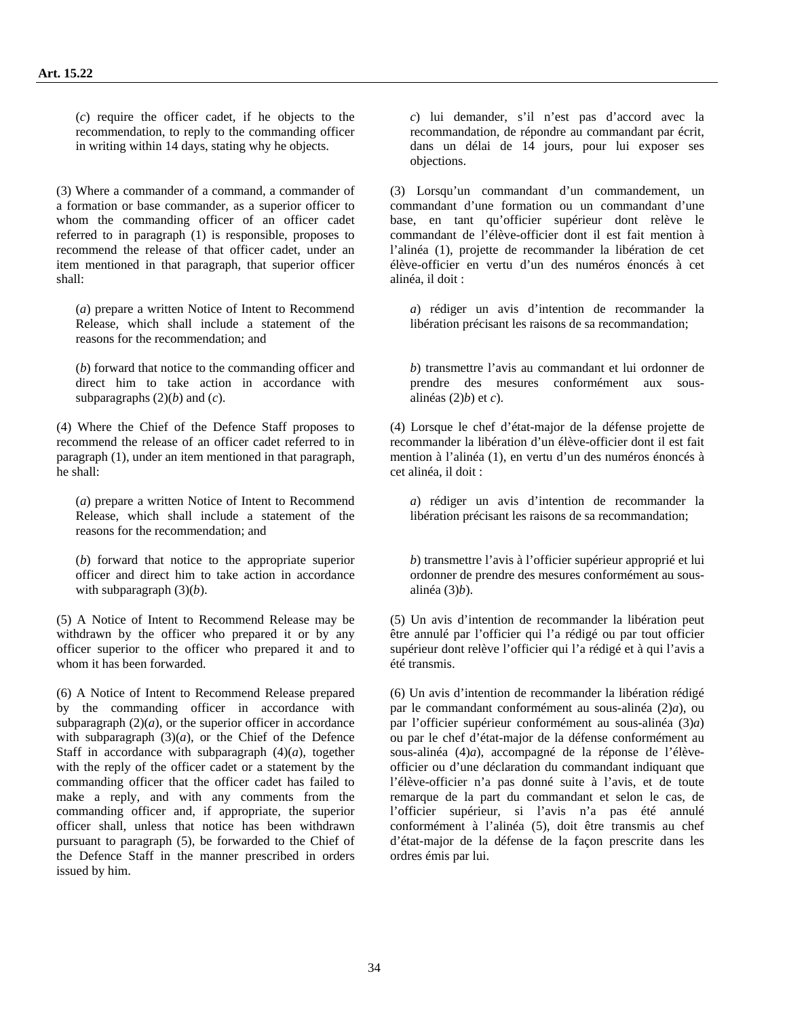(*c*) require the officer cadet, if he objects to the recommendation, to reply to the commanding officer in writing within 14 days, stating why he objects.

(3) Where a commander of a command, a commander of a formation or base commander, as a superior officer to whom the commanding officer of an officer cadet referred to in paragraph (1) is responsible, proposes to recommend the release of that officer cadet, under an item mentioned in that paragraph, that superior officer shall:

(*a*) prepare a written Notice of Intent to Recommend Release, which shall include a statement of the reasons for the recommendation; and

(*b*) forward that notice to the commanding officer and direct him to take action in accordance with subparagraphs  $(2)(b)$  and  $(c)$ .

(4) Where the Chief of the Defence Staff proposes to recommend the release of an officer cadet referred to in paragraph (1), under an item mentioned in that paragraph, he shall:

(*a*) prepare a written Notice of Intent to Recommend Release, which shall include a statement of the reasons for the recommendation; and

(*b*) forward that notice to the appropriate superior officer and direct him to take action in accordance with subparagraph (3)(*b*).

(5) A Notice of Intent to Recommend Release may be withdrawn by the officer who prepared it or by any officer superior to the officer who prepared it and to whom it has been forwarded.

(6) A Notice of Intent to Recommend Release prepared by the commanding officer in accordance with subparagraph  $(2)(a)$ , or the superior officer in accordance with subparagraph  $(3)(a)$ , or the Chief of the Defence Staff in accordance with subparagraph  $(4)(a)$ , together with the reply of the officer cadet or a statement by the commanding officer that the officer cadet has failed to make a reply, and with any comments from the commanding officer and, if appropriate, the superior officer shall, unless that notice has been withdrawn pursuant to paragraph (5), be forwarded to the Chief of the Defence Staff in the manner prescribed in orders issued by him.

*c*) lui demander, s'il n'est pas d'accord avec la recommandation, de répondre au commandant par écrit, dans un délai de 14 jours, pour lui exposer ses objections.

(3) Lorsqu'un commandant d'un commandement, un commandant d'une formation ou un commandant d'une base, en tant qu'officier supérieur dont relève le commandant de l'élève-officier dont il est fait mention à l'alinéa (1), projette de recommander la libération de cet élève-officier en vertu d'un des numéros énoncés à cet alinéa, il doit :

*a*) rédiger un avis d'intention de recommander la libération précisant les raisons de sa recommandation;

*b*) transmettre l'avis au commandant et lui ordonner de prendre des mesures conformément aux sousalinéas (2)*b*) et *c*).

(4) Lorsque le chef d'état-major de la défense projette de recommander la libération d'un élève-officier dont il est fait mention à l'alinéa (1), en vertu d'un des numéros énoncés à cet alinéa, il doit :

*a*) rédiger un avis d'intention de recommander la libération précisant les raisons de sa recommandation;

*b*) transmettre l'avis à l'officier supérieur approprié et lui ordonner de prendre des mesures conformément au sousalinéa (3)*b*).

(5) Un avis d'intention de recommander la libération peut être annulé par l'officier qui l'a rédigé ou par tout officier supérieur dont relève l'officier qui l'a rédigé et à qui l'avis a été transmis.

(6) Un avis d'intention de recommander la libération rédigé par le commandant conformément au sous-alinéa (2)*a*), ou par l'officier supérieur conformément au sous-alinéa (3)*a*) ou par le chef d'état-major de la défense conformément au sous-alinéa (4)*a*), accompagné de la réponse de l'élèveofficier ou d'une déclaration du commandant indiquant que l'élève-officier n'a pas donné suite à l'avis, et de toute remarque de la part du commandant et selon le cas, de l'officier supérieur, si l'avis n'a pas été annulé conformément à l'alinéa (5), doit être transmis au chef d'état-major de la défense de la façon prescrite dans les ordres émis par lui.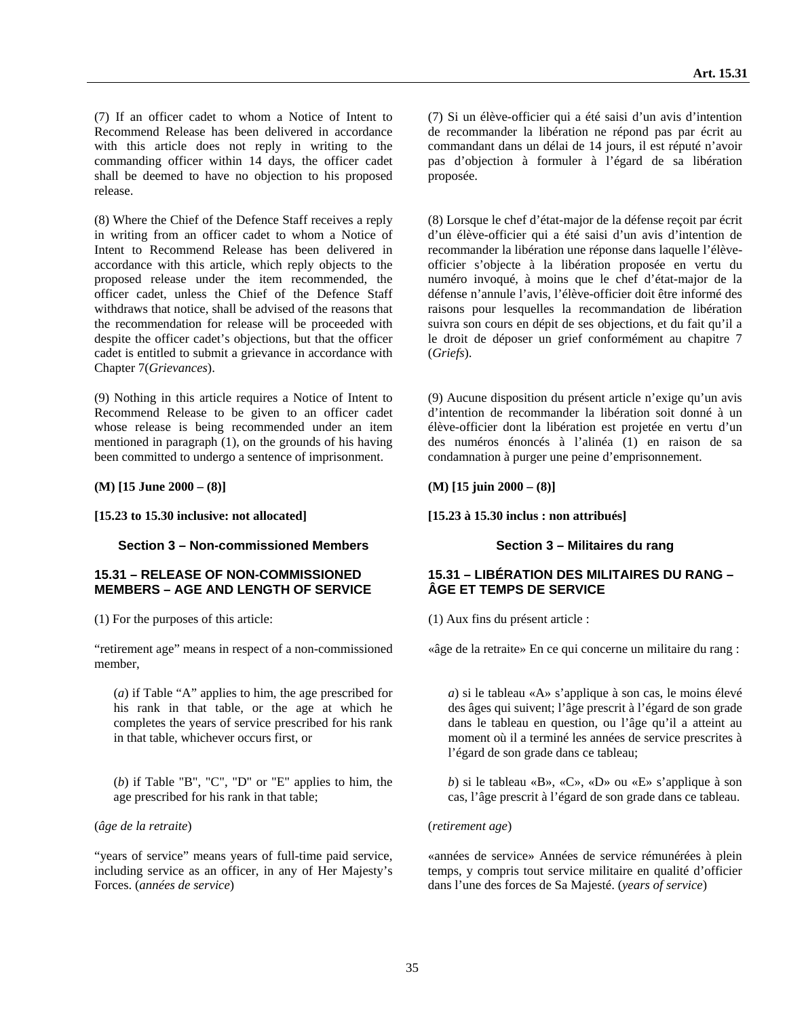(7) If an officer cadet to whom a Notice of Intent to Recommend Release has been delivered in accordance with this article does not reply in writing to the commanding officer within 14 days, the officer cadet shall be deemed to have no objection to his proposed release.

(8) Where the Chief of the Defence Staff receives a reply in writing from an officer cadet to whom a Notice of Intent to Recommend Release has been delivered in accordance with this article, which reply objects to the proposed release under the item recommended, the officer cadet, unless the Chief of the Defence Staff withdraws that notice, shall be advised of the reasons that the recommendation for release will be proceeded with despite the officer cadet's objections, but that the officer cadet is entitled to submit a grievance in accordance with Chapter 7(*Grievances*).

(9) Nothing in this article requires a Notice of Intent to Recommend Release to be given to an officer cadet whose release is being recommended under an item mentioned in paragraph (1), on the grounds of his having been committed to undergo a sentence of imprisonment.

**(M) [15 June 2000 – (8)] (M) [15 juin 2000 – (8)]** 

**[15.23 to 15.30 inclusive: not allocated] [15.23 à 15.30 inclus : non attribués]** 

#### **Section 3 – Non-commissioned Members Section 3 – Militaires du rang**

#### **15.31 – RELEASE OF NON-COMMISSIONED MEMBERS – AGE AND LENGTH OF SERVICE**

(1) For the purposes of this article: (1) Aux fins du présent article :

"retirement age" means in respect of a non-commissioned member,

(*a*) if Table "A" applies to him, the age prescribed for his rank in that table, or the age at which he completes the years of service prescribed for his rank in that table, whichever occurs first, or

(*b*) if Table "B", "C", "D" or "E" applies to him, the age prescribed for his rank in that table;

(*âge de la retraite*) (*retirement age*)

"years of service" means years of full-time paid service, including service as an officer, in any of Her Majesty's Forces. (*années de service*)

(7) Si un élève-officier qui a été saisi d'un avis d'intention de recommander la libération ne répond pas par écrit au commandant dans un délai de 14 jours, il est réputé n'avoir pas d'objection à formuler à l'égard de sa libération proposée.

(8) Lorsque le chef d'état-major de la défense reçoit par écrit d'un élève-officier qui a été saisi d'un avis d'intention de recommander la libération une réponse dans laquelle l'élèveofficier s'objecte à la libération proposée en vertu du numéro invoqué, à moins que le chef d'état-major de la défense n'annule l'avis, l'élève-officier doit être informé des raisons pour lesquelles la recommandation de libération suivra son cours en dépit de ses objections, et du fait qu'il a le droit de déposer un grief conformément au chapitre 7 (*Griefs*).

(9) Aucune disposition du présent article n'exige qu'un avis d'intention de recommander la libération soit donné à un élève-officier dont la libération est projetée en vertu d'un des numéros énoncés à l'alinéa (1) en raison de sa condamnation à purger une peine d'emprisonnement.

#### **15.31 – LIBÉRATION DES MILITAIRES DU RANG – ÂGE ET TEMPS DE SERVICE**

«âge de la retraite» En ce qui concerne un militaire du rang :

*a*) si le tableau «A» s'applique à son cas, le moins élevé des âges qui suivent; l'âge prescrit à l'égard de son grade dans le tableau en question, ou l'âge qu'il a atteint au moment où il a terminé les années de service prescrites à l'égard de son grade dans ce tableau;

*b*) si le tableau «B», «C», «D» ou «E» s'applique à son cas, l'âge prescrit à l'égard de son grade dans ce tableau.

«années de service» Années de service rémunérées à plein temps, y compris tout service militaire en qualité d'officier dans l'une des forces de Sa Majesté. (*years of service*)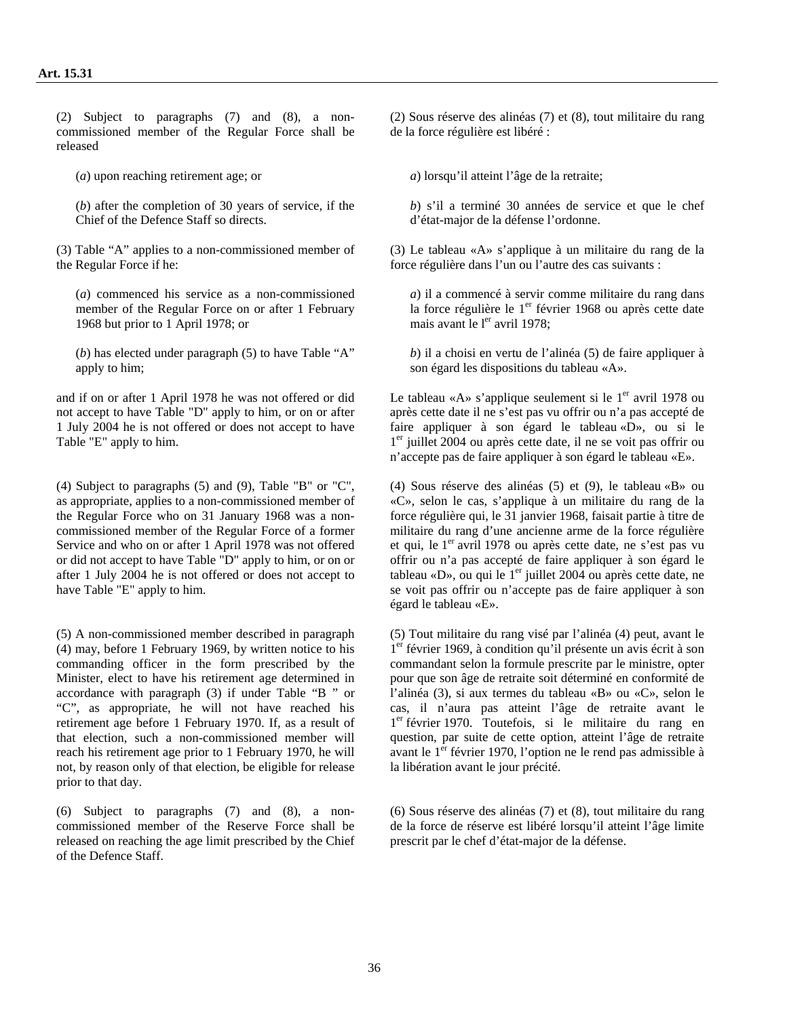(2) Subject to paragraphs (7) and (8), a noncommissioned member of the Regular Force shall be released

(*b*) after the completion of 30 years of service, if the Chief of the Defence Staff so directs.

(3) Table "A" applies to a non-commissioned member of the Regular Force if he:

(*a*) commenced his service as a non-commissioned member of the Regular Force on or after 1 February 1968 but prior to 1 April 1978; or

(*b*) has elected under paragraph (5) to have Table "A" apply to him;

and if on or after 1 April 1978 he was not offered or did not accept to have Table "D" apply to him, or on or after 1 July 2004 he is not offered or does not accept to have Table "E" apply to him.

(4) Subject to paragraphs (5) and (9), Table "B" or "C", as appropriate, applies to a non-commissioned member of the Regular Force who on 31 January 1968 was a noncommissioned member of the Regular Force of a former Service and who on or after 1 April 1978 was not offered or did not accept to have Table "D" apply to him, or on or after 1 July 2004 he is not offered or does not accept to have Table "E" apply to him.

(5) A non-commissioned member described in paragraph (4) may, before 1 February 1969, by written notice to his commanding officer in the form prescribed by the Minister, elect to have his retirement age determined in accordance with paragraph (3) if under Table "B " or "C", as appropriate, he will not have reached his retirement age before 1 February 1970. If, as a result of that election, such a non-commissioned member will reach his retirement age prior to 1 February 1970, he will not, by reason only of that election, be eligible for release prior to that day.

(6) Subject to paragraphs (7) and (8), a noncommissioned member of the Reserve Force shall be released on reaching the age limit prescribed by the Chief of the Defence Staff.

(2) Sous réserve des alinéas (7) et (8), tout militaire du rang de la force régulière est libéré :

(*a*) upon reaching retirement age; or *a*) lorsqu'il atteint l'âge de la retraite;

*b*) s'il a terminé 30 années de service et que le chef d'état-major de la défense l'ordonne.

(3) Le tableau «A» s'applique à un militaire du rang de la force régulière dans l'un ou l'autre des cas suivants :

*a*) il a commencé à servir comme militaire du rang dans la force régulière le  $1<sup>er</sup>$  février 1968 ou après cette date mais avant le  $l<sup>er</sup>$  avril 1978;

*b*) il a choisi en vertu de l'alinéa (5) de faire appliquer à son égard les dispositions du tableau «A».

Le tableau «A» s'applique seulement si le  $1<sup>er</sup>$  avril 1978 ou après cette date il ne s'est pas vu offrir ou n'a pas accepté de faire appliquer à son égard le tableau «D», ou si le 1er juillet 2004 ou après cette date, il ne se voit pas offrir ou n'accepte pas de faire appliquer à son égard le tableau «E».

(4) Sous réserve des alinéas (5) et (9), le tableau «B» ou «C», selon le cas, s'applique à un militaire du rang de la force régulière qui, le 31 janvier 1968, faisait partie à titre de militaire du rang d'une ancienne arme de la force régulière et qui, le 1<sup>er</sup> avril 1978 ou après cette date, ne s'est pas vu offrir ou n'a pas accepté de faire appliquer à son égard le tableau «D», ou qui le  $1<sup>er</sup>$  juillet 2004 ou après cette date, ne se voit pas offrir ou n'accepte pas de faire appliquer à son égard le tableau «E».

(5) Tout militaire du rang visé par l'alinéa (4) peut, avant le 1er février 1969, à condition qu'il présente un avis écrit à son commandant selon la formule prescrite par le ministre, opter pour que son âge de retraite soit déterminé en conformité de l'alinéa (3), si aux termes du tableau «B» ou «C», selon le cas, il n'aura pas atteint l'âge de retraite avant le 1er février 1970. Toutefois, si le militaire du rang en question, par suite de cette option, atteint l'âge de retraite avant le 1<sup>er</sup> février 1970, l'option ne le rend pas admissible à la libération avant le jour précité.

(6) Sous réserve des alinéas (7) et (8), tout militaire du rang de la force de réserve est libéré lorsqu'il atteint l'âge limite prescrit par le chef d'état-major de la défense.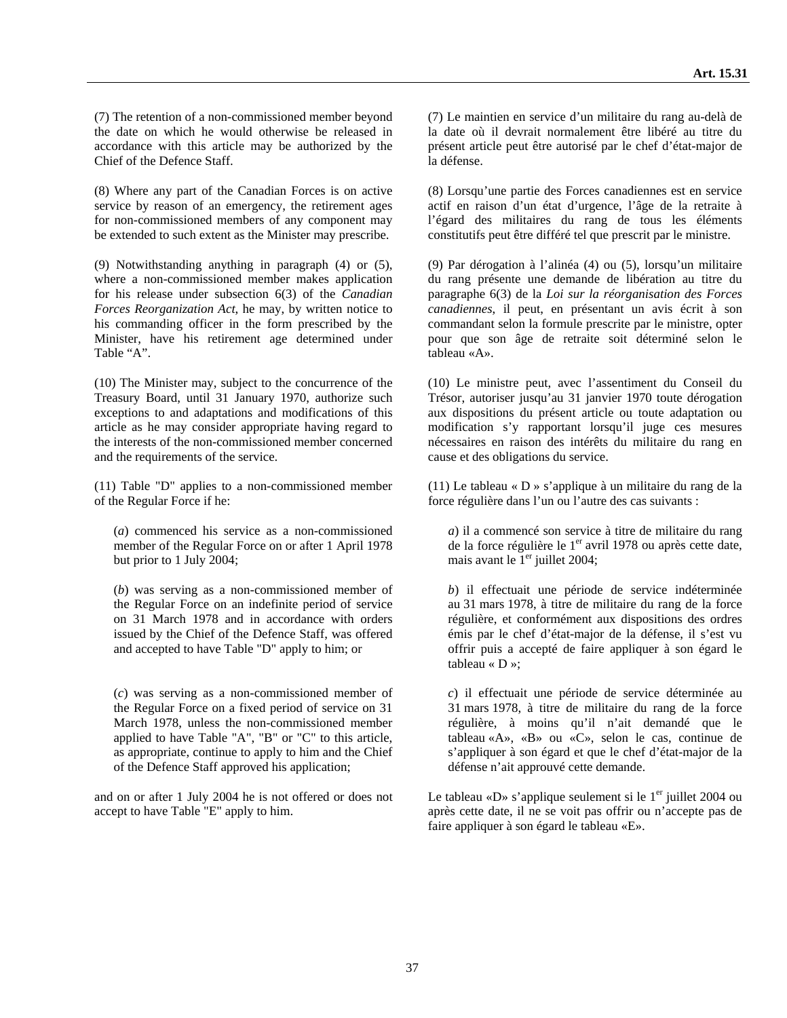(7) The retention of a non-commissioned member beyond the date on which he would otherwise be released in accordance with this article may be authorized by the Chief of the Defence Staff.

(8) Where any part of the Canadian Forces is on active service by reason of an emergency, the retirement ages for non-commissioned members of any component may be extended to such extent as the Minister may prescribe.

(9) Notwithstanding anything in paragraph (4) or (5), where a non-commissioned member makes application for his release under subsection 6(3) of the *Canadian Forces Reorganization Act*, he may, by written notice to his commanding officer in the form prescribed by the Minister, have his retirement age determined under Table "A".

(10) The Minister may, subject to the concurrence of the Treasury Board, until 31 January 1970, authorize such exceptions to and adaptations and modifications of this article as he may consider appropriate having regard to the interests of the non-commissioned member concerned and the requirements of the service.

(11) Table "D" applies to a non-commissioned member of the Regular Force if he:

(*a*) commenced his service as a non-commissioned member of the Regular Force on or after 1 April 1978 but prior to 1 July 2004;

(*b*) was serving as a non-commissioned member of the Regular Force on an indefinite period of service on 31 March 1978 and in accordance with orders issued by the Chief of the Defence Staff, was offered and accepted to have Table "D" apply to him; or

(*c*) was serving as a non-commissioned member of the Regular Force on a fixed period of service on 31 March 1978, unless the non-commissioned member applied to have Table "A", "B" or "C" to this article, as appropriate, continue to apply to him and the Chief of the Defence Staff approved his application;

and on or after 1 July 2004 he is not offered or does not accept to have Table "E" apply to him.

(7) Le maintien en service d'un militaire du rang au-delà de la date où il devrait normalement être libéré au titre du présent article peut être autorisé par le chef d'état-major de la défense.

(8) Lorsqu'une partie des Forces canadiennes est en service actif en raison d'un état d'urgence, l'âge de la retraite à l'égard des militaires du rang de tous les éléments constitutifs peut être différé tel que prescrit par le ministre.

(9) Par dérogation à l'alinéa (4) ou (5), lorsqu'un militaire du rang présente une demande de libération au titre du paragraphe 6(3) de la *Loi sur la réorganisation des Forces canadiennes*, il peut, en présentant un avis écrit à son commandant selon la formule prescrite par le ministre, opter pour que son âge de retraite soit déterminé selon le tableau «A».

(10) Le ministre peut, avec l'assentiment du Conseil du Trésor, autoriser jusqu'au 31 janvier 1970 toute dérogation aux dispositions du présent article ou toute adaptation ou modification s'y rapportant lorsqu'il juge ces mesures nécessaires en raison des intérêts du militaire du rang en cause et des obligations du service.

(11) Le tableau « D » s'applique à un militaire du rang de la force régulière dans l'un ou l'autre des cas suivants :

*a*) il a commencé son service à titre de militaire du rang de la force régulière le  $1<sup>er</sup>$  avril 1978 ou après cette date, mais avant le  $1<sup>er</sup>$  juillet 2004;

*b*) il effectuait une période de service indéterminée au 31 mars 1978, à titre de militaire du rang de la force régulière, et conformément aux dispositions des ordres émis par le chef d'état-major de la défense, il s'est vu offrir puis a accepté de faire appliquer à son égard le tableau « D »;

*c*) il effectuait une période de service déterminée au 31 mars 1978, à titre de militaire du rang de la force régulière, à moins qu'il n'ait demandé que le tableau «A», «B» ou «C», selon le cas, continue de s'appliquer à son égard et que le chef d'état-major de la défense n'ait approuvé cette demande.

Le tableau «D» s'applique seulement si le  $1<sup>er</sup>$  juillet 2004 ou après cette date, il ne se voit pas offrir ou n'accepte pas de faire appliquer à son égard le tableau «E».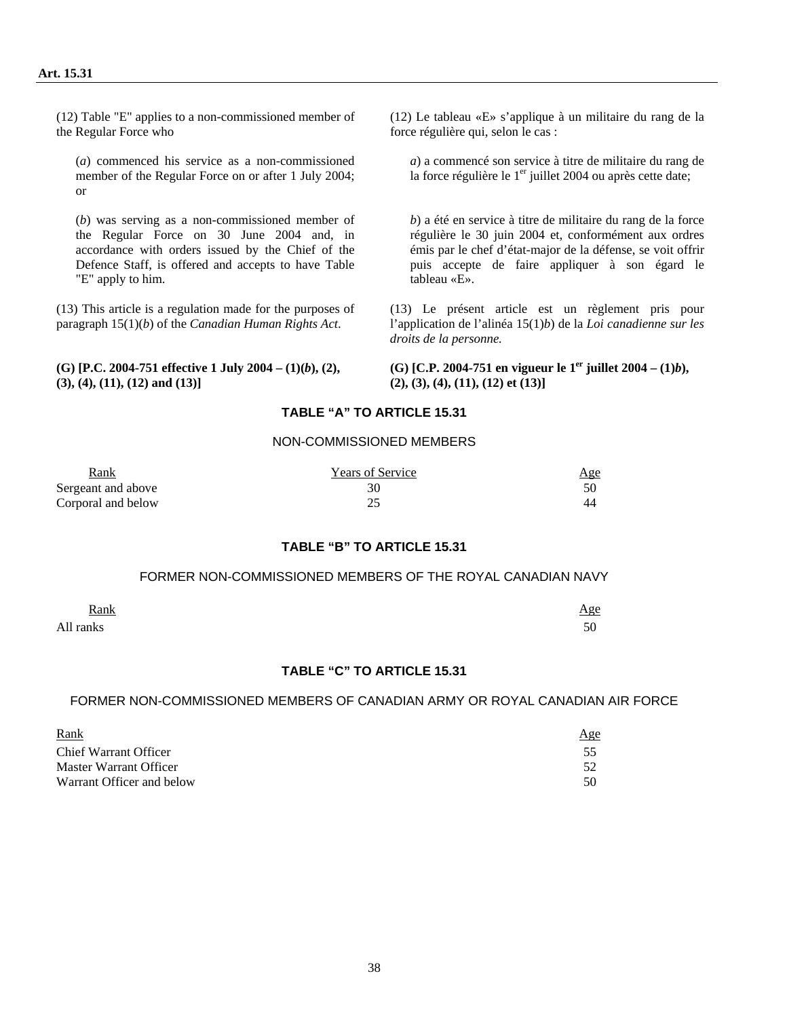(12) Table "E" applies to a non-commissioned member of the Regular Force who

(*a*) commenced his service as a non-commissioned member of the Regular Force on or after 1 July 2004; or

(*b*) was serving as a non-commissioned member of the Regular Force on 30 June 2004 and, in accordance with orders issued by the Chief of the Defence Staff, is offered and accepts to have Table "E" apply to him.

(13) This article is a regulation made for the purposes of paragraph 15(1)(*b*) of the *Canadian Human Rights Act*.

**(G) [P.C. 2004-751 effective 1 July 2004 – (1)(***b***), (2), (3), (4), (11), (12) and (13)]** 

(12) Le tableau «E» s'applique à un militaire du rang de la force régulière qui, selon le cas :

*a*) a commencé son service à titre de militaire du rang de la force régulière le 1<sup>er</sup> juillet 2004 ou après cette date;

*b*) a été en service à titre de militaire du rang de la force régulière le 30 juin 2004 et, conformément aux ordres émis par le chef d'état-major de la défense, se voit offrir puis accepte de faire appliquer à son égard le tableau «E».

(13) Le présent article est un règlement pris pour l'application de l'alinéa 15(1)*b*) de la *Loi canadienne sur les droits de la personne.* 

**(G)** [C.P. 2004-751 en vigueur le  $1<sup>er</sup>$  juillet 2004 –  $(1)*b*$ ), **(2), (3), (4), (11), (12) et (13)]** 

### **TABLE "A" TO ARTICLE 15.31**

#### NON-COMMISSIONED MEMBERS

| <b>Rank</b>        | <b>Years of Service</b> | <u>Age</u> |
|--------------------|-------------------------|------------|
| Sergeant and above |                         |            |
| Corporal and below |                         |            |

#### **TABLE "B" TO ARTICLE 15.31**

#### FORMER NON-COMMISSIONED MEMBERS OF THE ROYAL CANADIAN NAVY

| <b>Rank</b> | <u>Age</u> |
|-------------|------------|
| All ranks   | 50<br>υU   |

### **TABLE "C" TO ARTICLE 15.31**

#### FORMER NON-COMMISSIONED MEMBERS OF CANADIAN ARMY OR ROYAL CANADIAN AIR FORCE

| Rank                         | <u>Age</u> |
|------------------------------|------------|
| <b>Chief Warrant Officer</b> |            |
| Master Warrant Officer       | 52         |
| Warrant Officer and below    | 50         |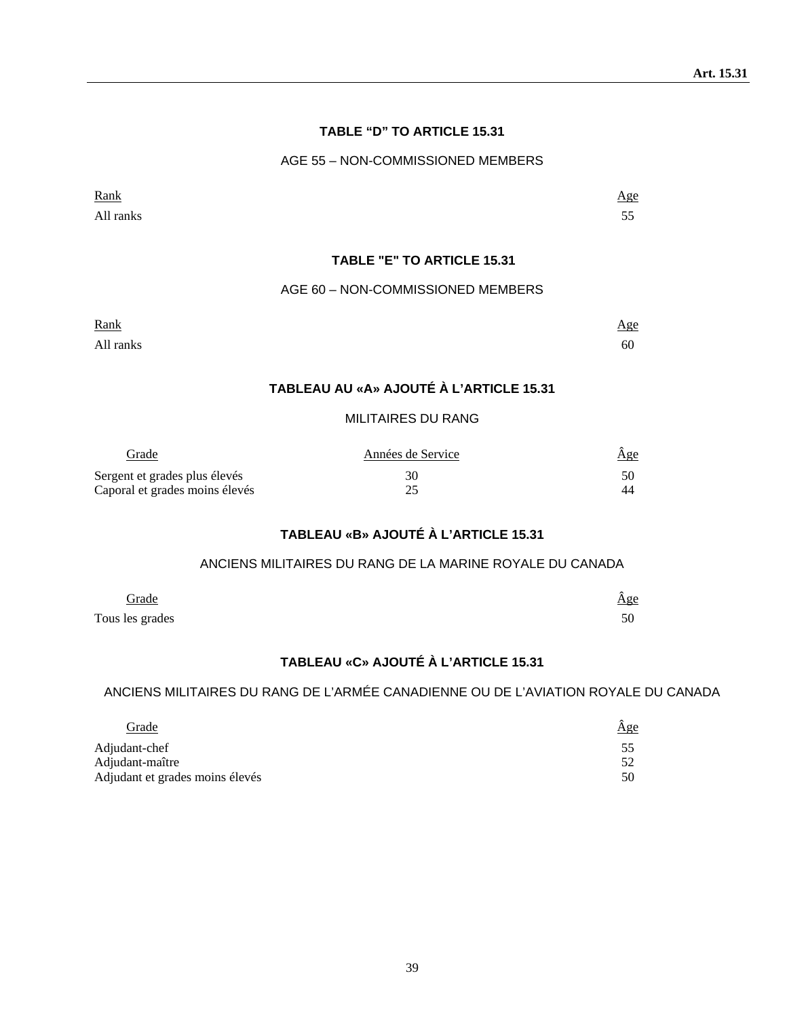#### **TABLE "D" TO ARTICLE 15.31**

#### AGE 55 – NON-COMMISSIONED MEMBERS

| Rank      | Age        |
|-----------|------------|
| All ranks | - -<br>ر ر |

### **TABLE "E" TO ARTICLE 15.31**

#### AGE 60 – NON-COMMISSIONED MEMBERS

| Rank<br><u> 1980 - Johann Stoff, Amerikaansk politiker (</u> |  |  | Age |
|--------------------------------------------------------------|--|--|-----|
|                                                              |  |  |     |

All ranks 60

### **TABLEAU AU «A» AJOUTÉ À L'ARTICLE 15.31**

### MILITAIRES DU RANG

| Grade                          | Années de Service | <u>Age</u> |
|--------------------------------|-------------------|------------|
| Sergent et grades plus élevés  | 30                |            |
| Caporal et grades moins élevés |                   | 44         |

# **TABLEAU «B» AJOUTÉ À L'ARTICLE 15.31**

#### ANCIENS MILITAIRES DU RANG DE LA MARINE ROYALE DU CANADA

| <u>Grade</u>    | Age |
|-----------------|-----|
| Tous les grades | 50  |

# **TABLEAU «C» AJOUTÉ À L'ARTICLE 15.31**

# ANCIENS MILITAIRES DU RANG DE L'ARMÉE CANADIENNE OU DE L'AVIATION ROYALE DU CANADA

| <b>Grade</b>                    | $\hat{\underline{\mathrm{Age}}}$ |
|---------------------------------|----------------------------------|
| Adjudant-chef                   |                                  |
| Adjudant-maître                 |                                  |
| Adjudant et grades moins élevés | 50                               |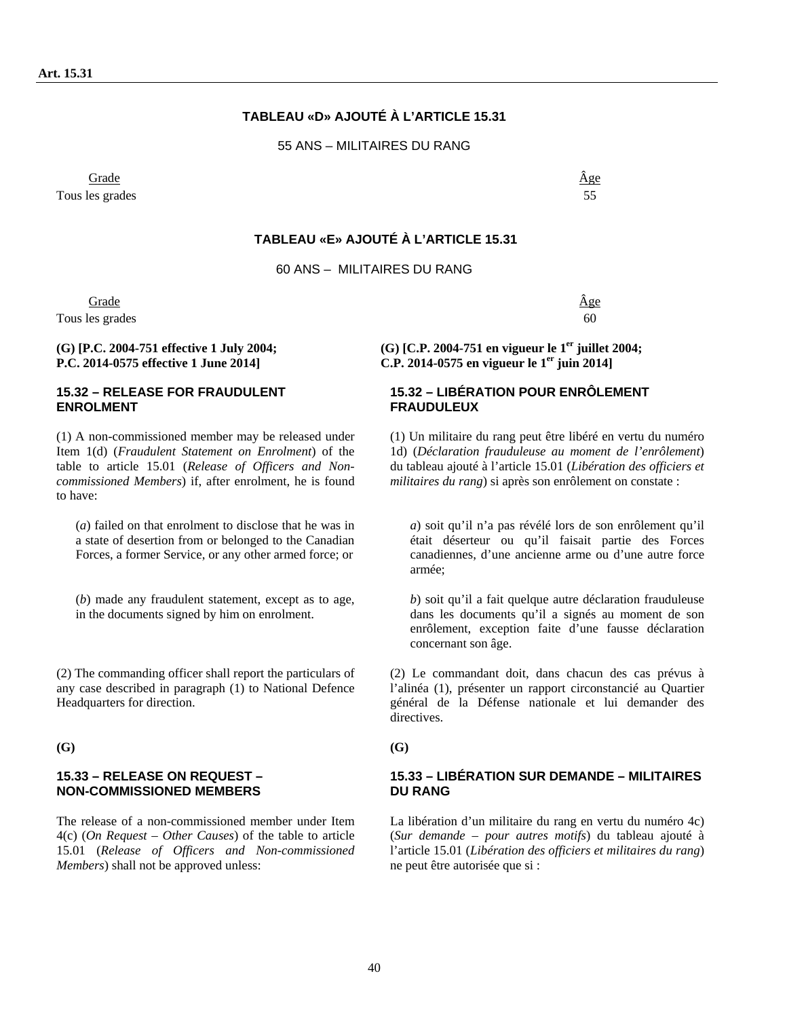### **TABLEAU «D» AJOUTÉ À L'ARTICLE 15.31**

55 ANS – MILITAIRES DU RANG

 Grade Âge Tous les grades 55

**TABLEAU «E» AJOUTÉ À L'ARTICLE 15.31** 

60 ANS – MILITAIRES DU RANG

Grade  $\hat{A}$ ge Tous les grades 60

**(G) [P.C. 2004-751 effective 1 July 2004; P.C. 2014-0575 effective 1 June 2014]** 

#### **15.32 – RELEASE FOR FRAUDULENT ENROLMENT**

(1) A non-commissioned member may be released under Item 1(d) (*Fraudulent Statement on Enrolment*) of the table to article 15.01 (*Release of Officers and Noncommissioned Members*) if, after enrolment, he is found to have:

(*a*) failed on that enrolment to disclose that he was in a state of desertion from or belonged to the Canadian Forces, a former Service, or any other armed force; or

(*b*) made any fraudulent statement, except as to age, in the documents signed by him on enrolment.

(2) The commanding officer shall report the particulars of any case described in paragraph (1) to National Defence Headquarters for direction.

**(G) (G)** 

#### **15.33 – RELEASE ON REQUEST – NON-COMMISSIONED MEMBERS**

The release of a non-commissioned member under Item 4(c) (*On Request – Other Causes*) of the table to article 15.01 (*Release of Officers and Non-commissioned Members*) shall not be approved unless:

**(G) [C.P. 2004-751 en vigueur le 1er juillet 2004; C.P. 2014-0575 en vigueur le 1er juin 2014]** 

#### **15.32 – LIBÉRATION POUR ENRÔLEMENT FRAUDULEUX**

(1) Un militaire du rang peut être libéré en vertu du numéro 1d) (*Déclaration frauduleuse au moment de l'enrôlement*) du tableau ajouté à l'article 15.01 (*Libération des officiers et militaires du rang*) si après son enrôlement on constate :

*a*) soit qu'il n'a pas révélé lors de son enrôlement qu'il était déserteur ou qu'il faisait partie des Forces canadiennes, d'une ancienne arme ou d'une autre force armée;

*b*) soit qu'il a fait quelque autre déclaration frauduleuse dans les documents qu'il a signés au moment de son enrôlement, exception faite d'une fausse déclaration concernant son âge.

(2) Le commandant doit, dans chacun des cas prévus à l'alinéa (1), présenter un rapport circonstancié au Quartier général de la Défense nationale et lui demander des directives.

#### **15.33 – LIBÉRATION SUR DEMANDE – MILITAIRES DU RANG**

La libération d'un militaire du rang en vertu du numéro 4c) (*Sur demande – pour autres motifs*) du tableau ajouté à l'article 15.01 (*Libération des officiers et militaires du rang*) ne peut être autorisée que si :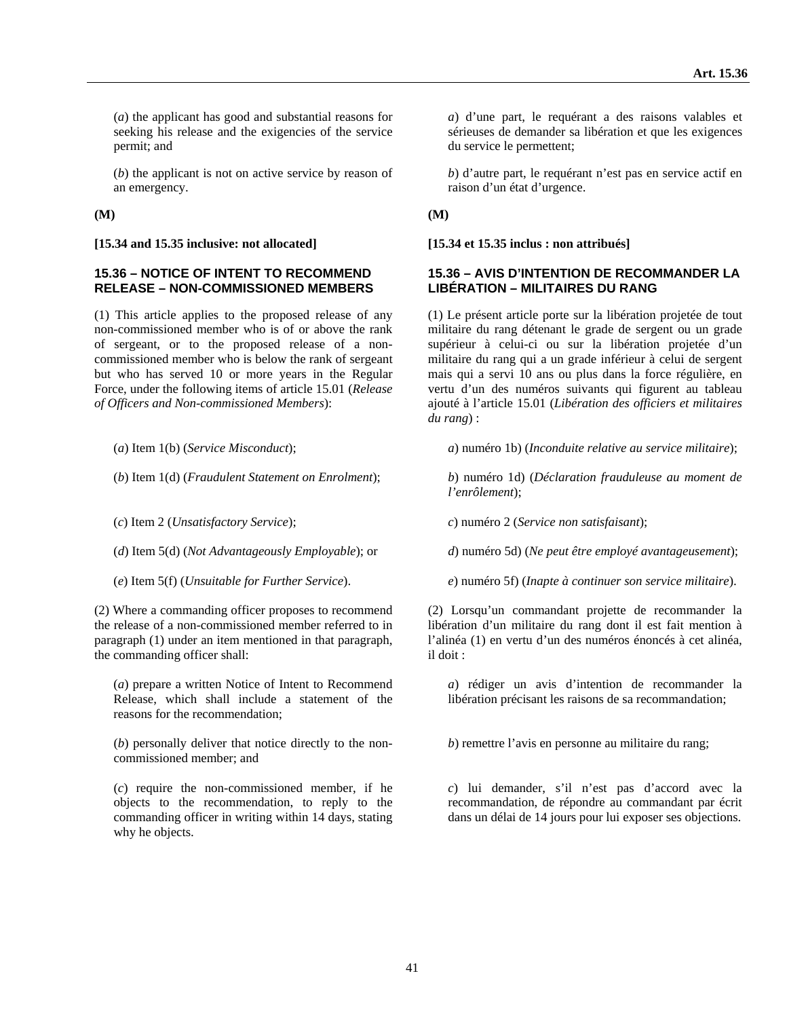(*a*) the applicant has good and substantial reasons for seeking his release and the exigencies of the service permit; and

(*b*) the applicant is not on active service by reason of an emergency.

**(M) (M)** 

#### **[15.34 and 15.35 inclusive: not allocated] [15.34 et 15.35 inclus : non attribués]**

#### **15.36 – NOTICE OF INTENT TO RECOMMEND RELEASE – NON-COMMISSIONED MEMBERS**

(1) This article applies to the proposed release of any non-commissioned member who is of or above the rank of sergeant, or to the proposed release of a noncommissioned member who is below the rank of sergeant but who has served 10 or more years in the Regular Force, under the following items of article 15.01 (*Release of Officers and Non-commissioned Members*):

- 
- 
- 
- 
- 

(2) Where a commanding officer proposes to recommend the release of a non-commissioned member referred to in paragraph (1) under an item mentioned in that paragraph, the commanding officer shall:

(*a*) prepare a written Notice of Intent to Recommend Release, which shall include a statement of the reasons for the recommendation;

(*b*) personally deliver that notice directly to the noncommissioned member; and

(*c*) require the non-commissioned member, if he objects to the recommendation, to reply to the commanding officer in writing within 14 days, stating why he objects.

*a*) d'une part, le requérant a des raisons valables et sérieuses de demander sa libération et que les exigences du service le permettent;

*b*) d'autre part, le requérant n'est pas en service actif en raison d'un état d'urgence.

#### **15.36 – AVIS D'INTENTION DE RECOMMANDER LA LIBÉRATION – MILITAIRES DU RANG**

(1) Le présent article porte sur la libération projetée de tout militaire du rang détenant le grade de sergent ou un grade supérieur à celui-ci ou sur la libération projetée d'un militaire du rang qui a un grade inférieur à celui de sergent mais qui a servi 10 ans ou plus dans la force régulière, en vertu d'un des numéros suivants qui figurent au tableau ajouté à l'article 15.01 (*Libération des officiers et militaires du rang*) :

(*a*) Item 1(b) (*Service Misconduct*); *a*) numéro 1b) (*Inconduite relative au service militaire*);

(*b*) Item 1(d) (*Fraudulent Statement on Enrolment*); *b*) numéro 1d) (*Déclaration frauduleuse au moment de l'enrôlement*);

(*c*) Item 2 (*Unsatisfactory Service*); *c*) numéro 2 (*Service non satisfaisant*);

(*d*) Item 5(d) (*Not Advantageously Employable*); or *d*) numéro 5d) (*Ne peut être employé avantageusement*);

(*e*) Item 5(f) (*Unsuitable for Further Service*). *e*) numéro 5f) (*Inapte à continuer son service militaire*).

(2) Lorsqu'un commandant projette de recommander la libération d'un militaire du rang dont il est fait mention à l'alinéa (1) en vertu d'un des numéros énoncés à cet alinéa, il doit :

*a*) rédiger un avis d'intention de recommander la libération précisant les raisons de sa recommandation;

*b*) remettre l'avis en personne au militaire du rang;

*c*) lui demander, s'il n'est pas d'accord avec la recommandation, de répondre au commandant par écrit dans un délai de 14 jours pour lui exposer ses objections.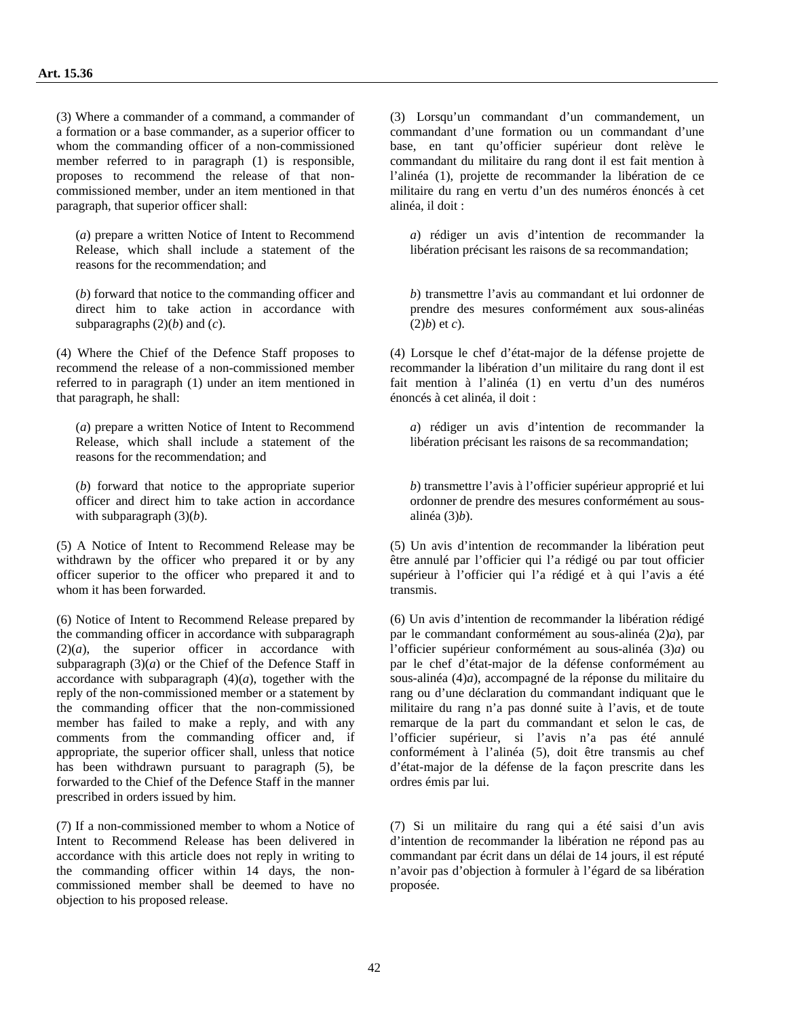(3) Where a commander of a command, a commander of a formation or a base commander, as a superior officer to whom the commanding officer of a non-commissioned member referred to in paragraph (1) is responsible, proposes to recommend the release of that noncommissioned member, under an item mentioned in that paragraph, that superior officer shall:

(*a*) prepare a written Notice of Intent to Recommend Release, which shall include a statement of the reasons for the recommendation; and

(*b*) forward that notice to the commanding officer and direct him to take action in accordance with subparagraphs  $(2)(b)$  and  $(c)$ .

(4) Where the Chief of the Defence Staff proposes to recommend the release of a non-commissioned member referred to in paragraph (1) under an item mentioned in that paragraph, he shall:

(*a*) prepare a written Notice of Intent to Recommend Release, which shall include a statement of the reasons for the recommendation; and

(*b*) forward that notice to the appropriate superior officer and direct him to take action in accordance with subparagraph (3)(*b*).

(5) A Notice of Intent to Recommend Release may be withdrawn by the officer who prepared it or by any officer superior to the officer who prepared it and to whom it has been forwarded.

(6) Notice of Intent to Recommend Release prepared by the commanding officer in accordance with subparagraph  $(2)(a)$ , the superior officer in accordance with subparagraph  $(3)(a)$  or the Chief of the Defence Staff in accordance with subparagraph  $(4)(a)$ , together with the reply of the non-commissioned member or a statement by the commanding officer that the non-commissioned member has failed to make a reply, and with any comments from the commanding officer and, if appropriate, the superior officer shall, unless that notice has been withdrawn pursuant to paragraph (5), be forwarded to the Chief of the Defence Staff in the manner prescribed in orders issued by him.

(7) If a non-commissioned member to whom a Notice of Intent to Recommend Release has been delivered in accordance with this article does not reply in writing to the commanding officer within 14 days, the noncommissioned member shall be deemed to have no objection to his proposed release.

(3) Lorsqu'un commandant d'un commandement, un commandant d'une formation ou un commandant d'une base, en tant qu'officier supérieur dont relève le commandant du militaire du rang dont il est fait mention à l'alinéa (1), projette de recommander la libération de ce militaire du rang en vertu d'un des numéros énoncés à cet alinéa, il doit :

*a*) rédiger un avis d'intention de recommander la libération précisant les raisons de sa recommandation;

*b*) transmettre l'avis au commandant et lui ordonner de prendre des mesures conformément aux sous-alinéas  $(2)b$ ) et *c*).

(4) Lorsque le chef d'état-major de la défense projette de recommander la libération d'un militaire du rang dont il est fait mention à l'alinéa (1) en vertu d'un des numéros énoncés à cet alinéa, il doit :

*a*) rédiger un avis d'intention de recommander la libération précisant les raisons de sa recommandation;

*b*) transmettre l'avis à l'officier supérieur approprié et lui ordonner de prendre des mesures conformément au sousalinéa (3)*b*).

(5) Un avis d'intention de recommander la libération peut être annulé par l'officier qui l'a rédigé ou par tout officier supérieur à l'officier qui l'a rédigé et à qui l'avis a été transmis.

(6) Un avis d'intention de recommander la libération rédigé par le commandant conformément au sous-alinéa (2)*a*), par l'officier supérieur conformément au sous-alinéa (3)*a*) ou par le chef d'état-major de la défense conformément au sous-alinéa (4)*a*), accompagné de la réponse du militaire du rang ou d'une déclaration du commandant indiquant que le militaire du rang n'a pas donné suite à l'avis, et de toute remarque de la part du commandant et selon le cas, de l'officier supérieur, si l'avis n'a pas été annulé conformément à l'alinéa (5), doit être transmis au chef d'état-major de la défense de la façon prescrite dans les ordres émis par lui.

(7) Si un militaire du rang qui a été saisi d'un avis d'intention de recommander la libération ne répond pas au commandant par écrit dans un délai de 14 jours, il est réputé n'avoir pas d'objection à formuler à l'égard de sa libération proposée.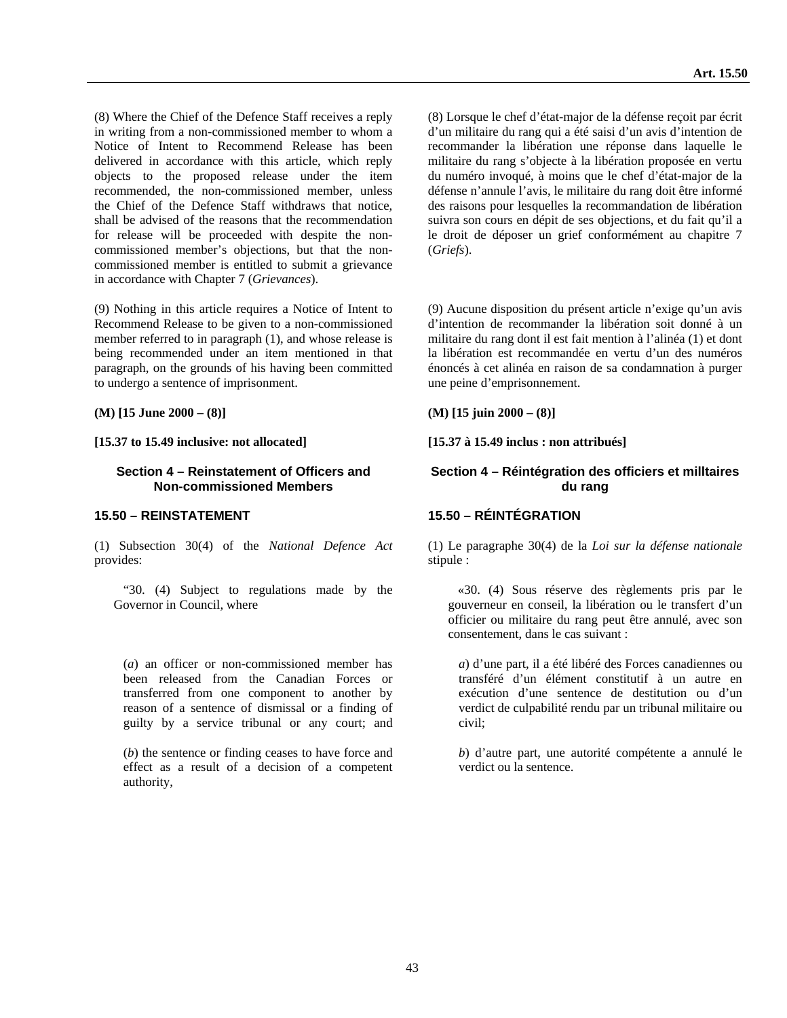(8) Where the Chief of the Defence Staff receives a reply in writing from a non-commissioned member to whom a Notice of Intent to Recommend Release has been delivered in accordance with this article, which reply objects to the proposed release under the item recommended, the non-commissioned member, unless the Chief of the Defence Staff withdraws that notice, shall be advised of the reasons that the recommendation for release will be proceeded with despite the noncommissioned member's objections, but that the noncommissioned member is entitled to submit a grievance in accordance with Chapter 7 (*Grievances*).

(9) Nothing in this article requires a Notice of Intent to Recommend Release to be given to a non-commissioned member referred to in paragraph (1), and whose release is being recommended under an item mentioned in that paragraph, on the grounds of his having been committed to undergo a sentence of imprisonment.

**(M) [15 June 2000 – (8)] (M) [15 juin 2000 – (8)]** 

**[15.37 to 15.49 inclusive: not allocated] [15.37 à 15.49 inclus : non attribués]** 

#### **Section 4 – Reinstatement of Officers and Non-commissioned Members**

(1) Subsection 30(4) of the *National Defence Act* provides:

 "30. (4) Subject to regulations made by the Governor in Council, where

(*a*) an officer or non-commissioned member has been released from the Canadian Forces or transferred from one component to another by reason of a sentence of dismissal or a finding of guilty by a service tribunal or any court; and

(*b*) the sentence or finding ceases to have force and effect as a result of a decision of a competent authority,

(8) Lorsque le chef d'état-major de la défense reçoit par écrit d'un militaire du rang qui a été saisi d'un avis d'intention de recommander la libération une réponse dans laquelle le militaire du rang s'objecte à la libération proposée en vertu du numéro invoqué, à moins que le chef d'état-major de la défense n'annule l'avis, le militaire du rang doit être informé des raisons pour lesquelles la recommandation de libération suivra son cours en dépit de ses objections, et du fait qu'il a le droit de déposer un grief conformément au chapitre 7 (*Griefs*).

(9) Aucune disposition du présent article n'exige qu'un avis d'intention de recommander la libération soit donné à un militaire du rang dont il est fait mention à l'alinéa (1) et dont la libération est recommandée en vertu d'un des numéros énoncés à cet alinéa en raison de sa condamnation à purger une peine d'emprisonnement.

#### **Section 4 – Réintégration des officiers et milltaires du rang**

## **15.50 – REINSTATEMENT 15.50 – RÉINTÉGRATION**

(1) Le paragraphe 30(4) de la *Loi sur la défense nationale* stipule :

 «30. (4) Sous réserve des règlements pris par le gouverneur en conseil, la libération ou le transfert d'un officier ou militaire du rang peut être annulé, avec son consentement, dans le cas suivant :

*a*) d'une part, il a été libéré des Forces canadiennes ou transféré d'un élément constitutif à un autre en exécution d'une sentence de destitution ou d'un verdict de culpabilité rendu par un tribunal militaire ou civil;

*b*) d'autre part, une autorité compétente a annulé le verdict ou la sentence.